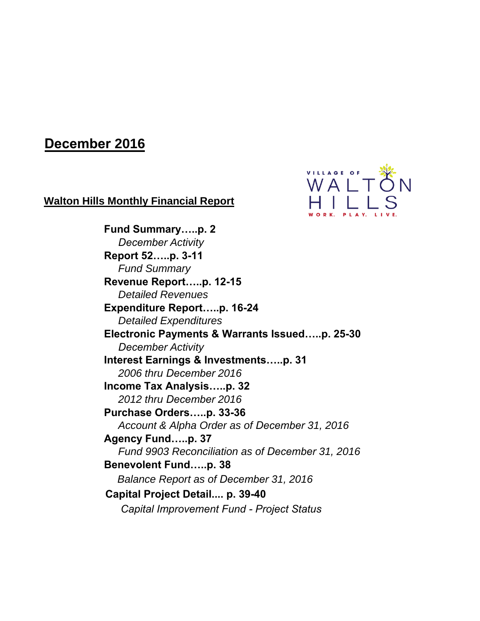# **December 2016**

## **Walton Hills Monthly Financial Report**



**Fund Summary…..p. 2** *December Activity* **Report 52…..p. 3-11** *Fund Summary* **Revenue Report…..p. 12-15** *Detailed Revenues* **Expenditure Report…..p. 16-24**  *Detailed Expenditures* **Electronic Payments & Warrants Issued…..p. 25-30** *December Activity* **Interest Earnings & Investments…..p. 31** *2006 thru December 2016* **Income Tax Analysis…..p. 32** *2012 thru December 2016* **Purchase Orders…..p. 33-36** *Account & Alpha Order as of December 31, 2016* **Agency Fund…..p. 37** *Fund 9903 Reconciliation as of December 31, 2016* **Benevolent Fund…..p. 38** *Balance Report as of December 31, 2016* **Capital Project Detail.... p. 39-40** *Capital Improvement Fund - Project Status*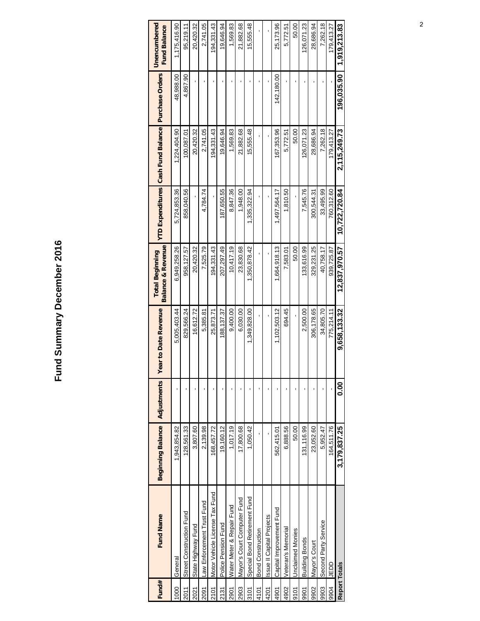# Fund Summary December 2016 **Fund Summary December 2016**

| Fund#       | <b>Fund Name</b>               | <b>Beginning Balance</b> | Adjustments    | ear to Date Revenue | <b>Balance &amp; Revenue</b><br><b>Total Beginning</b> |               | <b>YTD Expenditures</b> Cash Fund Balance | Purchase Orders | Unencumbered<br><b>Fund Balance</b> |
|-------------|--------------------------------|--------------------------|----------------|---------------------|--------------------------------------------------------|---------------|-------------------------------------------|-----------------|-------------------------------------|
| 1000        | General                        | 1,943,854.82             |                | 5,005,403.44        | 6,949,258.26                                           | 5,724,853.36  | 1,224,404.90                              | 48,988.00       | 1,175,416.90                        |
| 2011        | Street Construction Fund       | 128,561.33               |                | 829,566.24          | 958, 127.57                                            | 858,040.56    | 100,087.01                                | 4,867.90        | 95,219.11                           |
| 2021        | State Highway Fund             | 3,807.60                 |                | 16,612.72           | 20,420.32                                              |               | 20,420.32                                 |                 | 20,420.32                           |
| 2091        | Law Enforcement Trust Fund     | 2,139.98                 |                | 5,385.81            | 7,525.79                                               | 4.784.74      | 2.741.05                                  |                 | 2.741.05                            |
| <b>2101</b> | Motor Vehicle License Tax Fund | 168,457.72               |                | 25,873.71           | 194,331.43                                             |               | 194,331.43                                |                 | 194,331.43                          |
| 2131        | Police Pension Fund            | 19,160.12                |                | 188, 137.37         | 207,297.49                                             | 87,650.55     | 19,646.94                                 |                 | 19,646.94                           |
| 2901        | Water Meter & Repair Fund      | 1,017.19                 |                | 9,400.00            | 10,417.19                                              | 8,847.36      | 1,569.83                                  |                 | 1,569.83                            |
| 2903        | Mayor's Court Computer Fund    | 17,800.68                |                | 6,030.00            | 23,830.68                                              | 1,948.00      | 21,882.68                                 |                 | 21,882.68                           |
| 3101        | Special Bond Retirement Fund   | 1,050.42                 |                | 1,349,828.00        | 1,350,878.42                                           | 1,335,322.94  | 15,555.48                                 |                 | 15,555.48                           |
| 4101        | <b>Bond Construction</b>       |                          |                |                     |                                                        |               |                                           |                 |                                     |
| 4201        | Issue II Capital Projects      |                          |                |                     |                                                        |               |                                           |                 |                                     |
| 4901        | Capital Improvement Fund       | 562,415.01               |                | 1,102,503.12        | 1,664,918.13                                           | 1,497,564.17  | 167,353.96                                | 142,180.00      | 25,173.96                           |
| 4902        | Veteran's Memorial             | 6,888.56                 |                | 694.45              | 7,583.01                                               | 1,810.50      | 5,772.51                                  |                 | 5,772.51                            |
| 9101        | <b>Unclaimed Monies</b>        | 50.00                    |                |                     | 50.00                                                  |               | 50.00                                     |                 | 50.00                               |
| 9901        | <b>Building Bonds</b>          | 131,116.99               |                | 2,500.00            | 133,616.99                                             | 7,545.76      | 126,071.23                                |                 | 126,071.23                          |
| 9902        | Mayor's Court                  | 23,052.60                |                | 306,178.65          | 329,231.25                                             | 300,544.31    | 28,686.94                                 |                 | 28,686.94                           |
| 9903        | Second Party Service           | 5,952.47                 |                | 34,805.70           | 40,758.17                                              | 33,495.99     | 7,262.18                                  |                 | 7,262.18                            |
| 9904        | OCEN                           | 164,511.76               |                | 775,214.11          | 939,725.87                                             | 760,312.60    | 179,413.27                                |                 | 179,413.27                          |
|             | <b>Report Totals</b>           | 3,179,837.25             | $\frac{8}{10}$ | 9,658,133.32        | 12.837.970.57                                          | 10,722,720.84 | 2.115.249.73                              | 196.035.90      | 1,919,213.83                        |
|             |                                |                          |                |                     |                                                        |               |                                           |                 |                                     |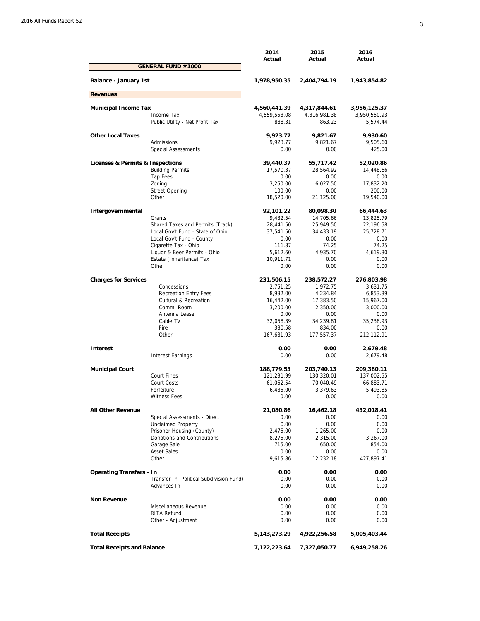|                                   |                                          | 2014<br>Actual  | 2015<br>Actual | 2016<br>Actual |
|-----------------------------------|------------------------------------------|-----------------|----------------|----------------|
|                                   | <b>GENERAL FUND #1000</b>                |                 |                |                |
| Balance - January 1st             |                                          | 1,978,950.35    | 2,404,794.19   | 1,943,854.82   |
| <b>Revenues</b>                   |                                          |                 |                |                |
| <b>Municipal Income Tax</b>       |                                          | 4,560,441.39    | 4,317,844.61   | 3,956,125.37   |
|                                   | Income Tax                               | 4,559,553.08    | 4,316,981.38   | 3,950,550.93   |
|                                   | Public Utility - Net Profit Tax          | 888.31          | 863.23         | 5,574.44       |
| <b>Other Local Taxes</b>          |                                          | 9,923.77        | 9,821.67       | 9,930.60       |
|                                   | Admissions                               | 9,923.77        | 9,821.67       | 9,505.60       |
|                                   | <b>Special Assessments</b>               | 0.00            | 0.00           | 425.00         |
| Licenses & Permits & Inspections  |                                          | 39,440.37       | 55,717.42      | 52,020.86      |
|                                   | <b>Building Permits</b>                  | 17,570.37       | 28,564.92      | 14,448.66      |
|                                   | Tap Fees                                 | 0.00            | 0.00           | 0.00           |
|                                   | Zoning                                   | 3,250.00        | 6,027.50       | 17,832.20      |
|                                   | <b>Street Opening</b>                    | 100.00          | 0.00           | 200.00         |
|                                   | Other                                    | 18,520.00       | 21,125.00      | 19,540.00      |
| Intergovernmental                 |                                          | 92,101.22       | 80,098.30      | 66,444.63      |
|                                   | Grants                                   | 9,482.54        | 14,705.66      | 13,825.79      |
|                                   | Shared Taxes and Permits (Track)         | 28,441.50       | 25,949.50      | 22,196.58      |
|                                   | Local Gov't Fund - State of Ohio         | 37,541.50       | 34,433.19      | 25,728.71      |
|                                   | Local Gov't Fund - County                | 0.00            | 0.00           | 0.00           |
|                                   | Cigarette Tax - Ohio                     | 111.37          | 74.25          | 74.25          |
|                                   | Liquor & Beer Permits - Ohio             | 5,612.60        | 4,935.70       | 4,619.30       |
|                                   | Estate (Inheritance) Tax                 | 10,911.71       | 0.00           | 0.00           |
|                                   | Other                                    | 0.00            | 0.00           | 0.00           |
| <b>Charges for Services</b>       |                                          | 231,506.15      | 238,572.27     | 276,803.98     |
|                                   | Concessions                              | 2,751.25        | 1,972.75       | 3,631.75       |
|                                   | <b>Recreation Entry Fees</b>             | 8,992.00        | 4,234.84       | 6,853.39       |
|                                   | Cultural & Recreation                    | 16,442.00       | 17,383.50      | 15,967.00      |
|                                   | Comm. Room                               | 3,200.00        | 2,350.00       | 3,000.00       |
|                                   | Antenna Lease                            | 0.00            | 0.00           | 0.00           |
|                                   | Cable TV                                 | 32,058.39       | 34,239.81      | 35,238.93      |
|                                   | Fire                                     | 380.58          | 834.00         | 0.00           |
|                                   | Other                                    | 167,681.93      | 177,557.37     | 212,112.91     |
| Interest                          |                                          | 0.00            | 0.00           | 2,679.48       |
|                                   | <b>Interest Earnings</b>                 | 0.00            | 0.00           | 2,679.48       |
| <b>Municipal Court</b>            |                                          | 188,779.53      | 203,740.13     | 209,380.11     |
|                                   | Court Fines                              | 121,231.99      | 130,320.01     | 137,002.55     |
|                                   | Court Costs                              | 61,062.54       | 70,040.49      | 66,883.71      |
|                                   | Forfeiture                               | 6,485.00        | 3,379.63       | 5,493.85       |
|                                   | <b>Witness Fees</b>                      | 0.00            | 0.00           | 0.00           |
| <b>All Other Revenue</b>          |                                          | 21,080.86       | 16,462.18      | 432,018.41     |
|                                   | Special Assessments - Direct             | 0.00            | 0.00           | 0.00           |
|                                   | <b>Unclaimed Property</b>                | 0.00            | 0.00           | 0.00           |
|                                   | Prisoner Housing (County)                | 2,475.00        | 1,265.00       | 0.00           |
|                                   | Donations and Contributions              | 8,275.00        | 2,315.00       | 3,267.00       |
|                                   | Garage Sale                              | 715.00          | 650.00         | 854.00         |
|                                   | <b>Asset Sales</b>                       | 0.00            | 0.00           | 0.00           |
|                                   | Other                                    | 9,615.86        | 12,232.18      | 427,897.41     |
| <b>Operating Transfers - In</b>   |                                          | 0.00            | 0.00           | 0.00           |
|                                   | Transfer In (Political Subdivision Fund) | 0.00            | 0.00           | 0.00           |
|                                   | Advances In                              | 0.00            | 0.00           | 0.00           |
| <b>Non Revenue</b>                |                                          | 0.00            | 0.00           | 0.00           |
|                                   | Miscellaneous Revenue                    | 0.00            | 0.00           | 0.00           |
|                                   | <b>RITA Refund</b>                       | 0.00            | 0.00           | 0.00           |
|                                   | Other - Adjustment                       | 0.00            | 0.00           | 0.00           |
| <b>Total Receipts</b>             |                                          | 5, 143, 273. 29 | 4,922,256.58   | 5,005,403.44   |
| <b>Total Receipts and Balance</b> |                                          | 7,122,223.64    | 7,327,050.77   | 6,949,258.26   |
|                                   |                                          |                 |                |                |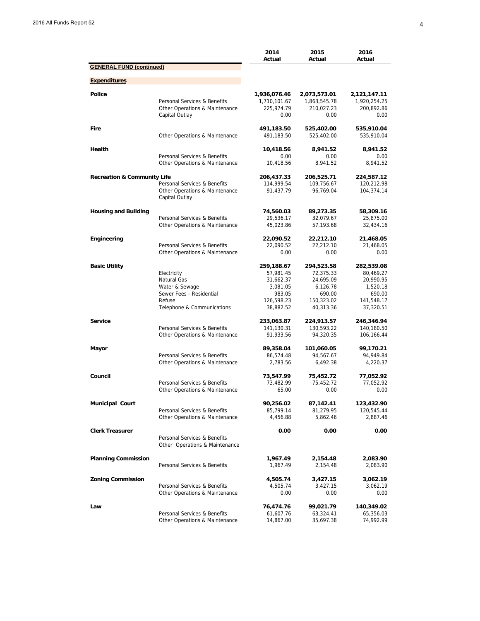|                                        |                                                                | 2014<br>Actual           | 2015<br>Actual           | 2016<br>Actual           |
|----------------------------------------|----------------------------------------------------------------|--------------------------|--------------------------|--------------------------|
| <b>GENERAL FUND (continued)</b>        |                                                                |                          |                          |                          |
| <b>Expenditures</b>                    |                                                                |                          |                          |                          |
| Police                                 |                                                                | 1,936,076.46             | 2,073,573.01             | 2,121,147.11             |
|                                        | Personal Services & Benefits                                   | 1,710,101.67             | 1,863,545.78             | 1,920,254.25             |
|                                        | Other Operations & Maintenance                                 | 225,974.79               | 210,027.23               | 200,892.86               |
|                                        | Capital Outlay                                                 | 0.00                     | 0.00                     | 0.00                     |
| Fire                                   |                                                                | 491,183.50               | 525,402.00               | 535,910.04               |
|                                        | Other Operations & Maintenance                                 | 491,183.50               | 525,402.00               | 535,910.04               |
| Health                                 |                                                                | 10,418.56                | 8,941.52                 | 8,941.52                 |
|                                        | Personal Services & Benefits                                   | 0.00                     | 0.00                     | 0.00                     |
|                                        | Other Operations & Maintenance                                 | 10.418.56                | 8.941.52                 | 8.941.52                 |
| <b>Recreation &amp; Community Life</b> |                                                                | 206,437.33               | 206,525.71               | 224,587.12               |
|                                        | Personal Services & Benefits                                   | 114,999.54               | 109,756.67               | 120,212.98               |
|                                        | Other Operations & Maintenance<br>Capital Outlay               | 91,437.79                | 96,769.04                | 104,374.14               |
| <b>Housing and Building</b>            |                                                                | 74,560.03                | 89,273.35                | 58,309.16                |
|                                        | Personal Services & Benefits                                   | 29,536.17                | 32,079.67                | 25,875.00                |
|                                        | Other Operations & Maintenance                                 | 45,023.86                | 57,193.68                | 32,434.16                |
| Engineering                            |                                                                | 22,090.52                | 22,212.10                | 21,468.05                |
|                                        | Personal Services & Benefits                                   | 22,090.52                | 22,212.10                | 21,468.05                |
|                                        | Other Operations & Maintenance                                 | 0.00                     | 0.00                     | 0.00                     |
| <b>Basic Utility</b>                   |                                                                | 259,188.67               | 294,523.58               | 282,539.08               |
|                                        | Electricity                                                    | 57,981.45                | 72,375.33                | 80,469.27                |
|                                        | Natural Gas                                                    | 31,662.37                | 24,695.09                | 20,990.95                |
|                                        | Water & Sewage                                                 | 3,081.05                 | 6,126.78                 | 1,520.18                 |
|                                        | Sewer Fees - Residential                                       | 983.05                   | 690.00                   | 690.00                   |
|                                        | Refuse<br>Telephone & Communications                           | 126,598.23<br>38,882.52  | 150,323.02<br>40,313.36  | 141,548.17<br>37,320.51  |
| <b>Service</b>                         |                                                                |                          |                          |                          |
|                                        | Personal Services & Benefits                                   | 233,063.87<br>141,130.31 | 224,913.57<br>130,593.22 | 246,346.94<br>140,180.50 |
|                                        | Other Operations & Maintenance                                 | 91,933.56                | 94,320.35                | 106,166.44               |
| Mayor                                  |                                                                | 89,358.04                | 101,060.05               | 99,170.21                |
|                                        | Personal Services & Benefits                                   | 86,574.48                | 94,567.67                | 94,949.84                |
|                                        | Other Operations & Maintenance                                 | 2,783.56                 | 6,492.38                 | 4,220.37                 |
| Council                                |                                                                | 73,547.99                | 75,452.72                | 77,052.92                |
|                                        | Personal Services & Benefits                                   | 73,482.99                | 75,452.72                | 77,052.92                |
|                                        | Other Operations & Maintenance                                 | 65.00                    | 0.00                     | 0.00                     |
| <b>Municipal Court</b>                 |                                                                | 90,256.02                | 87,142.41                | 123,432.90               |
|                                        | Personal Services & Benefits                                   | 85,799.14                | 81,279.95                | 120,545.44               |
|                                        | Other Operations & Maintenance                                 | 4,456.88                 | 5,862.46                 | 2,887.46                 |
| <b>Clerk Treasurer</b>                 |                                                                | 0.00                     | 0.00                     | 0.00                     |
|                                        | Personal Services & Benefits<br>Other Operations & Maintenance |                          |                          |                          |
| <b>Planning Commission</b>             |                                                                | 1,967.49                 | 2,154.48                 | 2,083.90                 |
|                                        | Personal Services & Benefits                                   | 1,967.49                 | 2,154.48                 | 2,083.90                 |
| <b>Zoning Commission</b>               |                                                                | 4,505.74                 | 3,427.15                 | 3,062.19                 |
|                                        | Personal Services & Benefits                                   | 4,505.74                 | 3,427.15                 | 3,062.19                 |
|                                        | Other Operations & Maintenance                                 | 0.00                     | 0.00                     | 0.00                     |
| Law                                    |                                                                | 76,474.76                | 99,021.79                | 140,349.02               |
|                                        | Personal Services & Benefits                                   | 61,607.76                | 63,324.41                | 65,356.03                |
|                                        | Other Operations & Maintenance                                 | 14,867.00                | 35,697.38                | 74,992.99                |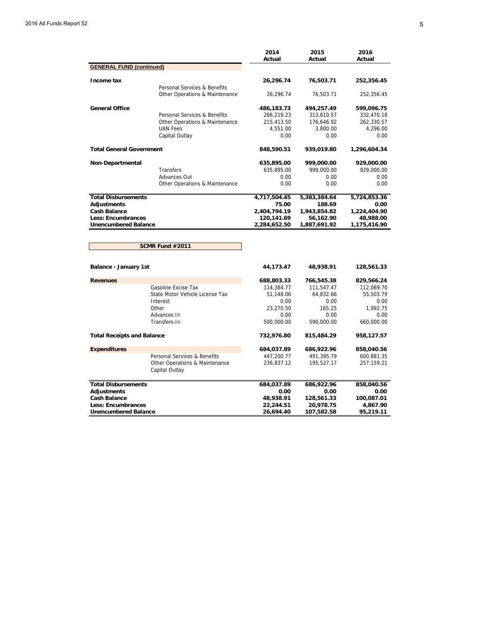|                                   |                                                  | 2014<br>Actual | 2015<br>Actual | 2016<br>Actual |
|-----------------------------------|--------------------------------------------------|----------------|----------------|----------------|
| <b>GENERAL FUND (continued)</b>   |                                                  |                |                |                |
| Income tax                        |                                                  | 26,296.74      | 76,503.71      | 252,356.45     |
|                                   | Personal Services & Benefits                     |                |                |                |
|                                   | Other Operations & Maintenance                   | 26,296.74      | 76,503.71      | 252,356.45     |
| <b>General Office</b>             |                                                  | 486,183.73     | 494,257.49     | 599,096.75     |
|                                   | Personal Services & Benefits                     | 266,219.23     | 313,810.57     | 332,470.18     |
|                                   | Other Operations & Maintenance                   | 215,413.50     | 176,646.92     | 262,330.57     |
|                                   | <b>UAN Fees</b>                                  | 4,551.00       | 3,800.00       | 4,296.00       |
|                                   | Capital Outlay                                   | 0.00           | 0.00           | 0.00           |
| <b>Total General Government</b>   |                                                  | 848,590.51     | 939,019.80     | 1,296,604.34   |
| Non-Departmental                  |                                                  | 635,895.00     | 999,000.00     | 929,000.00     |
|                                   | <b>Transfers</b>                                 | 635,895.00     | 999,000.00     | 929,000.00     |
|                                   | Advances Out                                     | 0.00           | 0.00           | 0.00           |
|                                   | Other Operations & Maintenance                   | 0.00           | 0.00           | 0.00           |
| <b>Total Disbursements</b>        |                                                  | 4,717,504.45   | 5,383,384.64   | 5,724,853.36   |
| <b>Adjustments</b>                |                                                  | 75.00          | 188.69         | 0.00           |
| <b>Cash Balance</b>               |                                                  | 2,404,794.19   | 1,943,854.82   | 1,224,404.90   |
| <b>Less: Encumbrances</b>         |                                                  | 120,141.69     | 56,162.90      | 48,988.00      |
| <b>Unencumbered Balance</b>       |                                                  | 2,284,652.50   | 1,887,691.92   | 1,175,416.90   |
|                                   |                                                  |                |                |                |
|                                   | <b>SCMR Fund #2011</b>                           |                |                |                |
| <b>Balance - January 1st</b>      |                                                  | 44,173.47      | 48,938.91      | 128,561.33     |
| <b>Revenues</b>                   |                                                  | 688,803.33     | 766,545.38     | 829,566.24     |
|                                   | Gasoline Excise Tax                              | 114,384.77     | 111,547.47     | 112,069.70     |
|                                   | State Motor Vehicle License Tax                  | 51,148.06      | 64,832.66      | 55,503.79      |
|                                   | Interest                                         | 0.00           | 0.00           | 0.00           |
|                                   | Other                                            | 23,270.50      | 165.25         | 1,992.75       |
|                                   | Advances In                                      | 0.00           | 0.00           | 0.00           |
|                                   | Transfers-In                                     | 500,000.00     | 590,000.00     | 660,000.00     |
| <b>Total Receipts and Balance</b> |                                                  | 732,976.80     | 815,484.29     | 958,127.57     |
| <b>Expenditures</b>               |                                                  | 684,037.89     | 686,922.96     | 858,040.56     |
|                                   | Personal Services & Benefits                     | 447,200.77     | 491,395.79     | 600,881.35     |
|                                   | Other Operations & Maintenance<br>Capital Outlay | 236,837.12     | 195,527.17     | 257,159.21     |
| <b>Total Disbursements</b>        |                                                  | 684,037.89     | 686,922.96     | 858,040.56     |
| Adjustments                       |                                                  | 0.00           | 0.00           | 0.00           |
| <b>Cash Balance</b>               |                                                  | 48,938.91      | 128,561.33     | 100,087.01     |
| Less: Encumbrances                |                                                  | 22,244.51      | 20,978.75      | 4,867.90       |
| <b>Unencumbered Balance</b>       |                                                  | 26,694.40      | 107,582.58     | 95,219.11      |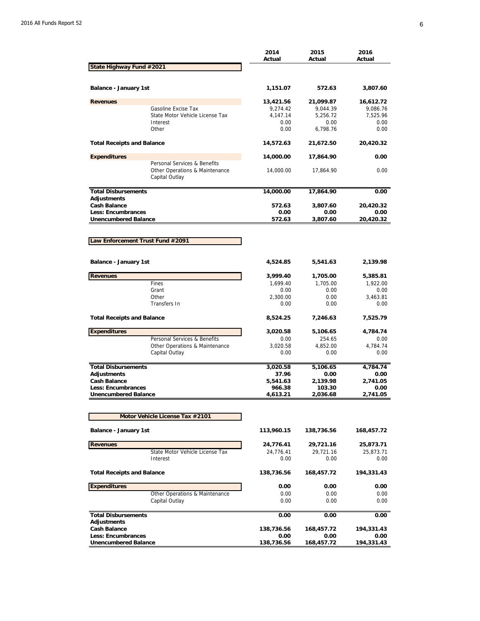|                                                          |                                                                                  | 2014<br>Actual         | 2015<br>Actual         | 2016<br>Actual         |
|----------------------------------------------------------|----------------------------------------------------------------------------------|------------------------|------------------------|------------------------|
| State Highway Fund #2021                                 |                                                                                  |                        |                        |                        |
|                                                          |                                                                                  |                        |                        |                        |
| Balance - January 1st                                    |                                                                                  | 1,151.07               | 572.63                 | 3,807.60               |
| <b>Revenues</b>                                          |                                                                                  | 13,421.56              | 21,099.87              | 16,612.72              |
|                                                          | Gasoline Excise Tax                                                              | 9,274.42               | 9,044.39               | 9,086.76               |
|                                                          | State Motor Vehicle License Tax                                                  | 4,147.14               | 5,256.72               | 7,525.96               |
|                                                          | Interest<br>Other                                                                | 0.00<br>0.00           | 0.00<br>6,798.76       | 0.00<br>0.00           |
|                                                          |                                                                                  |                        |                        |                        |
| <b>Total Receipts and Balance</b>                        |                                                                                  | 14,572.63              | 21,672.50              | 20,420.32              |
| <b>Expenditures</b>                                      |                                                                                  | 14,000.00              | 17,864.90              | 0.00                   |
|                                                          | Personal Services & Benefits<br>Other Operations & Maintenance<br>Capital Outlay | 14,000.00              | 17,864.90              | 0.00                   |
| <b>Total Disbursements</b>                               |                                                                                  | 14,000.00              | 17,864.90              | 0.00                   |
| <b>Adjustments</b>                                       |                                                                                  |                        |                        |                        |
| <b>Cash Balance</b>                                      |                                                                                  | 572.63                 | 3,807.60               | 20,420.32              |
| <b>Less: Encumbrances</b><br><b>Unencumbered Balance</b> |                                                                                  | 0.00<br>572.63         | 0.00<br>3,807.60       | 0.00<br>20,420.32      |
|                                                          |                                                                                  |                        |                        |                        |
|                                                          |                                                                                  |                        |                        |                        |
| Law Enforcement Trust Fund #2091                         |                                                                                  |                        |                        |                        |
|                                                          |                                                                                  |                        |                        |                        |
| Balance - January 1st                                    |                                                                                  | 4,524.85               | 5,541.63               | 2,139.98               |
| <b>Revenues</b>                                          |                                                                                  | 3,999.40               | 1,705.00               | 5,385.81               |
|                                                          | Fines                                                                            | 1,699.40               | 1,705.00               | 1,922.00               |
|                                                          | Grant                                                                            | 0.00                   | 0.00                   | 0.00                   |
|                                                          | Other                                                                            | 2,300.00               | 0.00                   | 3,463.81               |
|                                                          | Transfers In                                                                     | 0.00                   | 0.00                   | 0.00                   |
| <b>Total Receipts and Balance</b>                        |                                                                                  | 8,524.25               | 7,246.63               | 7,525.79               |
| <b>Expenditures</b>                                      |                                                                                  | 3,020.58               | 5,106.65               | 4,784.74               |
|                                                          | Personal Services & Benefits                                                     | 0.00                   | 254.65                 | 0.00                   |
|                                                          | Other Operations & Maintenance                                                   | 3,020.58               | 4,852.00               | 4,784.74               |
|                                                          | Capital Outlay                                                                   | 0.00                   | 0.00                   | 0.00                   |
| <b>Total Disbursements</b>                               |                                                                                  | 3,020.58               | 5,106.65               | 4,784.74               |
| <b>Adjustments</b>                                       |                                                                                  | 37.96                  | 0.00                   | 0.00                   |
| <b>Cash Balance</b>                                      |                                                                                  | 5,541.63               | 2,139.98               | 2,741.05               |
| <b>Less: Encumbrances</b>                                |                                                                                  | 966.38                 | 103.30                 | 0.00                   |
| <b>Unencumbered Balance</b>                              |                                                                                  | 4,613.21               | 2,036.68               | 2,741.05               |
|                                                          |                                                                                  |                        |                        |                        |
|                                                          | Motor Vehicle License Tax #2101                                                  |                        |                        |                        |
| Balance - January 1st                                    |                                                                                  | 113,960.15             | 138,736.56             | 168,457.72             |
|                                                          |                                                                                  |                        |                        |                        |
| <b>Revenues</b>                                          | State Motor Vehicle License Tax                                                  | 24,776.41<br>24,776.41 | 29,721.16<br>29,721.16 | 25,873.71<br>25,873.71 |
|                                                          | Interest                                                                         | 0.00                   | 0.00                   | 0.00                   |
| <b>Total Receipts and Balance</b>                        |                                                                                  | 138,736.56             | 168,457.72             | 194,331.43             |
|                                                          |                                                                                  |                        |                        |                        |
| <b>Expenditures</b>                                      |                                                                                  | 0.00                   | 0.00                   | 0.00                   |
|                                                          | Other Operations & Maintenance<br>Capital Outlay                                 | 0.00<br>0.00           | 0.00<br>0.00           | 0.00<br>0.00           |
|                                                          |                                                                                  |                        |                        |                        |
| <b>Total Disbursements</b>                               |                                                                                  | 0.00                   | 0.00                   | 0.00                   |
| <b>Adjustments</b>                                       |                                                                                  |                        |                        |                        |
| <b>Cash Balance</b>                                      |                                                                                  | 138,736.56             | 168,457.72             | 194,331.43             |
| <b>Less: Encumbrances</b><br><b>Unencumbered Balance</b> |                                                                                  | 0.00<br>138,736.56     | 0.00<br>168,457.72     | 0.00<br>194,331.43     |
|                                                          |                                                                                  |                        |                        |                        |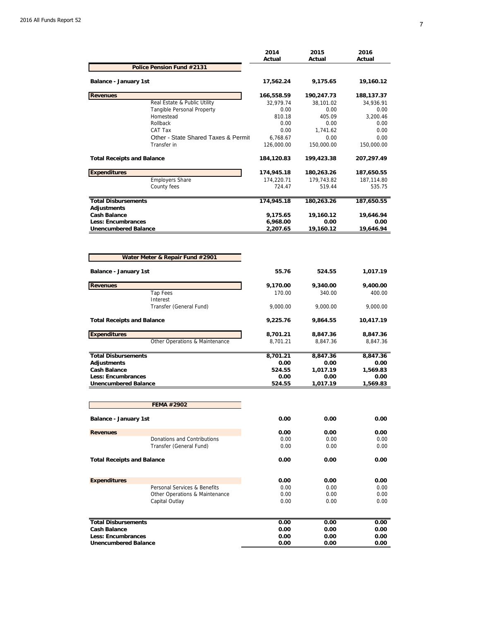|                                                   |                                         | 2014<br>Actual | 2015<br>Actual | 2016<br>Actual   |
|---------------------------------------------------|-----------------------------------------|----------------|----------------|------------------|
|                                                   | Police Pension Fund #2131               |                |                |                  |
| Balance - January 1st                             |                                         | 17,562.24      | 9,175.65       | 19,160.12        |
| <b>Revenues</b>                                   |                                         | 166,558.59     | 190,247.73     | 188,137.37       |
|                                                   | Real Estate & Public Utility            | 32,979.74      | 38,101.02      | 34,936.91        |
|                                                   | Tangible Personal Property<br>Homestead | 0.00<br>810.18 | 0.00<br>405.09 | 0.00<br>3,200.46 |
|                                                   | Rollback                                | 0.00           | 0.00           | 0.00             |
|                                                   | CAT Tax                                 | 0.00           | 1,741.62       | 0.00             |
|                                                   | Other - State Shared Taxes & Permit     | 6,768.67       | 0.00           | 0.00             |
|                                                   | Transfer in                             | 126,000.00     | 150,000.00     | 150,000.00       |
| <b>Total Receipts and Balance</b>                 |                                         | 184,120.83     | 199,423.38     | 207,297.49       |
| <b>Expenditures</b>                               |                                         | 174,945.18     | 180,263.26     | 187,650.55       |
|                                                   | <b>Employers Share</b>                  | 174,220.71     | 179,743.82     | 187,114.80       |
|                                                   | County fees                             | 724.47         | 519.44         | 535.75           |
| <b>Total Disbursements</b>                        |                                         | 174,945.18     | 180,263.26     | 187,650.55       |
| <b>Adjustments</b><br><b>Cash Balance</b>         |                                         | 9,175.65       | 19,160.12      | 19.646.94        |
| <b>Less: Encumbrances</b>                         |                                         | 6,968.00       | 0.00           | 0.00             |
| <b>Unencumbered Balance</b>                       |                                         | 2,207.65       | 19,160.12      | 19,646.94        |
|                                                   | Water Meter & Repair Fund #2901         |                |                |                  |
| Balance - January 1st                             |                                         | 55.76          | 524.55         | 1,017.19         |
| <b>Revenues</b>                                   |                                         | 9,170.00       | 9,340.00       | 9,400.00         |
|                                                   | <b>Tap Fees</b><br>Interest             | 170.00         | 340.00         | 400.00           |
|                                                   | Transfer (General Fund)                 | 9,000.00       | 9,000.00       | 9,000.00         |
| <b>Total Receipts and Balance</b>                 |                                         | 9,225.76       | 9,864.55       | 10,417.19        |
| <b>Expenditures</b>                               |                                         | 8,701.21       | 8,847.36       | 8,847.36         |
|                                                   | Other Operations & Maintenance          | 8,701.21       | 8,847.36       | 8,847.36         |
| <b>Total Disbursements</b>                        |                                         | 8,701.21       | 8,847.36       | 8,847.36         |
| <b>Adjustments</b>                                |                                         | 0.00           | 0.00           | 0.00             |
| <b>Cash Balance</b>                               |                                         | 524.55         | 1,017.19       | 1,569.83         |
| <b>Less: Encumbrances</b>                         |                                         | 0.00           | 0.00           | 0.00             |
| <b>Unencumbered Balance</b>                       |                                         | 524.55         | 1,017.19       | 1,569.83         |
|                                                   | <b>FEMA #2902</b>                       |                |                |                  |
| <b>Balance - January 1st</b>                      |                                         | 0.00           | 0.00           | 0.00             |
| <b>Revenues</b>                                   |                                         | 0.00           | 0.00           | 0.00             |
|                                                   | Donations and Contributions             | 0.00           | 0.00           | 0.00             |
|                                                   | Transfer (General Fund)                 | 0.00           | 0.00           | 0.00             |
| <b>Total Receipts and Balance</b>                 |                                         | 0.00           | 0.00           | 0.00             |
| <b>Expenditures</b>                               |                                         | 0.00           | 0.00           | 0.00             |
|                                                   | Personal Services & Benefits            | 0.00           | 0.00           | 0.00             |
|                                                   | Other Operations & Maintenance          | 0.00<br>0.00   | 0.00<br>0.00   | 0.00<br>0.00     |
|                                                   | Capital Outlay                          |                |                |                  |
| <b>Total Disbursements</b>                        |                                         | 0.00           | 0.00           | 0.00             |
| <b>Cash Balance</b>                               |                                         | 0.00           | 0.00           | 0.00             |
| Less: Encumbrances<br><b>Unencumbered Balance</b> |                                         | 0.00<br>0.00   | 0.00<br>0.00   | 0.00<br>0.00     |
|                                                   |                                         |                |                |                  |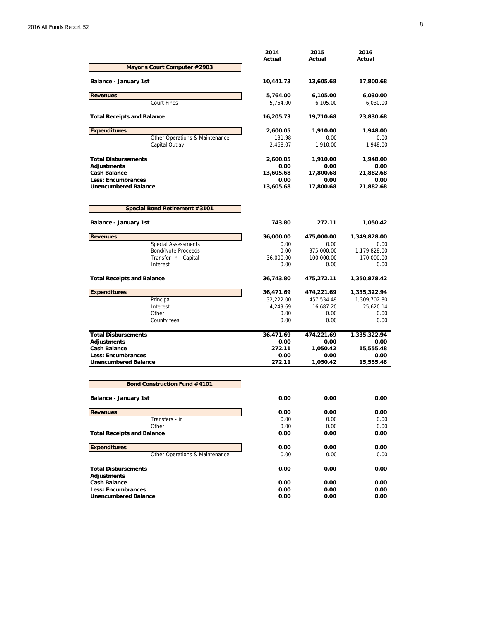|                                                          | 2014<br>Actual | 2015<br>Actual     | 2016<br>Actual       |
|----------------------------------------------------------|----------------|--------------------|----------------------|
| Mayor's Court Computer #2903                             |                |                    |                      |
| Balance - January 1st                                    | 10,441.73      | 13,605.68          | 17,800.68            |
| <b>Revenues</b>                                          | 5,764.00       | 6,105.00           | 6,030.00             |
| <b>Court Fines</b>                                       | 5,764.00       | 6,105.00           | 6,030.00             |
| <b>Total Receipts and Balance</b>                        | 16,205.73      | 19,710.68          | 23,830.68            |
| <b>Expenditures</b>                                      | 2,600.05       | 1,910.00           | 1,948.00             |
| Other Operations & Maintenance                           | 131.98         | 0.00               | 0.00                 |
| Capital Outlay                                           | 2,468.07       | 1,910.00           | 1,948.00             |
| <b>Total Disbursements</b>                               | 2,600.05       | 1,910.00           | 1,948.00             |
| Adjustments                                              | 0.00           | 0.00               | 0.00                 |
| <b>Cash Balance</b>                                      | 13,605.68      | 17,800.68          | 21,882.68            |
| <b>Less: Encumbrances</b>                                | 0.00           | 0.00               | 0.00                 |
| <b>Unencumbered Balance</b>                              | 13,605.68      | 17,800.68          | 21,882.68            |
| Special Bond Retirement #3101                            |                |                    |                      |
| Balance - January 1st                                    | 743.80         | 272.11             | 1,050.42             |
|                                                          |                |                    |                      |
| <b>Revenues</b><br><b>Special Assessments</b>            | 36,000.00      | 475,000.00<br>0.00 | 1,349,828.00<br>0.00 |
| <b>Bond/Note Proceeds</b>                                | 0.00<br>0.00   | 375,000.00         | 1,179,828.00         |
| Transfer In - Capital                                    | 36.000.00      | 100,000.00         | 170,000.00           |
| Interest                                                 | 0.00           | 0.00               | 0.00                 |
| <b>Total Receipts and Balance</b>                        | 36,743.80      | 475,272.11         | 1,350,878.42         |
| <b>Expenditures</b>                                      | 36,471.69      | 474,221.69         | 1,335,322.94         |
| Principal                                                | 32,222.00      | 457,534.49         | 1,309,702.80         |
| Interest                                                 | 4,249.69       | 16,687.20          | 25,620.14            |
| Other                                                    | 0.00           | 0.00               | 0.00                 |
| County fees                                              | 0.00           | 0.00               | 0.00                 |
| <b>Total Disbursements</b>                               | 36,471.69      | 474,221.69         | 1,335,322.94         |
| Adjustments                                              | 0.00           | 0.00               | 0.00                 |
| <b>Cash Balance</b>                                      | 272.11         | 1,050.42           | 15,555.48            |
| <b>Less: Encumbrances</b><br><b>Unencumbered Balance</b> | 0.00<br>272.11 | 0.00<br>1,050.42   | 0.00<br>15,555.48    |
|                                                          |                |                    |                      |
| <b>Bond Construction Fund #4101</b>                      |                |                    |                      |
| <b>Balance - January 1st</b>                             | 0.00           | 0.00               | 0.00                 |
| <b>Revenues</b>                                          | 0.00           | 0.00               | 0.00                 |
| Transfers - in                                           | 0.00           | 0.00               | 0.00                 |
| Other                                                    | 0.00           | 0.00               | 0.00                 |
| <b>Total Receipts and Balance</b>                        | 0.00           | 0.00               | 0.00                 |
| <b>Expenditures</b>                                      | 0.00           | 0.00               | 0.00                 |
| Other Operations & Maintenance                           | 0.00           | 0.00               | 0.00                 |
| <b>Total Disbursements</b>                               | 0.00           | 0.00               | 0.00                 |
| <b>Adjustments</b>                                       |                |                    |                      |
| <b>Cash Balance</b><br>Less: Encumbrances                | 0.00<br>0.00   | 0.00<br>0.00       | 0.00<br>0.00         |
| <b>Unencumbered Balance</b>                              | 0.00           | 0.00               | 0.00                 |
|                                                          |                |                    |                      |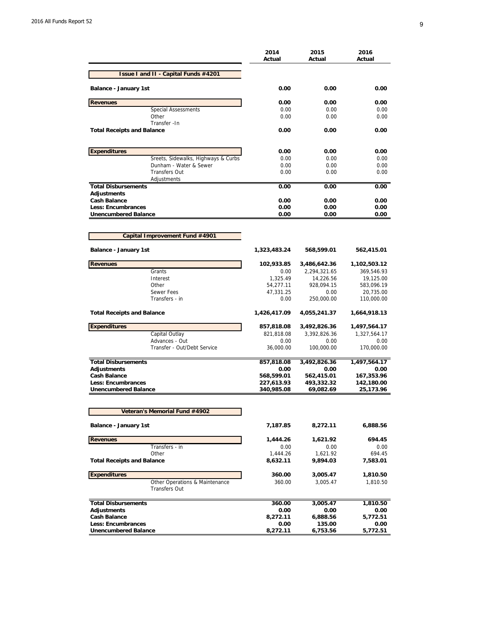|                                                               | 2014<br>Actual | 2015<br>Actual       | 2016<br>Actual       |
|---------------------------------------------------------------|----------------|----------------------|----------------------|
| Issue I and II - Capital Funds #4201                          |                |                      |                      |
| Balance - January 1st                                         | 0.00           | 0.00                 | 0.00                 |
| <b>Revenues</b>                                               | 0.00           | 0.00                 | 0.00                 |
| <b>Special Assessments</b>                                    | 0.00           | 0.00                 | 0.00                 |
| Other                                                         | 0.00           | 0.00                 | 0.00                 |
| Transfer - In<br><b>Total Receipts and Balance</b>            | 0.00           | 0.00                 | 0.00                 |
|                                                               |                |                      |                      |
| <b>Expenditures</b>                                           | 0.00           | 0.00                 | 0.00                 |
| Sreets, Sidewalks, Highways & Curbs<br>Dunham - Water & Sewer | 0.00<br>0.00   | 0.00<br>0.00         | 0.00<br>0.00         |
| <b>Transfers Out</b>                                          | 0.00           | 0.00                 | 0.00                 |
| Adjustments                                                   |                |                      |                      |
| <b>Total Disbursements</b>                                    | 0.00           | 0.00                 | 0.00                 |
| Adjustments                                                   |                |                      |                      |
| <b>Cash Balance</b>                                           | 0.00           | 0.00                 | 0.00                 |
| <b>Less: Encumbrances</b>                                     | 0.00           | 0.00                 | 0.00                 |
| <b>Unencumbered Balance</b>                                   | 0.00           | 0.00                 | 0.00                 |
|                                                               |                |                      |                      |
| Capital Improvement Fund #4901                                |                |                      |                      |
|                                                               |                |                      |                      |
| Balance - January 1st                                         | 1,323,483.24   | 568,599.01           | 562,415.01           |
| <b>Revenues</b>                                               | 102,933.85     | 3,486,642.36         | 1,102,503.12         |
| Grants                                                        | 0.00           | 2,294,321.65         | 369,546.93           |
| Interest                                                      | 1,325.49       | 14,226.56            | 19,125.00            |
| Other                                                         | 54,277.11      | 928,094.15           | 583,096.19           |
| Sewer Fees                                                    | 47,331.25      | 0.00                 | 20,735.00            |
| Transfers - in                                                | 0.00           | 250,000.00           | 110,000.00           |
| <b>Total Receipts and Balance</b>                             | 1,426,417.09   | 4,055,241.37         | 1,664,918.13         |
| <b>Expenditures</b>                                           | 857,818.08     | 3,492,826.36         | 1,497,564.17         |
| Capital Outlay                                                | 821,818.08     | 3,392,826.36         | 1,327,564.17         |
| Advances - Out                                                | 0.00           | 0.00                 | 0.00                 |
| Transfer - Out/Debt Service                                   | 36,000.00      | 100,000.00           | 170,000.00           |
| <b>Total Disbursements</b>                                    | 857,818.08     |                      |                      |
| Adjustments                                                   | 0.00           | 3,492,826.36<br>0.00 | 1,497,564.17<br>0.00 |
| <b>Cash Balance</b>                                           | 568,599.01     | 562,415.01           | 167,353.96           |
| <b>Less: Encumbrances</b>                                     | 227,613.93     | 493,332.32           | 142,180.00           |
| <b>Unencumbered Balance</b>                                   | 340,985.08     | 69,082.69            | 25,173.96            |
|                                                               |                |                      |                      |
| Veteran's Memorial Fund #4902                                 |                |                      |                      |
| Balance - January 1st                                         | 7,187.85       | 8,272.11             | 6,888.56             |
| <b>Revenues</b>                                               | 1,444.26       | 1,621.92             | 694.45               |
| Transfers - in                                                | 0.00           | 0.00                 | 0.00                 |
| Other                                                         | 1,444.26       | 1,621.92             | 694.45               |
| <b>Total Receipts and Balance</b>                             | 8,632.11       | 9,894.03             | 7,583.01             |
| <b>Expenditures</b>                                           | 360.00         | 3,005.47             | 1,810.50             |
| Other Operations & Maintenance<br><b>Transfers Out</b>        | 360.00         | 3,005.47             | 1,810.50             |
| <b>Total Disbursements</b>                                    | 360.00         | 3,005.47             | 1,810.50             |
| Adjustments                                                   | 0.00           | 0.00                 | 0.00                 |
| <b>Cash Balance</b>                                           | 8,272.11       | 6,888.56             | 5,772.51             |
| <b>Less: Encumbrances</b>                                     | 0.00           | 135.00               | 0.00                 |
| <b>Unencumbered Balance</b>                                   | 8,272.11       | 6,753.56             | 5,772.51             |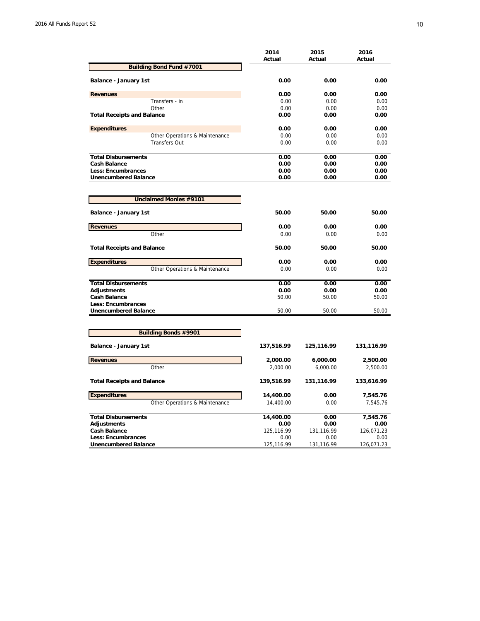|                                   | 2014<br>Actual | 2015<br>Actual | 2016<br>Actual |
|-----------------------------------|----------------|----------------|----------------|
| Building Bond Fund #7001          |                |                |                |
| Balance - January 1st             | 0.00           | 0.00           | 0.00           |
| <b>Revenues</b>                   | 0.00           | 0.00           | 0.00           |
| Transfers - in                    | 0.00           | 0.00           | 0.00           |
| Other                             | 0.00           | 0.00           | 0.00           |
| <b>Total Receipts and Balance</b> | 0.00           | 0.00           | 0.00           |
| <b>Expenditures</b>               | 0.00           | 0.00           | 0.00           |
| Other Operations & Maintenance    | 0.00           | 0.00           | 0.00           |
| <b>Transfers Out</b>              | 0.00           | 0.00           | 0.00           |
| <b>Total Disbursements</b>        | 0.00           | 0.00           | 0.00           |
| <b>Cash Balance</b>               | 0.00           | 0.00           | 0.00           |
| Less: Encumbrances                | 0.00           | 0.00           | 0.00           |
| <b>Unencumbered Balance</b>       | 0.00           | 0.00           | 0.00           |
|                                   |                |                |                |
| <b>Unclaimed Monies #9101</b>     |                |                |                |
| <b>Balance - January 1st</b>      | 50.00          | 50.00          | 50.00          |
| <b>Revenues</b>                   | 0.00           | 0.00           | 0.00           |
| Other                             | 0.00           | 0.00           | 0.00           |
| <b>Total Receipts and Balance</b> | 50.00          | 50.00          | 50.00          |
| <b>Expenditures</b>               | 0.00           | 0.00           | 0.00           |
| Other Operations & Maintenance    | 0.00           | 0.00           | 0.00           |
| <b>Total Disbursements</b>        | 0.00           | 0.00           | 0.00           |
| <b>Adjustments</b>                | 0.00           | 0.00           | 0.00           |
| <b>Cash Balance</b>               | 50.00          | 50.00          | 50.00          |
| Less: Encumbrances                |                |                |                |
| <b>Unencumbered Balance</b>       | 50.00          | 50.00          | 50.00          |
|                                   |                |                |                |
| <b>Building Bonds #9901</b>       |                |                |                |
| Balance - January 1st             | 137,516.99     | 125,116.99     | 131,116.99     |
| <b>Revenues</b>                   | 2,000.00       | 6,000.00       | 2,500.00       |
| Other                             | 2,000.00       | 6,000.00       | 2,500.00       |
| <b>Total Receipts and Balance</b> | 139,516.99     | 131,116.99     | 133,616.99     |
| <b>Expenditures</b>               | 14,400.00      | 0.00           | 7,545.76       |
| Other Operations & Maintenance    | 14,400.00      | 0.00           | 7,545.76       |
| <b>Total Disbursements</b>        | 14,400.00      | 0.00           | 7,545.76       |
| <b>Adjustments</b>                | 0.00           | 0.00           | 0.00           |
| <b>Cash Balance</b>               | 125,116.99     | 131,116.99     | 126,071.23     |
| <b>Less: Encumbrances</b>         | 0.00           | 0.00           | 0.00           |
| <b>Unencumbered Balance</b>       | 125,116.99     | 131,116.99     | 126,071.23     |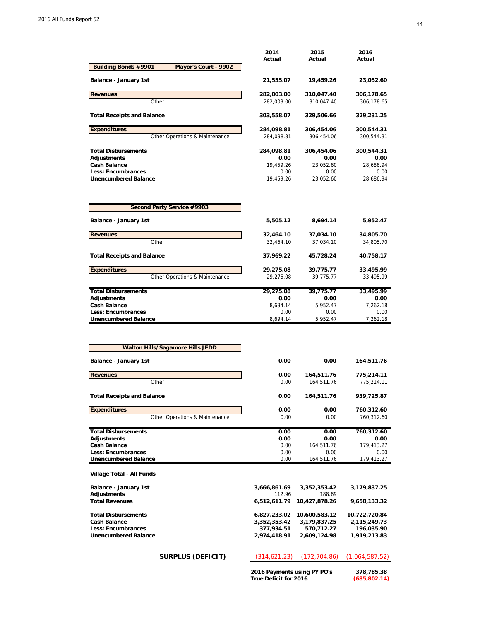|                                              | 2014       | 2015       | 2016       |
|----------------------------------------------|------------|------------|------------|
|                                              | Actual     | Actual     | Actual     |
| Building Bonds #9901<br>Mayor's Court - 9902 |            |            |            |
| <b>Balance - January 1st</b>                 | 21,555.07  | 19,459.26  | 23,052.60  |
| <b>Revenues</b>                              | 282,003.00 | 310,047.40 | 306,178.65 |
| Other                                        | 282.003.00 | 310.047.40 | 306,178.65 |
| <b>Total Receipts and Balance</b>            | 303,558.07 | 329,506.66 | 329,231.25 |
| <b>Expenditures</b>                          | 284,098.81 | 306,454.06 | 300,544.31 |
| Other Operations & Maintenance               | 284.098.81 | 306.454.06 | 300.544.31 |
| <b>Total Disbursements</b>                   | 284,098.81 | 306.454.06 | 300,544.31 |
| Adjustments                                  | 0.00       | 0.00       | 0.00       |
| <b>Cash Balance</b>                          | 19.459.26  | 23.052.60  | 28.686.94  |
| <b>Less: Encumbrances</b>                    | 0.00       | 0.00       | 0.00       |
| <b>Unencumbered Balance</b>                  | 19,459.26  | 23,052.60  | 28,686.94  |

| Second Party Service #9903        |           |           |           |
|-----------------------------------|-----------|-----------|-----------|
| Balance - January 1st             | 5,505.12  | 8,694.14  | 5,952.47  |
| <b>Revenues</b>                   | 32,464.10 | 37,034.10 | 34,805.70 |
| Other                             | 32,464.10 | 37,034.10 | 34,805.70 |
| <b>Total Receipts and Balance</b> | 37,969.22 | 45,728.24 | 40,758.17 |
| <b>Expenditures</b>               | 29,275.08 | 39,775.77 | 33,495.99 |
| Other Operations & Maintenance    | 29.275.08 | 39.775.77 | 33.495.99 |
| <b>Total Disbursements</b>        | 29,275.08 | 39,775.77 | 33,495.99 |
| Adjustments                       | 0.00      | 0.00      | 0.00      |
| <b>Cash Balance</b>               | 8.694.14  | 5,952.47  | 7,262.18  |
| Less: Encumbrances                | 0.00      | 0.00      | 0.00      |
| <b>Unencumbered Balance</b>       | 8.694.14  | 5.952.47  | 7.262.18  |

| <b>Walton Hills/Sagamore Hills JEDD</b> |      |            |            |
|-----------------------------------------|------|------------|------------|
| Balance - January 1st                   | 0.00 | 0.00       | 164,511.76 |
| <b>Revenues</b>                         | 0.00 | 164,511.76 | 775,214.11 |
| Other                                   | 0.00 | 164,511.76 | 775,214.11 |
| <b>Total Receipts and Balance</b>       | 0.00 | 164,511.76 | 939,725.87 |
| <b>Expenditures</b>                     | 0.00 | 0.00       | 760,312.60 |
| Other Operations & Maintenance          | 0.00 | 0.00       | 760.312.60 |
| <b>Total Disbursements</b>              | 0.00 | 0.00       | 760,312.60 |
| <b>Adjustments</b>                      | 0.00 | 0.00       | 0.00       |
| <b>Cash Balance</b>                     | 0.00 | 164,511.76 | 179,413.27 |
| Less: Encumbrances                      | 0.00 | 0.00       | 0.00       |
| <b>Unencumbered Balance</b>             | 0.00 | 164,511.76 | 179,413.27 |
| Village Total - All Funds               |      |            |            |

| Balance - January 1st      | 3,666,861.69 | 3,352,353.42               | 3,179,837.25  |
|----------------------------|--------------|----------------------------|---------------|
| Adjustments                | 112.96       | 188.69                     |               |
| <b>Total Revenues</b>      |              | 6.512.611.79 10.427.878.26 | 9,658,133.32  |
| <b>Total Disbursements</b> |              | 6,827,233.02 10,600,583.12 | 10,722,720.84 |
| Cash Balance               | 3,352,353.42 | 3,179,837.25               | 2,115,249.73  |
| <b>Less: Encumbrances</b>  | 377.934.51   | 570,712.27                 | 196,035.90    |
| Unencumbered Balance       | 2.974.418.91 | 2.609.124.98               | 1,919,213.83  |
|                            |              |                            |               |
|                            |              |                            |               |

**SURPLUS (DEFICIT)** (314,621.23) (172,704.86) (1,064,587.52)

**2016 Payments using PY PO's 378,785.38 True Deficit for 2016 (685,802.14)**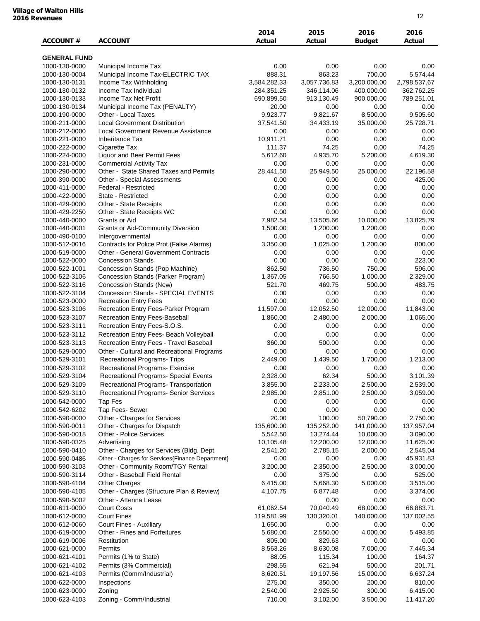|  | <b>Village of Walton Hills</b> |  |
|--|--------------------------------|--|
|  | <b>2016 Revenues</b>           |  |

| <b>ACCOUNT#</b>                | <b>ACCOUNT</b>                                   | 2014<br>Actual      | 2015<br>Actual           | 2016<br><b>Budget</b>    | 2016<br>Actual           |
|--------------------------------|--------------------------------------------------|---------------------|--------------------------|--------------------------|--------------------------|
|                                |                                                  |                     |                          |                          |                          |
| <b>GENERAL FUND</b>            |                                                  |                     |                          |                          |                          |
| 1000-130-0000                  | Municipal Income Tax                             | 0.00                | 0.00                     | 0.00                     | 0.00                     |
| 1000-130-0004                  | Municipal Income Tax-ELECTRIC TAX                | 888.31              | 863.23                   | 700.00                   | 5,574.44                 |
| 1000-130-0131                  | Income Tax Withholding                           | 3,584,282.33        | 3,057,736.83             | 3,200,000.00             | 2,798,537.67             |
| 1000-130-0132<br>1000-130-0133 | Income Tax Individual<br>Income Tax Net Profit   | 284,351.25          | 346,114.06<br>913,130.49 | 400,000.00<br>900,000.00 | 362,762.25<br>789,251.01 |
| 1000-130-0134                  | Municipal Income Tax (PENALTY)                   | 690,899.50<br>20.00 | 0.00                     | 0.00                     | 0.00                     |
| 1000-190-0000                  | Other - Local Taxes                              | 9,923.77            | 9,821.67                 | 8,500.00                 | 9,505.60                 |
| 1000-211-0000                  | <b>Local Government Distribution</b>             | 37,541.50           | 34,433.19                | 35,000.00                | 25,728.71                |
| 1000-212-0000                  | Local Government Revenue Assistance              | 0.00                | 0.00                     | 0.00                     | 0.00                     |
| 1000-221-0000                  | <b>Inheritance Tax</b>                           | 10,911.71           | 0.00                     | 0.00                     | 0.00                     |
| 1000-222-0000                  | Cigarette Tax                                    | 111.37              | 74.25                    | 0.00                     | 74.25                    |
| 1000-224-0000                  | Liquor and Beer Permit Fees                      | 5,612.60            | 4,935.70                 | 5,200.00                 | 4,619.30                 |
| 1000-231-0000                  | <b>Commercial Activity Tax</b>                   | 0.00                | 0.00                     | 0.00                     | 0.00                     |
| 1000-290-0000                  | Other - State Shared Taxes and Permits           | 28,441.50           | 25,949.50                | 25,000.00                | 22,196.58                |
| 1000-390-0000                  | Other - Special Assessments                      | 0.00                | 0.00                     | 0.00                     | 425.00                   |
| 1000-411-0000                  | Federal - Restricted                             | 0.00                | 0.00                     | 0.00                     | 0.00                     |
| 1000-422-0000                  | State - Restricted                               | 0.00                | 0.00                     | 0.00                     | 0.00                     |
| 1000-429-0000                  | Other - State Receipts                           | 0.00                | 0.00                     | 0.00                     | 0.00                     |
| 1000-429-2250                  | Other - State Receipts WC                        | 0.00                | 0.00                     | 0.00                     | 0.00                     |
| 1000-440-0000                  | Grants or Aid                                    | 7,982.54            | 13,505.66                | 10,000.00                | 13,825.79                |
| 1000-440-0001                  | <b>Grants or Aid-Community Diversion</b>         | 1,500.00            | 1,200.00                 | 1,200.00                 | 0.00                     |
| 1000-490-0100                  | Intergovernmental                                | 0.00                | 0.00                     | 0.00                     | 0.00                     |
| 1000-512-0016                  | Contracts for Police Prot. (False Alarms)        | 3,350.00            | 1,025.00                 | 1,200.00                 | 800.00                   |
| 1000-519-0000                  | <b>Other - General Government Contracts</b>      | 0.00                | 0.00                     | 0.00                     | 0.00                     |
| 1000-522-0000                  | <b>Concession Stands</b>                         | 0.00                | 0.00                     | 0.00                     | 223.00                   |
| 1000-522-1001                  | Concession Stands (Pop Machine)                  | 862.50              | 736.50                   | 750.00                   | 596.00                   |
| 1000-522-3106                  | Concession Stands (Parker Program)               | 1,367.05            | 766.50                   | 1,000.00                 | 2,329.00                 |
| 1000-522-3116                  | Concession Stands (New)                          | 521.70              | 469.75                   | 500.00                   | 483.75                   |
| 1000-522-3104                  | <b>Concession Stands - SPECIAL EVENTS</b>        | 0.00                | 0.00                     | 0.00                     | 0.00                     |
| 1000-523-0000                  | <b>Recreation Entry Fees</b>                     | 0.00                | 0.00                     | 0.00                     | 0.00                     |
| 1000-523-3106                  | Recreation Entry Fees-Parker Program             | 11,597.00           | 12,052.50                | 12,000.00                | 11,843.00                |
| 1000-523-3107                  | Recreation Entry Fees-Baseball                   | 1,860.00            | 2,480.00                 | 2,000.00                 | 1,065.00                 |
| 1000-523-3111                  | Recreation Entry Fees-S.O.S.                     | 0.00                | 0.00                     | 0.00                     | 0.00                     |
| 1000-523-3112                  | Recreation Entry Fees- Beach Volleyball          | 0.00                | 0.00                     | 0.00                     | 0.00                     |
| 1000-523-3113                  | Recreation Entry Fees - Travel Baseball          | 360.00              | 500.00                   | 0.00                     | 0.00                     |
| 1000-529-0000                  | Other - Cultural and Recreational Programs       | 0.00                | 0.00                     | 0.00                     | 0.00                     |
| 1000-529-3101                  | <b>Recreational Programs- Trips</b>              | 2,449.00            | 1,439.50                 | 1,700.00                 | 1,213.00                 |
| 1000-529-3102                  | Recreational Programs- Exercise                  | 0.00                | 0.00                     | 0.00                     | 0.00                     |
| 1000-529-3104                  | <b>Recreational Programs- Special Events</b>     | 2,328.00            | 62.34                    | 500.00                   | 3.101.39                 |
| 1000-529-3109                  | Recreational Programs- Transportation            | 3,855.00            | 2,233.00                 | 2,500.00                 | 2,539.00                 |
| 1000-529-3110                  | Recreational Programs- Senior Services           | 2,985.00            | 2,851.00                 | 2,500.00                 | 3,059.00                 |
| 1000-542-0000                  | Tap Fes                                          | 0.00                | 0.00                     | 0.00                     | 0.00                     |
| 1000-542-6202                  | Tap Fees- Sewer                                  | 0.00                | 0.00                     | 0.00                     | 0.00                     |
| 1000-590-0000                  | Other - Charges for Services                     | 20.00               | 100.00                   | 50,790.00                | 2,750.00                 |
| 1000-590-0011                  | Other - Charges for Dispatch                     | 135,600.00          | 135,252.00               | 141,000.00               | 137,957.04               |
| 1000-590-0018                  | <b>Other - Police Services</b>                   | 5,542.50            | 13,274.44                | 10,000.00                | 3,090.00                 |
| 1000-590-0325                  | Advertising                                      | 10,105.48           | 12,200.00                | 12,000.00                | 11,625.00                |
| 1000-590-0410                  | Other - Charges for Services (Bldg. Dept.        | 2,541.20            | 2,785.15                 | 2,000.00                 | 2,545.04                 |
| 1000-590-0486                  | Other - Charges for Services{Finance Department} | 0.00                | 0.00                     | 0.00                     | 45,931.83                |
| 1000-590-3103                  | Other - Community Room/TGY Rental                | 3,200.00            | 2,350.00                 | 2,500.00                 | 3,000.00                 |
| 1000-590-3114                  | Other - Baseball Field Rental                    | 0.00                | 375.00                   | 0.00                     | 525.00                   |
| 1000-590-4104                  | Other Charges                                    | 6,415.00            | 5,668.30                 | 5,000.00                 | 3,515.00                 |
| 1000-590-4105                  | Other - Charges (Structure Plan & Review)        | 4,107.75            | 6,877.48                 | 0.00                     | 3,374.00                 |
| 1000-590-5002                  | Other - Attenna Lease                            |                     | 0.00                     | 0.00                     | 0.00                     |
| 1000-611-0000                  | <b>Court Costs</b>                               | 61,062.54           | 70,040.49                | 68,000.00                | 66,883.71                |
| 1000-612-0000                  | <b>Court Fines</b>                               | 119,581.99          | 130,320.01               | 140,000.00               | 137,002.55               |
| 1000-612-0060                  | Court Fines - Auxiliary                          | 1,650.00            | 0.00                     | 0.00                     | 0.00                     |
| 1000-619-0000                  | Other - Fines and Forfeitures                    | 5,680.00            | 2,550.00                 | 4,000.00                 | 5,493.85                 |
| 1000-619-0006                  | Restitution                                      | 805.00              | 829.63                   | 0.00                     | 0.00                     |
| 1000-621-0000                  | Permits                                          | 8,563.26            | 8,630.08                 | 7,000.00                 | 7,445.34                 |
| 1000-621-4101                  | Permits (1% to State)                            | 88.05               | 115.34                   | 100.00                   | 164.37                   |
| 1000-621-4102                  | Permits (3% Commercial)                          | 298.55              | 621.94                   | 500.00                   | 201.71                   |
| 1000-621-4103                  | Permits (Comm/Industrial)                        | 8,620.51            | 19,197.56                | 15,000.00                | 6,637.24                 |
| 1000-622-0000                  | Inspections                                      | 275.00              | 350.00                   | 200.00                   | 810.00                   |
| 1000-623-0000                  | Zoning                                           | 2,540.00            | 2,925.50                 | 300.00                   | 6,415.00                 |
| 1000-623-4103                  | Zoning - Comm/Industrial                         | 710.00              | 3,102.00                 | 3,500.00                 |                          |
|                                |                                                  |                     |                          |                          | 11,417.20                |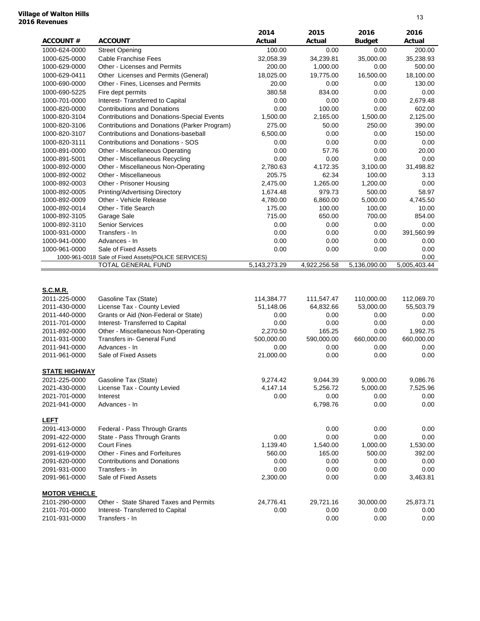#### **Village of Walton Hills 2016 Revenues**

| <b>ACCOUNT#</b>                | <b>ACCOUNT</b>                                            | 2014<br>Actual          | 2015<br>Actual          | 2016<br><b>Budget</b>   | 2016<br>Actual          |
|--------------------------------|-----------------------------------------------------------|-------------------------|-------------------------|-------------------------|-------------------------|
| 1000-624-0000                  | <b>Street Opening</b>                                     | 100.00                  | 0.00                    | 0.00                    | 200.00                  |
| 1000-625-0000                  | <b>Cable Franchise Fees</b>                               | 32,058.39               | 34,239.81               | 35,000.00               | 35,238.93               |
| 1000-629-0000                  | Other - Licenses and Permits                              | 200.00                  | 1,000.00                | 0.00                    | 500.00                  |
| 1000-629-0411                  | Other Licenses and Permits (General)                      | 18,025.00               | 19,775.00               | 16,500.00               | 18,100.00               |
| 1000-690-0000                  | Other - Fines, Licenses and Permits                       | 20.00                   | 0.00                    | 0.00                    | 130.00                  |
| 1000-690-5225                  | Fire dept permits                                         | 380.58                  | 834.00                  | 0.00                    | 0.00                    |
| 1000-701-0000                  | Interest- Transferred to Capital                          | 0.00                    | 0.00                    | 0.00                    | 2,679.48                |
| 1000-820-0000                  | <b>Contributions and Donations</b>                        | 0.00                    | 100.00                  | 0.00                    | 602.00                  |
| 1000-820-3104                  | Contributions and Donations-Special Events                | 1,500.00                | 2,165.00                | 1,500.00                | 2,125.00                |
| 1000-820-3106                  | Contributions and Donations (Parker Program)              | 275.00                  | 50.00                   | 250.00                  | 390.00                  |
| 1000-820-3107                  | Contributions and Donations-baseball                      | 6.500.00                | 0.00                    | 0.00                    | 150.00                  |
| 1000-820-3111                  | <b>Contributions and Donations - SOS</b>                  | 0.00                    | 0.00                    | 0.00                    | 0.00                    |
| 1000-891-0000                  | Other - Miscellaneous Operating                           | 0.00                    | 57.76                   | 0.00                    | 20.00                   |
| 1000-891-5001                  | Other - Miscellaneous Recycling                           | 0.00                    | 0.00                    | 0.00                    | 0.00                    |
| 1000-892-0000                  | Other - Miscellaneous Non-Operating                       | 2,780.63                | 4,172.35                | 3,100.00                | 31,498.82               |
| 1000-892-0002                  | Other - Miscellaneous                                     | 205.75                  | 62.34                   | 100.00                  | 3.13                    |
| 1000-892-0003                  | Other - Prisoner Housing                                  | 2,475.00                | 1,265.00                | 1,200.00                | 0.00                    |
| 1000-892-0005                  | Printing/Advertising Directory<br>Other - Vehicle Release | 1.674.48                | 979.73                  | 500.00<br>5,000.00      | 58.97<br>4,745.50       |
| 1000-892-0009<br>1000-892-0014 | Other - Title Search                                      | 4,780.00<br>175.00      | 6,860.00<br>100.00      | 100.00                  | 10.00                   |
| 1000-892-3105                  | Garage Sale                                               | 715.00                  | 650.00                  | 700.00                  | 854.00                  |
| 1000-892-3110                  | Senior Services                                           | 0.00                    | 0.00                    | 0.00                    | 0.00                    |
| 1000-931-0000                  | Transfers - In                                            | 0.00                    | 0.00                    | 0.00                    | 391,560.99              |
| 1000-941-0000                  | Advances - In                                             | 0.00                    | 0.00                    | 0.00                    | 0.00                    |
| 1000-961-0000                  | Sale of Fixed Assets                                      | 0.00                    | 0.00                    | 0.00                    | 0.00                    |
|                                | 1000-961-0018 Sale of Fixed Assets{POLICE SERVICES}       |                         |                         |                         | 0.00                    |
|                                | TOTAL GENERAL FUND                                        | 5,143,273.29            | 4,922,256.58            | 5,136,090.00            | 5,005,403.44            |
| <b>S.C.M.R.</b>                |                                                           |                         |                         |                         |                         |
| 2011-225-0000<br>2011-430-0000 | Gasoline Tax (State)<br>License Tax - County Levied       | 114,384.77<br>51,148.06 | 111,547.47<br>64,832.66 | 110,000.00<br>53,000.00 | 112,069.70<br>55,503.79 |
| 2011-440-0000                  | Grants or Aid (Non-Federal or State)                      | 0.00                    | 0.00                    | 0.00                    | 0.00                    |
| 2011-701-0000                  | Interest- Transferred to Capital                          | 0.00                    | 0.00                    | 0.00                    | 0.00                    |
| 2011-892-0000                  | Other - Miscellaneous Non-Operating                       | 2,270.50                | 165.25                  | 0.00                    | 1,992.75                |
| 2011-931-0000                  | Transfers in- General Fund                                | 500,000.00              | 590,000.00              | 660,000.00              | 660,000.00              |
| 2011-941-0000                  | Advances - In                                             | 0.00                    | 0.00                    | 0.00                    | 0.00                    |
| 2011-961-0000                  | Sale of Fixed Assets                                      | 21,000.00               | 0.00                    | 0.00                    | 0.00                    |
| <b>STATE HIGHWAY</b>           |                                                           |                         |                         |                         |                         |
| 2021-225-0000                  | Gasoline Tax (State)                                      | 9,274.42                | 9,044.39                | 9,000.00                | 9,086.76                |
| 2021-430-0000                  | License Tax - County Levied                               | 4,147.14                | 5,256.72                | 5,000.00                | 7,525.96                |
| 2021-701-0000                  | Interest                                                  | 0.00                    | 0.00                    | 0.00                    | 0.00                    |
| 2021-941-0000                  | Advances - In                                             |                         | 6,798.76                | 0.00                    | 0.00                    |
| <b>LEFT</b>                    |                                                           |                         |                         |                         |                         |
| 2091-413-0000                  | Federal - Pass Through Grants                             |                         | 0.00                    | 0.00                    | 0.00                    |
| 2091-422-0000                  | State - Pass Through Grants                               | 0.00                    | 0.00                    | 0.00                    | 0.00                    |
| 2091-612-0000                  | <b>Court Fines</b>                                        | 1,139.40                | 1,540.00                | 1,000.00                | 1,530.00                |
| 2091-619-0000                  | Other - Fines and Forfeitures                             | 560.00                  | 165.00                  | 500.00                  | 392.00                  |
| 2091-820-0000                  | <b>Contributions and Donations</b>                        | 0.00                    | 0.00                    | 0.00                    | 0.00                    |
| 2091-931-0000                  | Transfers - In                                            | 0.00                    | 0.00                    | 0.00                    | 0.00                    |
| 2091-961-0000                  | Sale of Fixed Assets                                      | 2,300.00                | 0.00                    | 0.00                    | 3,463.81                |
| <b>MOTOR VEHICLE</b>           |                                                           |                         |                         |                         |                         |
| 2101-290-0000<br>2101-701-0000 | Other - State Shared Taxes and Permits                    | 24,776.41<br>0.00       | 29,721.16<br>0.00       | 30,000.00<br>0.00       | 25,873.71               |
| 2101-931-0000                  | Interest-Transferred to Capital<br>Transfers - In         |                         | 0.00                    | 0.00                    | 0.00<br>0.00            |
|                                |                                                           |                         |                         |                         |                         |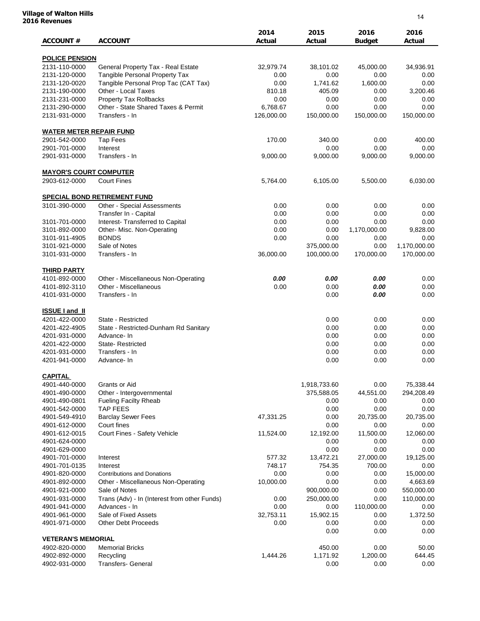#### **Village of Walton Hills 2016 Revenues**

| <b>ACCOUNT#</b>                | <b>ACCOUNT</b>                               | 2014<br>Actual | 2015<br>Actual    | 2016<br><b>Budget</b> | 2016<br>Actual    |
|--------------------------------|----------------------------------------------|----------------|-------------------|-----------------------|-------------------|
| <b>POLICE PENSION</b>          |                                              |                |                   |                       |                   |
| 2131-110-0000                  | General Property Tax - Real Estate           | 32,979.74      | 38,101.02         | 45,000.00             | 34,936.91         |
| 2131-120-0000                  | Tangible Personal Property Tax               | 0.00           | 0.00              | 0.00                  | 0.00              |
| 2131-120-0020                  | Tangible Personal Prop Tac (CAT Tax)         | 0.00           | 1,741.62          | 1,600.00              | 0.00              |
| 2131-190-0000                  | Other - Local Taxes                          | 810.18         | 405.09            | 0.00                  | 3,200.46          |
| 2131-231-0000                  | <b>Property Tax Rollbacks</b>                | 0.00           | 0.00              | 0.00                  | 0.00              |
| 2131-290-0000                  | Other - State Shared Taxes & Permit          | 6,768.67       | 0.00              | 0.00                  | 0.00              |
| 2131-931-0000                  | Transfers - In                               | 126,000.00     | 150,000.00        | 150,000.00            | 150,000.00        |
| <b>WATER METER REPAIR FUND</b> |                                              |                |                   |                       |                   |
| 2901-542-0000                  | <b>Tap Fees</b>                              | 170.00         | 340.00            | 0.00                  | 400.00            |
| 2901-701-0000                  | Interest                                     |                | 0.00              | 0.00                  | 0.00              |
| 2901-931-0000                  | Transfers - In                               | 9,000.00       | 9,000.00          | 9,000.00              | 9,000.00          |
| <b>MAYOR'S COURT COMPUTER</b>  |                                              |                |                   |                       |                   |
| 2903-612-0000                  | <b>Court Fines</b>                           | 5,764.00       | 6,105.00          | 5,500.00              | 6,030.00          |
|                                | <b>SPECIAL BOND RETIREMENT FUND</b>          |                |                   |                       |                   |
| 3101-390-0000                  | Other - Special Assessments                  | 0.00           | 0.00              | 0.00                  | 0.00              |
|                                | Transfer In - Capital                        | 0.00           | 0.00              | 0.00                  | 0.00              |
| 3101-701-0000                  | Interest- Transferred to Capital             | 0.00           | 0.00              | 0.00                  | 0.00              |
| 3101-892-0000                  | Other- Misc. Non-Operating                   | 0.00           | 0.00              | 1,170,000.00          | 9,828.00          |
| 3101-911-4905                  | <b>BONDS</b>                                 | 0.00           | 0.00              | 0.00                  | 0.00              |
| 3101-921-0000                  | Sale of Notes                                |                | 375,000.00        | 0.00                  | 1,170,000.00      |
| 3101-931-0000                  | Transfers - In                               | 36,000.00      | 100,000.00        | 170,000.00            | 170,000.00        |
| <b>THIRD PARTY</b>             |                                              |                |                   |                       |                   |
| 4101-892-0000                  | Other - Miscellaneous Non-Operating          | 0.00           | 0.00              | 0.00                  | 0.00              |
| 4101-892-3110                  | Other - Miscellaneous                        | 0.00           | 0.00              | 0.00                  | 0.00              |
| 4101-931-0000                  | Transfers - In                               |                | 0.00              | 0.00                  | 0.00              |
| <b>ISSUE I and II</b>          |                                              |                |                   |                       |                   |
| 4201-422-0000                  | State - Restricted                           |                | 0.00              | 0.00                  | 0.00              |
| 4201-422-4905                  | State - Restricted-Dunham Rd Sanitary        |                | 0.00              | 0.00                  | 0.00              |
| 4201-931-0000                  | Advance-In                                   |                | 0.00              | 0.00                  | 0.00              |
| 4201-422-0000                  | <b>State-Restricted</b>                      |                | 0.00              | 0.00                  | 0.00              |
| 4201-931-0000                  | Transfers - In                               |                | 0.00              | 0.00                  | 0.00              |
| 4201-941-0000                  | Advance-In                                   |                | 0.00              | 0.00                  | 0.00              |
| <b>CAPITAL</b>                 |                                              |                |                   |                       |                   |
| 4901-440-0000                  | Grants or Aid                                |                | 1,918,733.60      | 0.00                  | 75,338.44         |
| 4901-490-0000                  | Other - Intergovernmental                    |                | 375,588.05        | 44,551.00             | 294,208.49        |
| 4901-490-0801                  | <b>Fueling Facilty Rheab</b>                 |                | 0.00              | 0.00                  | 0.00              |
| 4901-542-0000                  | <b>TAP FEES</b>                              |                | 0.00              | 0.00                  | 0.00              |
| 4901-549-4910                  | <b>Barclay Sewer Fees</b>                    | 47,331.25      | 0.00              | 20,735.00             | 20,735.00         |
| 4901-612-0000<br>4901-612-0015 | Court fines<br>Court Fines - Safety Vehicle  | 11,524.00      | 0.00<br>12,192.00 | 0.00<br>11,500.00     | 0.00<br>12,060.00 |
| 4901-624-0000                  |                                              |                | 0.00              | 0.00                  | 0.00              |
| 4901-629-0000                  |                                              |                | 0.00              | 0.00                  | 0.00              |
| 4901-701-0000                  | Interest                                     | 577.32         | 13,472.21         | 27,000.00             | 19,125.00         |
| 4901-701-0135                  | Interest                                     | 748.17         | 754.35            | 700.00                | 0.00              |
| 4901-820-0000                  | <b>Contributions and Donations</b>           | 0.00           | 0.00              | 0.00                  | 15,000.00         |
| 4901-892-0000                  | Other - Miscellaneous Non-Operating          | 10,000.00      | 0.00              | 0.00                  | 4,663.69          |
| 4901-921-0000                  | Sale of Notes                                |                | 900,000.00        | 0.00                  | 550,000.00        |
| 4901-931-0000                  | Trans (Adv) - In (Interest from other Funds) | 0.00           | 250,000.00        | 0.00                  | 110,000.00        |
| 4901-941-0000                  | Advances - In                                | 0.00           | 0.00              | 110,000.00            | 0.00              |
| 4901-961-0000                  | Sale of Fixed Assets                         | 32,753.11      | 15,902.15         | 0.00                  | 1,372.50          |
| 4901-971-0000                  | <b>Other Debt Proceeds</b>                   | 0.00           | 0.00              | 0.00                  | 0.00              |
|                                |                                              |                | 0.00              | 0.00                  | 0.00              |
| <b>VETERAN'S MEMORIAL</b>      |                                              |                |                   |                       |                   |
| 4902-820-0000                  | <b>Memorial Bricks</b>                       |                | 450.00            | 0.00                  | 50.00             |
| 4902-892-0000                  | Recycling                                    | 1,444.26       | 1,171.92          | 1,200.00              | 644.45            |
| 4902-931-0000                  | <b>Transfers- General</b>                    |                | 0.00              | 0.00                  | 0.00              |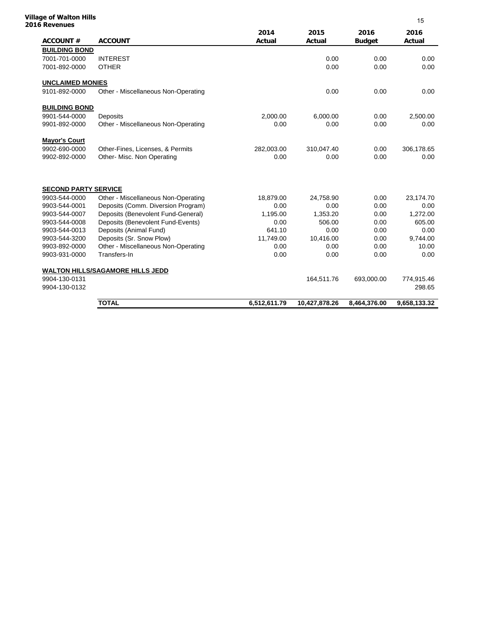#### **Village of Walton Hills 2016 Revenues**

| o kevenues<br><b>ACCOUNT#</b> | <b>ACCOUNT</b>                          | 2014<br>Actual | 2015<br>Actual | 2016<br><b>Budget</b> | 2016<br>Actual |
|-------------------------------|-----------------------------------------|----------------|----------------|-----------------------|----------------|
| <b>BUILDING BOND</b>          |                                         |                |                |                       |                |
| 7001-701-0000                 | <b>INTEREST</b>                         |                | 0.00           | 0.00                  | 0.00           |
| 7001-892-0000                 | <b>OTHER</b>                            |                | 0.00           | 0.00                  | 0.00           |
| <b>UNCLAIMED MONIES</b>       |                                         |                |                |                       |                |
| 9101-892-0000                 | Other - Miscellaneous Non-Operating     |                | 0.00           | 0.00                  | 0.00           |
| <b>BUILDING BOND</b>          |                                         |                |                |                       |                |
| 9901-544-0000                 | <b>Deposits</b>                         | 2,000.00       | 6,000.00       | 0.00                  | 2,500.00       |
| 9901-892-0000                 | Other - Miscellaneous Non-Operating     | 0.00           | 0.00           | 0.00                  | 0.00           |
| <b>Mayor's Court</b>          |                                         |                |                |                       |                |
| 9902-690-0000                 | Other-Fines, Licenses, & Permits        | 282,003.00     | 310,047.40     | 0.00                  | 306,178.65     |
| 9902-892-0000                 | Other- Misc. Non Operating              | 0.00           | 0.00           | 0.00                  | 0.00           |
| <b>SECOND PARTY SERVICE</b>   |                                         |                |                |                       |                |
| 9903-544-0000                 | Other - Miscellaneous Non-Operating     | 18,879.00      | 24,758.90      | 0.00                  | 23,174.70      |
| 9903-544-0001                 | Deposits (Comm. Diversion Program)      | 0.00           | 0.00           | 0.00                  | 0.00           |
| 9903-544-0007                 | Deposits (Benevolent Fund-General)      | 1,195.00       | 1,353.20       | 0.00                  | 1,272.00       |
| 9903-544-0008                 | Deposits (Benevolent Fund-Events)       | 0.00           | 506.00         | 0.00                  | 605.00         |
| 9903-544-0013                 | Deposits (Animal Fund)                  | 641.10         | 0.00           | 0.00                  | 0.00           |
| 9903-544-3200                 | Deposits (Sr. Snow Plow)                | 11,749.00      | 10,416.00      | 0.00                  | 9,744.00       |
| 9903-892-0000                 | Other - Miscellaneous Non-Operating     | 0.00           | 0.00           | 0.00                  | 10.00          |
| 9903-931-0000                 | Transfers-In                            | 0.00           | 0.00           | 0.00                  | 0.00           |
|                               | <b>WALTON HILLS/SAGAMORE HILLS JEDD</b> |                |                |                       |                |
| 9904-130-0131                 |                                         |                | 164,511.76     | 693,000.00            | 774,915.46     |
| 9904-130-0132                 |                                         |                |                |                       | 298.65         |
|                               | <b>TOTAL</b>                            | 6,512,611.79   | 10,427,878.26  | 8,464,376.00          | 9,658,133.32   |

15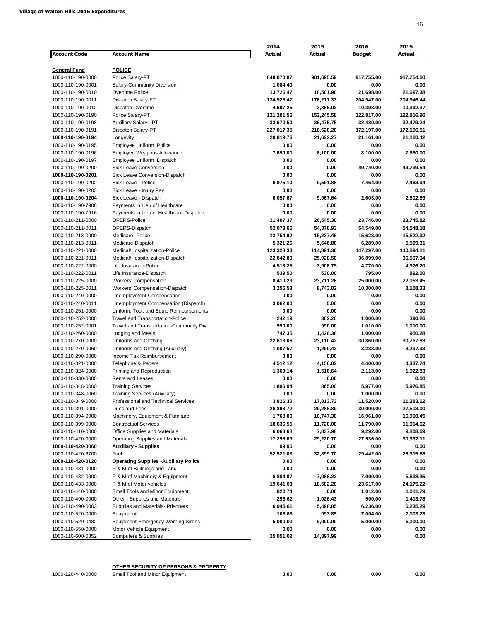|                                          |                                                                           | 2014             | 2015             | 2016                  | 2016                  |
|------------------------------------------|---------------------------------------------------------------------------|------------------|------------------|-----------------------|-----------------------|
| <b>Account Code</b>                      | <b>Account Name</b>                                                       | Actual           | Actual           | <b>Budget</b>         | Actual                |
|                                          |                                                                           |                  |                  |                       |                       |
| <b>General Fund</b><br>1000-110-190-0000 | <b>POLICE</b><br>Police Salary-FT                                         | 848,070.97       | 901,695.59       | 917,755.00            | 917,754.60            |
| 1000-110-190-0001                        | Salary-Community Diversion                                                | 1,084.40         | 0.00             | 0.00                  | 0.00                  |
| 1000-110-190-0010                        | Overtime Police                                                           | 13,726.47        | 18,501.90        | 21,698.00             | 21,697.38             |
| 1000-110-190-0011                        | Dispatch Salary-FT                                                        | 134,925.47       | 176,217.33       | 204,947.00            | 204,946.44            |
| 1000-110-190-0012                        | Dispatch Overtime                                                         | 4,697.25         | 3,866.03         | 10,393.00             | 10,392.37             |
| 1000-110-190-0190                        | Police Salary-PT                                                          | 121,201.56       | 152,245.58       | 122,817.00            | 122,816.96            |
| 1000-110-190-0198                        | Auxillary Salary - PT                                                     | 33,670.50        | 36,475.75        | 32,480.00             | 32,479.24             |
| 1000-110-190-0191                        | Dispatch Salary-PT                                                        | 227,017.35       | 218,620.20       | 172,197.00            | 172,196.51            |
| 1000-110-190-0194                        | Longevity                                                                 | 20,819.76        | 21,622.27        | 21,161.00             | 21,160.42             |
| 1000-110-190-0195                        | Employee Uniform Police                                                   | 0.00             | 0.00             | 0.00                  | 0.00                  |
| 1000-110-190-0196                        | Employee Weapons Allowance                                                | 7,650.00         | 8,100.00         | 8,100.00              | 7,650.00              |
| 1000-110-190-0197                        | Employee Uniform Dispatch                                                 | 0.00             | 0.00             | 0.00                  | 0.00                  |
| 1000-110-190-0200                        | Sick Leave Conversion                                                     | 0.00             | 0.00             | 49,740.00             | 49,739.54             |
| 1000-110-190-0201                        | Sick Leave Conversion-Dispatch                                            | 0.00             | 0.00             | 0.00                  | 0.00                  |
| 1000-110-190-0202                        | Sick Leave - Police                                                       | 6,975.10         | 9,591.88         | 7,464.00              | 7,463.94              |
| 1000-110-190-0203                        | Sick Leave - Injury Pay                                                   | 0.00             | 0.00             | 0.00<br>2.603.00      | 0.00<br>2.602.89      |
| 1000-110-190-0204<br>1000-110-190-7906   | Sick Leave - Dispatch                                                     | 6,057.67<br>0.00 | 9,967.64<br>0.00 | 0.00                  | 0.00                  |
| 1000-110-190-7916                        | Payments in Lieu of Healthcare<br>Payments in Lieu of Healthcare-Dispatch | 0.00             | 0.00             | 0.00                  | 0.00                  |
| 1000-110-211-0000                        | OPERS-Police                                                              | 21,497.37        | 26,545.30        | 23,746.00             | 23,745.82             |
| 1000-110-211-0011                        | OPERS-Dispatch                                                            | 52,073.66        | 54,378.93        | 54,549.00             | 54,548.18             |
| 1000-110-213-0000                        | Medicare-Police                                                           | 13,754.92        | 15,237.46        | 15,623.00             | 15,622.92             |
| 1000-110-213-0011                        | Medicare-Dispatch                                                         | 5,321.26         | 5,646.80         | 6,289.00              | 5,509.31              |
| 1000-110-221-0000                        | Medical/Hospitalization-Police                                            | 123,328.33       | 114,891.30       | 147,297.00            | 140,894.11            |
| 1000-110-221-0011                        | Medical/Hospitalization-Dispatch                                          | 22,842.89        | 25,928.50        | 36,899.00             | 36,597.34             |
| 1000-110-222-0000                        | Life Insurance-Police                                                     | 4,518.25         | 3.908.75         | 4.770.00              | 4,976.20              |
| 1000-110-222-0011                        | Life Insurance-Dispatch                                                   | 539.50           | 530.00           | 795.00                | 892.00                |
| 1000-110-225-0000                        | <b>Workers' Compensation</b>                                              | 8,410.29         | 23,711.26        | 25,000.00             | 22,053.45             |
| 1000-110-225-0011                        | Workers' Compensation-Dispatch                                            | 3,256.53         | 8,743.82         | 10,300.00             | 8,158.33              |
| 1000-110-240-0000                        | Unemployment Compensation                                                 | 0.00             | 0.00             | 0.00                  | 0.00                  |
| 1000-110-240-0011                        | Unemployment Compensation (Dispatch)                                      | 3,062.00         | 0.00             | 0.00                  | 0.00                  |
| 1000-110-251-0000                        | Uniform, Tool, and Equip Reimbursements                                   | 0.00             | 0.00             | 0.00                  | 0.00                  |
| 1000-110-252-0000                        | <b>Travel and Transportation-Police</b>                                   | 242.19           | 302.26           | 1,000.00              | 390.26                |
| 1000-110-252-0001                        | Travel and Transportation-Community Div                                   | 990.00           | 990.00           | 1,010.00              | 1,010.00              |
| 1000-110-260-0000                        | Lodging and Meals                                                         | 747.35           | 1,426.38         | 1,000.00              | 950.28                |
| 1000-110-270-0000                        | Uniforms and Clothing                                                     | 22,613.06        | 23,110.42        | 30,860.00<br>3,238.00 | 30,767.83<br>3,237.93 |
| 1000-110-270-0060<br>1000-110-290-0000   | Uniforms and Clothing (Auxiliary)<br>Income Tax Reimbursement             | 1,007.57<br>0.00 | 1,290.43<br>0.00 | 0.00                  | 0.00                  |
| 1000-110-321-0000                        | Telephone & Pagers                                                        | 4,512.12         | 4.156.02         | 4,400.00              | 4,337.74              |
| 1000-110-324-0000                        | Printing and Reproduction                                                 | 1,369.14         | 1,516.64         | 2,113.00              | 1,922.83              |
| 1000-110-330-0000                        | Rents and Leases                                                          | 0.00             | 0.00             | 0.00                  | 0.00                  |
| 1000-110-348-0000                        | <b>Training Services</b>                                                  | 1,896.94         | 865.00           | 5.977.00              | 5,976.85              |
| 1000-110-348-0060                        | Training Services (Auxiliary)                                             | 0.00             | 0.00             | 1,000.00              | 0.00                  |
| 1000-110-349-0000                        | Professional and Technical Services                                       | 3,826.30         | 17,813.73        | 11,520.00             | 11,383.62             |
| 1000-110-391-0000                        | Dues and Fees                                                             | 26,893.72        | 29,286.89        | 30,000.00             | 27,513.00             |
| 1000-110-394-0000                        | Machinery, Equipment & Furniture                                          | 1,768.00         | 10,747.30        | 16,961.00             | 16,960.45             |
| 1000-110-399-0000                        | <b>Contractual Services</b>                                               | 18,636.55        | 11,720.00        | 11,790.00             | 11,914.62             |
| 1000-110-410-0000                        | Office Supplies and Materials                                             | 6,063.68         | 7,837.98         | 9,292.00              | 9,808.69              |
| 1000-110-420-0000                        | Operating Supplies and Materials                                          | 17,295.69        | 29,220.70        | 27,536.00             | 30,332.11             |
| 1000-110-420-0060                        | <b>Auxiliary - Supplies</b>                                               | 99.90            | 0.00             | 0.00                  | 0.00                  |
| 1000-110-420-6700                        | Fuel                                                                      | 52,521.03        | 32,899.70        | 29,442.00             | 26,315.68             |
| 1000-110-420-0120                        | <b>Operating Supplies -Auxiliary Police</b>                               | 0.00             | 0.00             | 0.00                  | 0.00                  |
| 1000-110-431-0000                        | R & M of Buildings and Land                                               | 0.00             | 0.00             | 0.00                  | 0.00                  |
| 1000-110-432-0000                        | R & M of Machinery & Equipment                                            | 6,884.07         | 7,986.22         | 7,000.00              | 5,638.35              |
| 1000-110-433-0000                        | R & M of Motor vehicles                                                   | 19,641.08        | 18,582.20        | 23,617.00             | 24,175.22             |
| 1000-110-440-0000                        | Small Tools and Minor Equipment                                           | 820.74           | 0.00             | 1,012.00              | 1,011.79              |
| 1000-110-490-0000                        | Other - Supplies and Materials                                            | 296.62           | 1,026.43         | 500.00                | 1,413.78              |
| 1000-110-490-0003                        | Supplies and Materials- Prisoners                                         | 6,945.61         | 5,498.05         | 6,236.00              | 6,235.29              |
| 1000-110-520-0000                        | Equipment                                                                 | 108.68           | 993.85           | 7,004.00              | 7,003.23              |
| 1000-110-520-0482<br>1000-110-550-0000   | <b>Equipment-Emergency Warning Sirens</b><br>Motor Vehicle Equipment      | 5,000.00<br>0.00 | 5,000.00<br>0.00 | 5,000.00<br>0.00      | 5,000.00<br>0.00      |
| 1000-110-600-0852                        | <b>Computers &amp; Supplies</b>                                           | 25,051.02        | 14,897.99        | 0.00                  | 0.00                  |
|                                          |                                                                           |                  |                  |                       |                       |

**OTHER SECURITY OF PERSONS & PROPERTY**

1000-120-440-0000 Small Tool and Minor Equipment **0.00 0.00 0.00 0.00**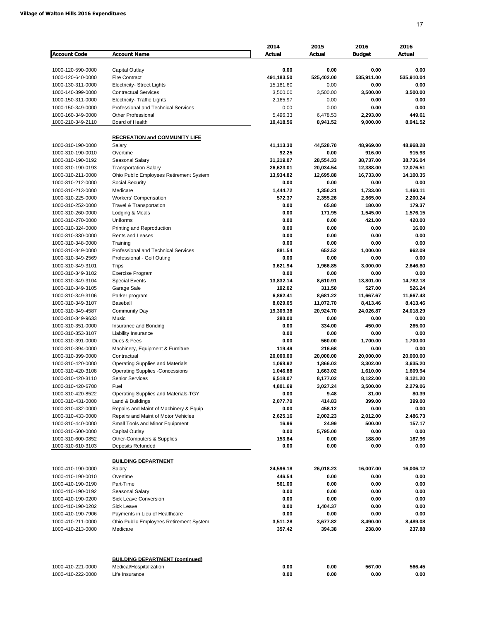|                                        |                                                           | 2014                    | 2015               | 2016               | 2016               |
|----------------------------------------|-----------------------------------------------------------|-------------------------|--------------------|--------------------|--------------------|
| <b>Account Code</b>                    | <b>Account Name</b>                                       | Actual                  | Actual             | <b>Budget</b>      | Actual             |
|                                        |                                                           |                         |                    |                    |                    |
| 1000-120-590-0000                      | Capital Outlay                                            | 0.00                    | 0.00               | 0.00               | 0.00               |
| 1000-120-640-0000<br>1000-130-311-0000 | <b>Fire Contract</b><br><b>Electricity- Street Lights</b> | 491,183.50<br>15,181.60 | 525,402.00<br>0.00 | 535,911.00<br>0.00 | 535,910.04<br>0.00 |
| 1000-140-399-0000                      | <b>Contractual Services</b>                               | 3,500.00                | 3,500.00           | 3,500.00           | 3,500.00           |
| 1000-150-311-0000                      | <b>Electricity- Traffic Lights</b>                        | 2,165.97                | 0.00               | 0.00               | 0.00               |
| 1000-150-349-0000                      | Professional and Technical Services                       | 0.00                    | 0.00               | 0.00               | 0.00               |
| 1000-160-349-0000                      | <b>Other Professional</b>                                 | 5,496.33                | 6,478.53           | 2,293.00           | 449.61             |
| 1000-210-349-2110                      | Board of Health                                           | 10,418.56               | 8,941.52           | 9,000.00           | 8,941.52           |
|                                        |                                                           |                         |                    |                    |                    |
|                                        | <b>RECREATION and COMMUNITY LIFE</b>                      |                         |                    |                    |                    |
| 1000-310-190-0000                      | Salary                                                    | 41,113.30               | 44,528.70          | 48,969.00          | 48,968.28          |
| 1000-310-190-0010                      | Overtime                                                  | 92.25                   | 0.00               | 916.00             | 915.93             |
| 1000-310-190-0192                      | Seasonal Salary                                           | 31,219.07               | 28,554.33          | 38,737.00          | 38,736.04          |
| 1000-310-190-0193                      | <b>Transportation Salary</b>                              | 26,623.01               | 20,034.54          | 12,388.00          | 12,076.51          |
| 1000-310-211-0000                      | Ohio Public Employees Retirement System                   | 13,934.82               | 12,695.88          | 16,733.00          | 14,100.35          |
| 1000-310-212-0000<br>1000-310-213-0000 | Social Security<br>Medicare                               | 0.00<br>1,444.72        | 0.00<br>1,350.21   | 0.00<br>1,733.00   | 0.00<br>1,460.11   |
| 1000-310-225-0000                      | <b>Workers' Compensation</b>                              | 572.37                  | 2,355.26           | 2,865.00           | 2,200.24           |
| 1000-310-252-0000                      | Travel & Transportation                                   | 0.00                    | 65.80              | 180.00             | 179.37             |
| 1000-310-260-0000                      | Lodging & Meals                                           | 0.00                    | 171.95             | 1,545.00           | 1,576.15           |
| 1000-310-270-0000                      | Uniforms                                                  | 0.00                    | 0.00               | 421.00             | 420.00             |
| 1000-310-324-0000                      | Printing and Reproduction                                 | 0.00                    | 0.00               | 0.00               | 16.00              |
| 1000-310-330-0000                      | Rents and Leases                                          | 0.00                    | 0.00               | 0.00               | 0.00               |
| 1000-310-348-0000                      | Training                                                  | 0.00                    | 0.00               | 0.00               | 0.00               |
| 1000-310-349-0000                      | Professional and Technical Services                       | 881.54                  | 652.52             | 1,000.00           | 962.09             |
| 1000-310-349-2569                      | Professional - Golf Outing                                | 0.00                    | 0.00               | 0.00               | 0.00               |
| 1000-310-349-3101                      | Trips                                                     | 3,621.94                | 1,966.85           | 3,000.00           | 2,646.80           |
| 1000-310-349-3102                      | <b>Exercise Program</b>                                   | 0.00                    | 0.00               | 0.00               | 0.00               |
| 1000-310-349-3104                      | <b>Special Events</b>                                     | 13,832.14               | 8,610.91           | 13,801.00          | 14,782.18          |
| 1000-310-349-3105                      | Garage Sale                                               | 192.02                  | 311.50             | 527.00             | 526.24             |
| 1000-310-349-3106                      | Parker program                                            | 6,862.41                | 8,681.22           | 11,667.67          | 11,667.43          |
| 1000-310-349-3107                      | Baseball                                                  | 8,029.65                | 11,072.70          | 8,413.46           | 8,413.46           |
| 1000-310-349-4587                      | <b>Community Day</b>                                      | 19,309.38               | 20,924.70          | 24,026.87          | 24,018.29          |
| 1000-310-349-9633                      | Music                                                     | 280.00                  | 0.00               | 0.00               | 0.00               |
| 1000-310-351-0000<br>1000-310-353-3107 | Insurance and Bonding<br>Liability Insurance              | 0.00<br>0.00            | 334.00<br>0.00     | 450.00<br>0.00     | 265.00<br>0.00     |
| 1000-310-391-0000                      | Dues & Fees                                               | 0.00                    | 560.00             | 1,700.00           | 1,700.00           |
| 1000-310-394-0000                      | Machinery, Equipment & Furniture                          | 119.49                  | 216.68             | 0.00               | 0.00               |
| 1000-310-399-0000                      | Contractual                                               | 20,000.00               | 20,000.00          | 20,000.00          | 20,000.00          |
| 1000-310-420-0000                      | <b>Operating Supplies and Materials</b>                   | 1,068.92                | 1,866.03           | 3,302.00           | 3,635.20           |
| 1000-310-420-3108                      | <b>Operating Supplies -Concessions</b>                    | 1,046.88                | 1,663.02           | 1,610.00           | 1,609.94           |
| 1000-310-420-3110                      | <b>Senior Services</b>                                    | 6,518.07                | 8,177.02           | 8,122.00           | 8,121.20           |
| 1000-310-420-6700                      | Fuel                                                      | 4,801.69                | 3,027.24           | 3,500.00           | 2,279.06           |
| 1000-310-420-8522                      | Operating Supplies and Materials-TGY                      | 0.00                    | 9.48               | 81.00              | 80.39              |
| 1000-310-431-0000                      | Land & Buildings                                          | 2,077.70                | 414.83             | 399.00             | 399.00             |
| 1000-310-432-0000                      | Repairs and Maint of Machinery & Equip                    | 0.00                    | 458.12             | 0.00               | 0.00               |
| 1000-310-433-0000                      | Repairs and Maint of Motor Vehicles                       | 2,625.16                | 2,002.23           | 2,012.00           | 2,486.73           |
| 1000-310-440-0000                      | Small Tools and Minor Equipment                           | 16.96                   | 24.99              | 500.00             | 157.17             |
| 1000-310-500-0000                      | Capital Outlay                                            | 0.00                    | 5,795.00           | 0.00               | 0.00               |
| 1000-310-600-0852                      | Other-Computers & Supplies                                | 153.84                  | 0.00               | 188.00             | 187.96             |
| 1000-310-610-3103                      | Deposits Refunded                                         | 0.00                    | 0.00               | 0.00               | 0.00               |
|                                        |                                                           |                         |                    |                    |                    |
|                                        | <b>BUILDING DEPARTMENT</b>                                | 24,596.18               | 26,018.23          | 16,007.00          | 16,006.12          |
| 1000-410-190-0000<br>1000-410-190-0010 | Salary<br>Overtime                                        | 446.54                  | 0.00               | 0.00               | 0.00               |
| 1000-410-190-0190                      | Part-Time                                                 | 561.00                  | 0.00               | 0.00               | 0.00               |
| 1000-410-190-0192                      | Seasonal Salary                                           | 0.00                    | 0.00               | 0.00               | 0.00               |
| 1000-410-190-0200                      | Sick Leave Conversion                                     | 0.00                    | 0.00               | 0.00               | 0.00               |
| 1000-410-190-0202                      | Sick Leave                                                | 0.00                    | 1,404.37           | 0.00               | 0.00               |
| 1000-410-190-7906                      | Payments in Lieu of Healthcare                            | 0.00                    | 0.00               | 0.00               | 0.00               |
| 1000-410-211-0000                      | Ohio Public Employees Retirement System                   | 3,511.28                | 3,677.82           | 8,490.00           | 8,489.08           |
| 1000-410-213-0000                      | Medicare                                                  | 357.42                  | 394.38             | 238.00             | 237.88             |
|                                        |                                                           |                         |                    |                    |                    |
|                                        | <b>BUILDING DEPARTMENT (continued)</b>                    |                         |                    |                    |                    |
| 1000-410-221-0000                      | Medical/Hospitalization                                   | 0.00                    | 0.00               | 567.00             | 566.45             |
| 1000-410-222-0000                      | Life Insurance                                            | 0.00                    | 0.00               | 0.00               | 0.00               |
|                                        |                                                           |                         |                    |                    |                    |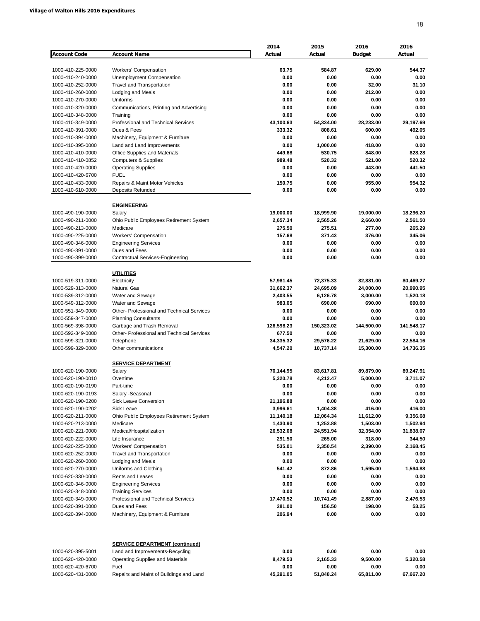| <b>Account Code</b>                    | <b>Account Name</b>                              | 2014<br>Actual    | 2015<br>Actual    | 2016<br><b>Budget</b> | 2016<br>Actual    |
|----------------------------------------|--------------------------------------------------|-------------------|-------------------|-----------------------|-------------------|
|                                        |                                                  |                   |                   |                       |                   |
| 1000-410-225-0000                      | <b>Workers' Compensation</b>                     | 63.75             | 584.87            | 629.00                | 544.37            |
| 1000-410-240-0000                      | Unemployment Compensation                        | 0.00              | 0.00              | 0.00                  | 0.00              |
| 1000-410-252-0000                      | <b>Travel and Transportation</b>                 | 0.00              | 0.00              | 32.00                 | 31.10             |
| 1000-410-260-0000                      | <b>Lodging and Meals</b>                         | 0.00              | 0.00              | 212.00                | 0.00              |
| 1000-410-270-0000                      | Uniforms                                         | 0.00              | 0.00              | 0.00                  | 0.00              |
| 1000-410-320-0000                      | Communications, Printing and Advertising         | 0.00              | 0.00              | 0.00                  | 0.00              |
| 1000-410-348-0000                      | Training                                         | 0.00              | 0.00              | 0.00                  | 0.00              |
| 1000-410-349-0000                      | Professional and Technical Services              | 43,100.63         | 54,334.00         | 28,233.00             | 29,197.69         |
| 1000-410-391-0000                      | Dues & Fees                                      | 333.32            | 808.61            | 600.00                | 492.05            |
| 1000-410-394-0000                      | Machinery, Equipment & Furniture                 | 0.00              | 0.00              | 0.00                  | 0.00              |
| 1000-410-395-0000                      | Land and Land Improvements                       | 0.00              | 1,000.00          | 418.00                | 0.00              |
| 1000-410-410-0000                      | Office Supplies and Materials                    | 449.68            | 530.75            | 848.00                | 828.28            |
| 1000-410-410-0852                      | <b>Computers &amp; Supplies</b>                  | 989.48            | 520.32            | 521.00                | 520.32            |
| 1000-410-420-0000                      | <b>Operating Supplies</b>                        | 0.00              | 0.00              | 443.00                | 441.50            |
| 1000-410-420-6700                      | <b>FUEL</b>                                      | 0.00              | 0.00              | 0.00                  | 0.00              |
| 1000-410-433-0000                      | Repairs & Maint Motor Vehicles                   | 150.75            | 0.00              | 955.00                | 954.32            |
| 1000-410-610-0000                      | <b>Deposits Refunded</b>                         | 0.00              | 0.00              | 0.00                  | 0.00              |
|                                        | <b>ENGINEERING</b>                               |                   |                   |                       |                   |
| 1000-490-190-0000                      | Salary                                           | 19,000.00         | 18,999.90         | 19,000.00             | 18,296.20         |
| 1000-490-211-0000                      | Ohio Public Employees Retirement System          | 2,657.34          | 2,565.26          | 2,660.00              | 2,561.50          |
| 1000-490-213-0000                      | Medicare                                         | 275.50            | 275.51            | 277.00                | 265.29            |
| 1000-490-225-0000                      | <b>Workers' Compensation</b>                     | 157.68            | 371.43            | 376.00                | 345.06            |
| 1000-490-346-0000                      | <b>Engineering Services</b>                      | 0.00              | 0.00              | 0.00                  | 0.00              |
| 1000-490-391-0000                      | Dues and Fees                                    | 0.00              | 0.00              | 0.00                  | 0.00              |
| 1000-490-399-0000                      | Contractual Services-Engineering                 | 0.00              | 0.00              | 0.00                  | 0.00              |
|                                        | <b>UTILITIES</b>                                 |                   |                   |                       |                   |
| 1000-519-311-0000                      | Electricity                                      | 57,981.45         | 72,375.33         | 82,881.00             | 80,469.27         |
| 1000-529-313-0000                      | <b>Natural Gas</b>                               | 31,662.37         | 24,695.09         | 24,000.00             | 20,990.95         |
| 1000-539-312-0000                      | Water and Sewage                                 | 2,403.55          | 6,126.78          | 3,000.00              | 1,520.18          |
| 1000-549-312-0000                      | Water and Sewage                                 | 983.05            | 690.00            | 690.00                | 690.00            |
| 1000-551-349-0000                      | Other- Professional and Technical Services       | 0.00              | 0.00              | 0.00                  | 0.00              |
| 1000-559-347-0000                      | <b>Planning Consultants</b>                      | 0.00              | 0.00              | 0.00                  | 0.00              |
| 1000-569-398-0000                      | Garbage and Trash Removal                        | 126,598.23        | 150,323.02        | 144,500.00            | 141,548.17        |
| 1000-592-349-0000                      | <b>Other-Professional and Technical Services</b> | 677.50            | 0.00              | 0.00                  | 0.00              |
| 1000-599-321-0000                      | Telephone                                        | 34,335.32         | 29,576.22         | 21,629.00             | 22,584.16         |
| 1000-599-329-0000                      | Other communications                             | 4,547.20          | 10,737.14         | 15,300.00             | 14,736.35         |
|                                        |                                                  |                   |                   |                       |                   |
|                                        | <b>SERVICE DEPARTMENT</b>                        |                   |                   |                       |                   |
| 1000-620-190-0000                      | Salary                                           | 70,144.95         | 83,617.81         | 89,879.00             | 89,247.91         |
| 1000-620-190-0010                      | Overtime                                         | 5,320.78          | 4,212.47          | 5,000.00              | 3,711.07          |
| 1000-620-190-0190                      | Part-time                                        | 0.00              | 0.00              | 0.00                  | 0.00              |
| 1000-620-190-0193                      | Salary -Seasonal                                 | 0.00              | 0.00              | 0.00                  | 0.00              |
| 1000-620-190-0200                      | Sick Leave Conversion<br><b>Sick Leave</b>       | 21,196.88         | 0.00              | 0.00                  | 0.00              |
| 1000-620-190-0202                      |                                                  | 3,996.61          | 1,404.38          | 416.00                | 416.00            |
| 1000-620-211-0000                      | Ohio Public Employees Retirement System          | 11,140.18         | 12,064.34         | 11,612.00             | 9,356.68          |
| 1000-620-213-0000                      | Medicare                                         | 1,430.90          | 1,253.88          | 1,503.00              | 1,502.94          |
| 1000-620-221-0000                      | Medical/Hospitalization                          | 26,532.08         | 24,551.94         | 32,354.00             | 31,838.07         |
| 1000-620-222-0000                      | Life Insurance                                   | 291.50            | 265.00            | 318.00                | 344.50            |
| 1000-620-225-0000                      | <b>Workers' Compensation</b>                     | 535.01            | 2,350.54          | 2,390.00              | 2,168.45          |
| 1000-620-252-0000                      | <b>Travel and Transportation</b>                 | 0.00              | 0.00              | 0.00                  | 0.00              |
| 1000-620-260-0000                      | Lodging and Meals                                | 0.00              | 0.00              | 0.00                  | 0.00              |
| 1000-620-270-0000                      | Uniforms and Clothing                            | 541.42            | 872.86            | 1,595.00              | 1,594.88          |
| 1000-620-330-0000                      | Rents and Leases                                 | 0.00              | 0.00              | 0.00                  | 0.00              |
| 1000-620-346-0000                      | <b>Engineering Services</b>                      | 0.00              | 0.00              | 0.00                  | 0.00              |
| 1000-620-348-0000                      | <b>Training Services</b>                         | 0.00              | 0.00              | 0.00                  | 0.00              |
| 1000-620-349-0000                      | Professional and Technical Services              | 17,470.52         | 10,741.49         | 2,887.00              | 2,476.53          |
| 1000-620-391-0000                      | Dues and Fees                                    | 281.00            | 156.50            | 198.00                | 53.25             |
| 1000-620-394-0000                      | Machinery, Equipment & Furniture                 | 206.94            | 0.00              | 0.00                  | 0.00              |
|                                        |                                                  |                   |                   |                       |                   |
|                                        | <b>SERVICE DEPARTMENT (continued)</b>            |                   |                   |                       |                   |
| 1000-620-395-5001                      | Land and Improvements-Recycling                  | 0.00              | 0.00              | 0.00                  | 0.00              |
| 1000-620-420-0000                      | <b>Operating Supplies and Materials</b><br>Fuel  | 8,479.53          | 2,165.33          | 9,500.00              | 5,320.58          |
| 1000-620-420-6700<br>1000-620-431-0000 | Repairs and Maint of Buildings and Land          | 0.00<br>45,291.05 | 0.00<br>51,848.24 | 0.00<br>65,811.00     | 0.00<br>67,667.20 |
|                                        |                                                  |                   |                   |                       |                   |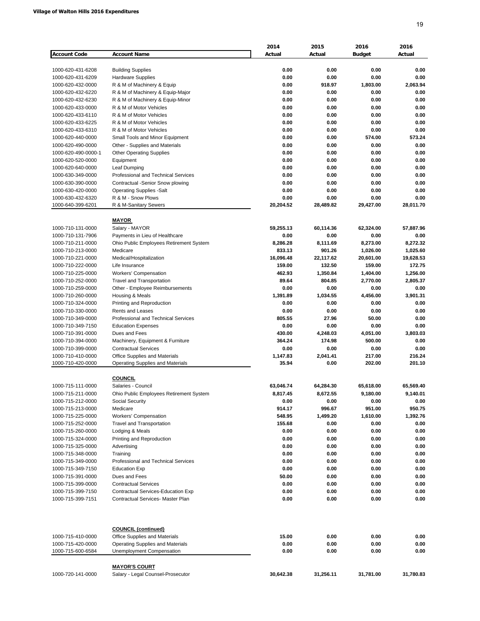|                                        |                                                                      | 2014         | 2015           | 2016             | 2016             |
|----------------------------------------|----------------------------------------------------------------------|--------------|----------------|------------------|------------------|
| <b>Account Code</b>                    | <b>Account Name</b>                                                  | Actual       | Actual         | <b>Budget</b>    | Actual           |
|                                        |                                                                      |              |                |                  |                  |
| 1000-620-431-6208                      | <b>Building Supplies</b>                                             | 0.00         | 0.00           | 0.00             | 0.00             |
| 1000-620-431-6209<br>1000-620-432-0000 | <b>Hardware Supplies</b><br>R & M of Machinery & Equip               | 0.00<br>0.00 | 0.00<br>918.97 | 0.00<br>1,803.00 | 0.00<br>2.063.94 |
| 1000-620-432-6220                      | R & M of Machinery & Equip-Major                                     | 0.00         | 0.00           | 0.00             | 0.00             |
| 1000-620-432-6230                      | R & M of Machinery & Equip-Minor                                     | 0.00         | 0.00           | 0.00             | 0.00             |
| 1000-620-433-0000                      | R & M of Motor Vehicles                                              | 0.00         | 0.00           | 0.00             | 0.00             |
| 1000-620-433-6110                      | R & M of Motor Vehicles                                              | 0.00         | 0.00           | 0.00             | 0.00             |
| 1000-620-433-6225                      | R & M of Motor Vehicles                                              | 0.00         | 0.00           | 0.00             | 0.00             |
| 1000-620-433-6310                      | R & M of Motor Vehicles                                              | 0.00         | 0.00           | 0.00             | 0.00             |
| 1000-620-440-0000                      | Small Tools and Minor Equipment                                      | 0.00         | 0.00           | 574.00           | 573.24           |
| 1000-620-490-0000                      | Other - Supplies and Materials                                       | 0.00         | 0.00           | 0.00             | 0.00             |
| 1000-620-490-0000-1                    | <b>Other Operating Supplies</b>                                      | 0.00         | 0.00           | 0.00             | 0.00             |
| 1000-620-520-0000                      | Equipment                                                            | 0.00         | 0.00           | 0.00             | 0.00             |
| 1000-620-640-0000                      | Leaf Dumping                                                         | 0.00         | 0.00           | 0.00             | 0.00             |
| 1000-630-349-0000                      | Professional and Technical Services                                  | 0.00         | 0.00           | 0.00             | 0.00             |
| 1000-630-390-0000                      | Contractual -Senior Snow plowing                                     | 0.00         | 0.00           | 0.00             | 0.00             |
| 1000-630-420-0000                      | <b>Operating Supplies -Salt</b>                                      | 0.00         | 0.00           | 0.00             | 0.00             |
| 1000-630-432-6320                      | R & M - Snow Plows                                                   | 0.00         | 0.00           | 0.00             | 0.00             |
| 1000-640-399-6201                      | R & M-Sanitary Sewers                                                | 20,204.52    | 28,489.82      | 29,427.00        | 28,011.70        |
|                                        | <b>MAYOR</b>                                                         |              |                |                  |                  |
| 1000-710-131-0000                      | Salary - MAYOR                                                       | 59,255.13    | 60,114.36      | 62,324.00        | 57,887.96        |
| 1000-710-131-7906                      | Payments in Lieu of Healthcare                                       | 0.00         | 0.00           | 0.00             | 0.00             |
| 1000-710-211-0000                      | Ohio Public Employees Retirement System                              | 8,286.28     | 8,111.69       | 8,273.00         | 8,272.32         |
| 1000-710-213-0000                      | Medicare                                                             | 833.13       | 901.26         | 1,026.00         | 1,025.60         |
| 1000-710-221-0000                      | Medical/Hospitalization                                              | 16,096.48    | 22,117.62      | 20,601.00        | 19,628.53        |
| 1000-710-222-0000                      | Life Insurance                                                       | 159.00       | 132.50         | 159.00           | 172.75           |
| 1000-710-225-0000                      | Workers' Compensation                                                | 462.93       | 1,350.84       | 1,404.00         | 1,256.00         |
| 1000-710-252-0000                      | <b>Travel and Transportation</b>                                     | 89.64        | 804.85         | 2,770.00         | 2,805.37         |
| 1000-710-259-0000                      | Other - Employee Reimbursements                                      | 0.00         | 0.00           | 0.00             | 0.00             |
| 1000-710-260-0000                      | Housing & Meals                                                      | 1,391.89     | 1,034.55       | 4,456.00         | 3,901.31         |
| 1000-710-324-0000                      | Printing and Reproduction                                            | 0.00         | 0.00           | 0.00             | 0.00             |
| 1000-710-330-0000                      | Rents and Leases                                                     | 0.00         | 0.00           | 0.00             | 0.00             |
| 1000-710-349-0000                      | Professional and Technical Services                                  | 805.55       | 27.96          | 50.00            | 0.00             |
| 1000-710-349-7150                      | <b>Education Expenses</b>                                            | 0.00         | 0.00           | 0.00             | 0.00             |
| 1000-710-391-0000                      | Dues and Fees                                                        | 430.00       | 4,248.03       | 4,051.00         | 3,803.03         |
| 1000-710-394-0000                      | Machinery, Equipment & Furniture                                     | 364.24       | 174.98         | 500.00           | 0.00             |
| 1000-710-399-0000                      | <b>Contractual Services</b>                                          | 0.00         | 0.00           | 0.00             | 0.00             |
| 1000-710-410-0000                      | Office Supplies and Materials                                        | 1,147.83     | 2,041.41       | 217.00           | 216.24           |
| 1000-710-420-0000                      | <b>Operating Supplies and Materials</b>                              | 35.94        | 0.00           | 202.00           | 201.10           |
|                                        | <b>COUNCIL</b>                                                       |              |                |                  |                  |
| 1000-715-111-0000                      | Salaries - Council                                                   | 63,046.74    | 64,284.30      | 65,618.00        | 65.569.40        |
| 1000-715-211-0000                      | Ohio Public Employees Retirement System                              | 8,817.45     | 8,672.55       | 9,180.00         | 9,140.01         |
| 1000-715-212-0000                      | Social Security                                                      | 0.00         | 0.00           | 0.00             | 0.00             |
| 1000-715-213-0000                      | Medicare                                                             | 914.17       | 996.67         | 951.00           | 950.75           |
| 1000-715-225-0000                      | Workers' Compensation                                                | 548.95       | 1,499.20       | 1,610.00         | 1,392.76         |
| 1000-715-252-0000                      | Travel and Transportation                                            | 155.68       | 0.00           | 0.00             | 0.00             |
| 1000-715-260-0000                      | Lodging & Meals                                                      | 0.00         | 0.00           | 0.00             | 0.00             |
| 1000-715-324-0000                      | Printing and Reproduction                                            | 0.00         | 0.00           | 0.00             | 0.00             |
| 1000-715-325-0000                      | Advertising                                                          | 0.00         | 0.00           | 0.00             | 0.00             |
| 1000-715-348-0000                      | Training                                                             | 0.00         | 0.00           | 0.00             | 0.00             |
| 1000-715-349-0000                      | Professional and Technical Services                                  | 0.00         | 0.00           | 0.00             | 0.00             |
| 1000-715-349-7150                      | <b>Education Exp</b>                                                 | 0.00         | 0.00           | 0.00             | 0.00             |
| 1000-715-391-0000                      | Dues and Fees                                                        | 50.00        | 0.00           | 0.00             | 0.00             |
| 1000-715-399-0000                      | <b>Contractual Services</b>                                          | 0.00         | 0.00           | 0.00             | 0.00             |
| 1000-715-399-7150                      | <b>Contractual Services-Education Exp</b>                            | 0.00         | 0.00           | 0.00             | 0.00             |
| 1000-715-399-7151                      | Contractual Services- Master Plan                                    | 0.00         | 0.00           | 0.00             | 0.00             |
|                                        | <b>COUNCIL (continued)</b>                                           |              |                |                  |                  |
| 1000-715-410-0000                      | Office Supplies and Materials                                        | 15.00        | 0.00           | 0.00             | 0.00             |
| 1000-715-420-0000<br>1000-715-600-6584 | <b>Operating Supplies and Materials</b><br>Unemployment Compensation | 0.00<br>0.00 | 0.00<br>0.00   | 0.00<br>0.00     | 0.00<br>0.00     |
|                                        |                                                                      |              |                |                  |                  |
|                                        | <b>MAYOR'S COURT</b>                                                 |              |                |                  |                  |
| 1000-720-141-0000                      | Salary - Legal Counsel-Prosecutor                                    | 30,642.38    | 31,256.11      | 31,781.00        | 31,780.83        |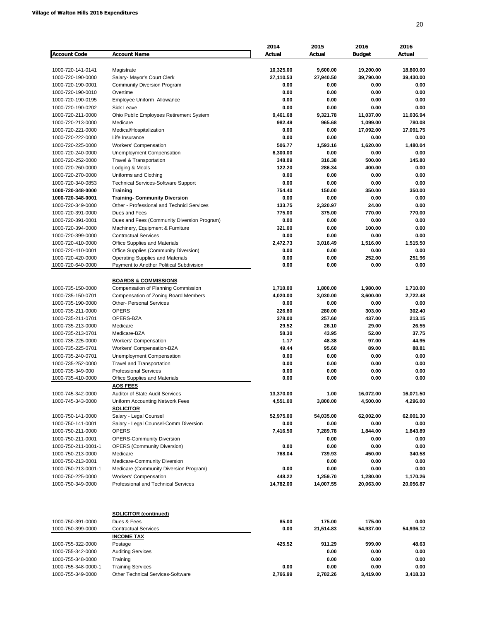|                     |                                             | 2014      | 2015      | 2016          | 2016      |
|---------------------|---------------------------------------------|-----------|-----------|---------------|-----------|
| <b>Account Code</b> | <b>Account Name</b>                         | Actual    | Actual    | <b>Budget</b> | Actual    |
|                     |                                             |           |           |               |           |
| 1000-720-141-0141   | Magistrate                                  | 10,325.00 | 9,600.00  | 19,200.00     | 18,800.00 |
| 1000-720-190-0000   | Salary- Mayor's Court Clerk                 | 27,110.53 | 27,940.50 | 39,790.00     | 39,430.00 |
| 1000-720-190-0001   | <b>Community Diversion Program</b>          | 0.00      | 0.00      | 0.00          | 0.00      |
| 1000-720-190-0010   | Overtime                                    | 0.00      | 0.00      | 0.00          | 0.00      |
| 1000-720-190-0195   | Employee Uniform Allowance                  | 0.00      | 0.00      | 0.00          | 0.00      |
| 1000-720-190-0202   | <b>Sick Leave</b>                           | 0.00      | 0.00      | 0.00          | 0.00      |
| 1000-720-211-0000   | Ohio Public Employees Retirement System     | 9,461.68  | 9,321.78  | 11,037.00     | 11,036.94 |
| 1000-720-213-0000   | Medicare                                    | 982.49    | 965.68    | 1,099.00      | 780.08    |
| 1000-720-221-0000   | Medical/Hospitalization                     | 0.00      | 0.00      | 17,092.00     | 17,091.75 |
| 1000-720-222-0000   | Life Insurance                              | 0.00      | 0.00      | 0.00          | 0.00      |
| 1000-720-225-0000   | Workers' Compensation                       | 506.77    | 1,593.16  | 1,620.00      | 1,480.04  |
| 1000-720-240-0000   | Unemployment Compensation                   | 6,300.00  | 0.00      | 0.00          | 0.00      |
| 1000-720-252-0000   | Travel & Transportation                     | 348.09    | 316.38    | 500.00        | 145.80    |
| 1000-720-260-0000   | Lodging & Meals                             | 122.20    | 286.34    | 400.00        | 0.00      |
| 1000-720-270-0000   | Uniforms and Clothing                       | 0.00      | 0.00      | 0.00          | 0.00      |
| 1000-720-340-0853   | <b>Technical Services-Software Support</b>  | 0.00      | 0.00      | 0.00          | 0.00      |
| 1000-720-348-0000   | <b>Training</b>                             | 754.40    | 150.00    | 350.00        | 350.00    |
| 1000-720-348-0001   | <b>Training- Community Diversion</b>        | 0.00      | 0.00      | 0.00          | 0.00      |
| 1000-720-349-0000   | Other - Professional and Technicl Services  | 133.75    | 2,320.97  | 24.00         | 0.00      |
| 1000-720-391-0000   | Dues and Fees                               | 775.00    | 375.00    | 770.00        | 770.00    |
| 1000-720-391-0001   | Dues and Fees (Community Diversion Program) | 0.00      | 0.00      | 0.00          | 0.00      |
|                     |                                             |           |           |               |           |
| 1000-720-394-0000   | Machinery, Equipment & Furniture            | 321.00    | 0.00      | 100.00        | 0.00      |
| 1000-720-399-0000   | <b>Contractual Services</b>                 | 0.00      | 0.00      | 0.00          | 0.00      |
| 1000-720-410-0000   | Office Supplies and Materials               | 2,472.73  | 3,016.49  | 1,516.00      | 1,515.50  |
| 1000-720-410-0001   | Office Supplies (Community Diversion)       | 0.00      | 0.00      | 0.00          | 0.00      |
| 1000-720-420-0000   | <b>Operating Supplies and Materials</b>     | 0.00      | 0.00      | 252.00        | 251.96    |
| 1000-720-640-0000   | Payment to Another Political Subdivision    | 0.00      | 0.00      | 0.00          | 0.00      |
|                     |                                             |           |           |               |           |
|                     | <b>BOARDS &amp; COMMISSIONS</b>             |           |           |               |           |
| 1000-735-150-0000   | Compensation of Planning Commission         | 1,710.00  | 1,800.00  | 1,980.00      | 1,710.00  |
| 1000-735-150-0701   | Compensation of Zoning Board Members        | 4,020.00  | 3,030.00  | 3,600.00      | 2,722.48  |
| 1000-735-190-0000   | <b>Other- Personal Services</b>             | 0.00      | 0.00      | 0.00          | 0.00      |
| 1000-735-211-0000   | <b>OPERS</b>                                | 226.80    | 280.00    | 303.00        | 302.40    |
| 1000-735-211-0701   | OPERS-BZA                                   | 378.00    | 257.60    | 437.00        | 213.15    |
| 1000-735-213-0000   | Medicare                                    | 29.52     | 26.10     | 29.00         | 26.55     |
| 1000-735-213-0701   | Medicare-BZA                                | 58.30     | 43.95     | 52.00         | 37.75     |
| 1000-735-225-0000   | <b>Workers' Compensation</b>                | 1.17      | 48.38     | 97.00         | 44.95     |
| 1000-735-225-0701   | Workers' Compensation-BZA                   | 49.44     | 95.60     | 89.00         | 88.81     |
| 1000-735-240-0701   | Unemployment Compensation                   | 0.00      | 0.00      | 0.00          | 0.00      |
| 1000-735-252-0000   | <b>Travel and Transportation</b>            | 0.00      | 0.00      | 0.00          | 0.00      |
| 1000-735-349-000    | <b>Professional Services</b>                | 0.00      | 0.00      | 0.00          | 0.00      |
| 1000-735-410-0000   | Office Supplies and Materials               | 0.00      | 0.00      | 0.00          | 0.00      |
|                     | <b>AOS FEES</b>                             |           |           |               |           |
| 1000-745-342-0000   | Auditor of State Audit Services             | 13,370.00 | 1.00      | 16,072.00     | 16,071.50 |
| 1000-745-343-0000   | Uniform Accounting Network Fees             | 4,551.00  | 3,800.00  | 4,500.00      | 4,296.00  |
|                     | <b>SOLICITOR</b>                            |           |           |               |           |
| 1000-750-141-0000   | Salary - Legal Counsel                      | 52,975.00 | 54,035.00 | 62,002.00     | 62,001.30 |
| 1000-750-141-0001   | Salary - Legal Counsel-Comm Diversion       | 0.00      | 0.00      | 0.00          | 0.00      |
| 1000-750-211-0000   | <b>OPERS</b>                                | 7,416.50  | 7,289.78  | 1,844.00      | 1,843.89  |
| 1000-750-211-0001   | <b>OPERS-Community Diversion</b>            |           | 0.00      | 0.00          | 0.00      |
| 1000-750-211-0001-1 | <b>OPERS (Community Diversion)</b>          | 0.00      | 0.00      | 0.00          | 0.00      |
|                     | Medicare                                    | 768.04    | 739.93    | 450.00        | 340.58    |
| 1000-750-213-0000   |                                             |           |           |               |           |
| 1000-750-213-0001   | Medicare-Community Diversion                |           | 0.00      | 0.00          | 0.00      |
| 1000-750-213-0001-1 | Medicare (Community Diversion Program)      | 0.00      | 0.00      | 0.00          | 0.00      |
| 1000-750-225-0000   | Workers' Compensation                       | 448.22    | 1,259.70  | 1,280.00      | 1,170.26  |
| 1000-750-349-0000   | Professional and Technical Services         | 14,782.00 | 14,007.55 | 20,063.00     | 20,056.87 |
|                     |                                             |           |           |               |           |
|                     | <b>SOLICITOR (continued)</b>                |           |           |               |           |
| 1000-750-391-0000   | Dues & Fees                                 | 85.00     | 175.00    | 175.00        | 0.00      |
| 1000-750-399-0000   | <b>Contractual Services</b>                 | 0.00      | 21,514.83 | 54,937.00     | 54,936.12 |
|                     | <b>INCOME TAX</b>                           |           |           |               |           |
| 1000-755-322-0000   | Postage                                     | 425.52    | 911.29    | 599.00        | 48.63     |
| 1000-755-342-0000   | <b>Auditing Services</b>                    |           | 0.00      | 0.00          | 0.00      |
| 1000-755-348-0000   | Training                                    |           | 0.00      | 0.00          | 0.00      |
| 1000-755-348-0000-1 | <b>Training Services</b>                    | 0.00      | 0.00      | 0.00          | 0.00      |
| 1000-755-349-0000   | Other Technical Services-Software           | 2,766.99  | 2,782.26  | 3,419.00      | 3,418.33  |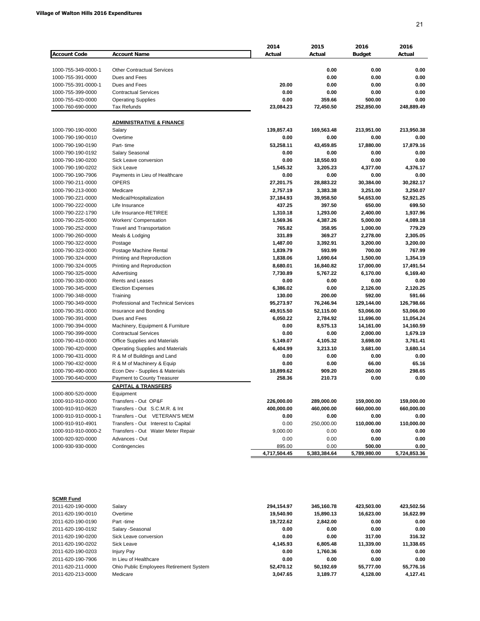|                     |                                         | 2014         | 2015         | 2016          | 2016         |
|---------------------|-----------------------------------------|--------------|--------------|---------------|--------------|
| <b>Account Code</b> | <b>Account Name</b>                     | Actual       | Actual       | <b>Budget</b> | Actual       |
|                     |                                         |              |              |               |              |
| 1000-755-349-0000-1 | <b>Other Contractual Services</b>       |              | 0.00         | 0.00          | 0.00         |
| 1000-755-391-0000   | Dues and Fees                           |              | 0.00         | 0.00          | 0.00         |
| 1000-755-391-0000-1 | Dues and Fees                           | 20.00        | 0.00         | 0.00          | 0.00         |
| 1000-755-399-0000   | <b>Contractual Services</b>             | 0.00         | 0.00         | 0.00          | 0.00         |
| 1000-755-420-0000   | <b>Operating Supplies</b>               | 0.00         | 359.66       | 500.00        | 0.00         |
| 1000-760-690-0000   | <b>Tax Refunds</b>                      | 23,084.23    | 72,450.50    | 252,850.00    | 248,889.49   |
|                     |                                         |              |              |               |              |
|                     | <b>ADMINISTRATIVE &amp; FINANCE</b>     |              |              |               |              |
| 1000-790-190-0000   | Salary                                  | 139,857.43   | 169,563.48   | 213,951.00    | 213,950.38   |
| 1000-790-190-0010   | Overtime                                | 0.00         | 0.00         | 0.00          | 0.00         |
| 1000-790-190-0190   | Part-time                               | 53,258.11    | 43,459.85    | 17,880.00     | 17,879.16    |
| 1000-790-190-0192   | Salary Seasonal                         | 0.00         | 0.00         | 0.00          | 0.00         |
| 1000-790-190-0200   | Sick Leave conversion                   | 0.00         | 18,550.93    | 0.00          | 0.00         |
| 1000-790-190-0202   | <b>Sick Leave</b>                       | 1,545.32     | 3,205.23     | 4,377.00      | 4,376.17     |
| 1000-790-190-7906   | Payments in Lieu of Healthcare          | 0.00         | 0.00         | 0.00          | 0.00         |
| 1000-790-211-0000   | <b>OPERS</b>                            | 27,201.75    | 28,883.22    | 30,384.00     | 30,282.17    |
| 1000-790-213-0000   | Medicare                                | 2,757.19     | 3,383.38     | 3,251.00      | 3,250.07     |
| 1000-790-221-0000   | Medical/Hospitalization                 | 37,184.93    | 39,958.50    | 54,653.00     | 52,921.25    |
| 1000-790-222-0000   | Life Insurance                          | 437.25       | 397.50       | 650.00        | 699.50       |
| 1000-790-222-1790   | Life Insurance-RETIREE                  | 1,310.18     | 1,293.00     | 2,400.00      | 1,937.96     |
| 1000-790-225-0000   | Workers' Compensation                   | 1,569.36     | 4,387.26     | 5,000.00      | 4,089.18     |
| 1000-790-252-0000   | <b>Travel and Transportation</b>        | 765.82       | 358.95       | 1,000.00      | 779.29       |
| 1000-790-260-0000   | Meals & Lodging                         | 331.89       | 369.27       | 2,278.00      | 2,305.05     |
| 1000-790-322-0000   | Postage                                 | 1,487.00     | 3,392.91     | 3,200.00      | 3,200.00     |
| 1000-790-323-0000   | Postage Machine Rental                  | 1,839.79     | 593.99       | 700.00        | 767.99       |
| 1000-790-324-0000   | Printing and Reproduction               | 1,838.06     | 1,690.64     | 1,500.00      | 1,354.19     |
| 1000-790-324-0005   | Printing and Reproduction               | 8,680.01     | 16,840.82    | 17,000.00     | 17,491.54    |
| 1000-790-325-0000   | Advertising                             | 7,730.89     | 5,767.22     | 6,170.00      | 6,169.40     |
| 1000-790-330-0000   | Rents and Leases                        | 0.00         | 0.00         | 0.00          | 0.00         |
| 1000-790-345-0000   | <b>Election Expenses</b>                | 6,386.02     | 0.00         | 2,126.00      | 2,120.25     |
| 1000-790-348-0000   | Training                                | 130.00       | 200.00       | 592.00        | 591.66       |
| 1000-790-349-0000   | Professional and Technical Services     | 95,273.97    | 76,246.94    | 129,144.00    | 126,798.66   |
| 1000-790-351-0000   | Insurance and Bonding                   | 49,915.50    | 52,115.00    | 53,066.00     | 53,066.00    |
| 1000-790-391-0000   | Dues and Fees                           | 6,050.22     | 2,784.92     | 11,696.00     | 11,054.24    |
| 1000-790-394-0000   | Machinery, Equipment & Furniture        | 0.00         | 8,575.13     | 14,161.00     | 14,160.59    |
|                     |                                         | 0.00         |              |               |              |
| 1000-790-399-0000   | <b>Contractual Services</b>             |              | 0.00         | 2,000.00      | 1,679.19     |
| 1000-790-410-0000   | Office Supplies and Materials           | 5,149.07     | 4,105.32     | 3,698.00      | 3,761.41     |
| 1000-790-420-0000   | <b>Operating Supplies and Materials</b> | 6,404.99     | 3,213.10     | 3,681.00      | 3,680.14     |
| 1000-790-431-0000   | R & M of Buildings and Land             | 0.00         | 0.00         | 0.00          | 0.00         |
| 1000-790-432-0000   | R & M of Machinery & Equip              | 0.00         | 0.00         | 66.00         | 65.16        |
| 1000-790-490-0000   | Econ Dev - Supplies & Materials         | 10,899.62    | 909.20       | 260.00        | 298.65       |
| 1000-790-640-0000   | Payment to County Treasurer             | 258.36       | 210.73       | 0.00          | 0.00         |
|                     | <b>CAPITAL &amp; TRANSFERS</b>          |              |              |               |              |
| 1000-800-520-0000   | Equipment                               |              |              |               |              |
| 1000-910-910-0000   | Transfers - Out OP&F                    | 226,000.00   | 289,000.00   | 159,000.00    | 159,000.00   |
| 1000-910-910-0620   | Transfers - Out S.C.M.R. & Int          | 400,000.00   | 460,000.00   | 660,000.00    | 660,000.00   |
| 1000-910-910-0000-1 | Transfers - Out VETERAN'S MEM           | 0.00         | 0.00         | 0.00          | 0.00         |
| 1000-910-910-4901   | Transfers - Out Interest to Capital     | 0.00         | 250,000.00   | 110,000.00    | 110,000.00   |
| 1000-910-910-0000-2 | Transfers - Out Water Meter Repair      | 9,000.00     | 0.00         | 0.00          | 0.00         |
| 1000-920-920-0000   | Advances - Out                          | 0.00         | 0.00         | 0.00          | 0.00         |
| 1000-930-930-0000   | Contingencies                           | 895.00       | 0.00         | 500.00        | 0.00         |
|                     |                                         | 4,717,504.45 | 5,383,384.64 | 5,789,980.00  | 5,724,853.36 |

| Salary                                  | 294.154.97 | 345.160.78 | 423.503.00 | 423.502.56 |
|-----------------------------------------|------------|------------|------------|------------|
| Overtime                                | 19,540.90  | 15,890.13  | 16.623.00  | 16,622.99  |
| Part-time                               | 19.722.62  | 2.842.00   | 0.00       | 0.00       |
| Salary -Seasonal                        | 0.00       | 0.00       | 0.00       | 0.00       |
| Sick Leave conversion                   | 0.00       | 0.00       | 317.00     | 316.32     |
| Sick Leave                              | 4.145.93   | 6.805.48   | 11.339.00  | 11.338.65  |
| <b>Injury Pay</b>                       | 0.00       | 1.760.36   | 0.00       | 0.00       |
| In Lieu of Healthcare                   | 0.00       | 0.00       | 0.00       | 0.00       |
| Ohio Public Employees Retirement System | 52.470.12  | 50.192.69  | 55.777.00  | 55.776.16  |
| Medicare                                | 3.047.65   | 3.189.77   | 4.128.00   | 4.127.41   |
|                                         |            |            |            |            |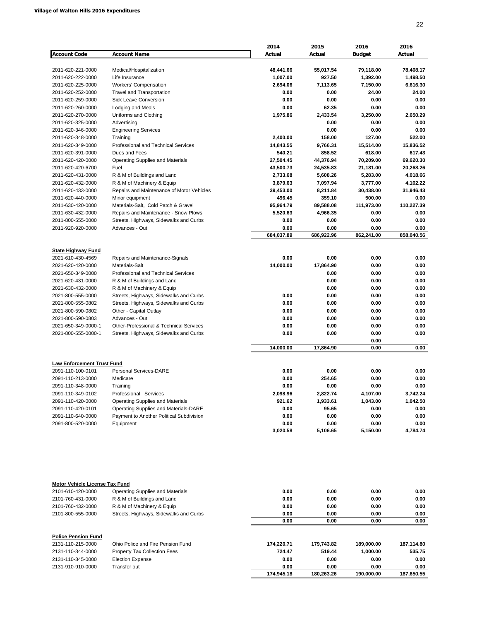|                                        |                                           | 2014                  | 2015                | 2016                  | 2016                  |
|----------------------------------------|-------------------------------------------|-----------------------|---------------------|-----------------------|-----------------------|
| <b>Account Code</b>                    | <b>Account Name</b>                       | Actual                | Actual              | <b>Budget</b>         | Actual                |
|                                        |                                           |                       |                     |                       |                       |
| 2011-620-221-0000<br>2011-620-222-0000 | Medical/Hospitalization<br>Life Insurance | 48,441.66<br>1,007.00 | 55,017.54<br>927.50 | 79,118.00<br>1,392.00 | 78,408.17<br>1,498.50 |
| 2011-620-225-0000                      | Workers' Compensation                     | 2,694.06              | 7,113.65            | 7,150.00              | 6,616.30              |
| 2011-620-252-0000                      | <b>Travel and Transportation</b>          | 0.00                  | 0.00                | 24.00                 | 24.00                 |
| 2011-620-259-0000                      | Sick Leave Conversion                     | 0.00                  | 0.00                | 0.00                  | 0.00                  |
| 2011-620-260-0000                      | Lodging and Meals                         | 0.00                  | 62.35               | 0.00                  | 0.00                  |
| 2011-620-270-0000                      | Uniforms and Clothing                     | 1,975.86              | 2,433.54            | 3,250.00              | 2,650.29              |
| 2011-620-325-0000                      | Advertising                               |                       | 0.00                | 0.00                  | 0.00                  |
| 2011-620-346-0000                      | <b>Engineering Services</b>               |                       | 0.00                | 0.00                  | 0.00                  |
| 2011-620-348-0000                      | Training                                  | 2,400.00              | 158.00              | 127.00                | 522.00                |
| 2011-620-349-0000                      | Professional and Technical Services       | 14,843.55             | 9,766.31            | 15,514.00             | 15,836.52             |
| 2011-620-391-0000                      | Dues and Fees                             | 540.21                | 858.52              | 618.00                | 617.43                |
| 2011-620-420-0000                      | <b>Operating Supplies and Materials</b>   | 27,504.45             | 44,376.94           | 70,209.00             | 69,620.30             |
| 2011-620-420-6700                      | Fuel                                      | 43,500.73             | 24,535.83           | 21,181.00             | 20,268.26             |
| 2011-620-431-0000                      | R & M of Buildings and Land               | 2,733.68              | 5,608.26            | 5,283.00              | 4,018.66              |
| 2011-620-432-0000                      | R & M of Machinery & Equip                | 3,879.63              | 7,097.94            | 3,777.00              | 4,102.22              |
| 2011-620-433-0000                      | Repairs and Maintenance of Motor Vehicles | 39,453.00             | 8,211.84            | 30,438.00             | 31,946.43             |
| 2011-620-440-0000                      | Minor equipment                           | 496.45                | 359.10              | 500.00                | 0.00                  |
| 2011-630-420-0000                      | Materials-Salt, Cold Patch & Gravel       | 95,964.79             | 89,588.08           | 111,973.00            | 110,227.39            |
| 2011-630-432-0000                      | Repairs and Maintenance - Snow Plows      | 5,520.63              | 4,966.35            | 0.00                  | 0.00                  |
| 2011-800-555-0000                      | Streets, Highways, Sidewalks and Curbs    | 0.00                  | 0.00                | 0.00                  | 0.00                  |
| 2011-920-920-0000                      | Advances - Out                            | 0.00                  | 0.00                | 0.00                  | 0.00                  |
|                                        |                                           | 684,037.89            | 686,922.96          | 862,241.00            | 858,040.56            |
|                                        |                                           |                       |                     |                       |                       |
| <b>State Highway Fund</b>              |                                           |                       |                     |                       |                       |
| 2021-610-430-4569                      | Repairs and Maintenance-Signals           | 0.00                  | 0.00                | 0.00                  | 0.00                  |
| 2021-620-420-0000                      | Materials-Salt                            | 14,000.00             | 17,864.90           | 0.00                  | 0.00                  |
| 2021-650-349-0000                      | Professional and Technical Services       |                       | 0.00                | 0.00                  | 0.00                  |
| 2021-620-431-0000                      | R & M of Buildings and Land               |                       | 0.00                | 0.00                  | 0.00                  |
| 2021-630-432-0000                      | R & M of Machinery & Equip                |                       | 0.00                | 0.00                  | 0.00                  |
| 2021-800-555-0000                      | Streets, Highways, Sidewalks and Curbs    | 0.00                  | 0.00                | 0.00                  | 0.00                  |
| 2021-800-555-0802                      | Streets, Highways, Sidewalks and Curbs    | 0.00                  | 0.00                | 0.00                  | 0.00                  |
| 2021-800-590-0802                      | Other - Capital Outlay                    | 0.00                  | 0.00                | 0.00                  | 0.00                  |
| 2021-800-590-0803                      | Advances - Out                            | 0.00                  | 0.00                | 0.00                  | 0.00                  |
| 2021-650-349-0000-1                    | Other-Professional & Technical Services   | 0.00                  | 0.00                | 0.00                  | 0.00                  |
| 2021-800-555-0000-1                    | Streets, Highways, Sidewalks and Curbs    | 0.00                  | 0.00                | 0.00                  | 0.00                  |
|                                        |                                           |                       |                     | 0.00                  |                       |
|                                        |                                           | 14,000.00             | 17,864.90           | 0.00                  | 0.00                  |
|                                        |                                           |                       |                     |                       |                       |
| <b>Law Enforcement Trust Fund</b>      |                                           |                       |                     |                       |                       |
| 2091-110-100-0101                      | Personal Services-DARE                    | 0.00                  | 0.00                | 0.00                  | 0.00                  |
| 2091-110-213-0000                      | Medicare                                  | 0.00                  | 254.65              | 0.00                  | 0.00                  |
| 2091-110-348-0000                      | Training                                  | 0.00                  | 0.00                | 0.00                  | 0.00                  |
| 2091-110-349-0102                      | Professional Services                     | 2,098.96              | 2,822.74            | 4,107.00              | 3,742.24              |
| 2091-110-420-0000                      | <b>Operating Supplies and Materials</b>   | 921.62                | 1,933.61            | 1,043.00              | 1,042.50              |
| 2091-110-420-0101                      | Operating Supplies and Materials-DARE     | 0.00                  | 95.65               | 0.00                  | 0.00                  |
| 2091-110-640-0000                      | Payment to Another Political Subdivision  | 0.00                  | 0.00                | 0.00                  | 0.00                  |
| 2091-800-520-0000                      | Equipment                                 | 0.00                  | 0.00                | 0.00                  | 0.00                  |
|                                        |                                           | 3,020.58              | 5,106.65            | 5,150.00              | 4,784.74              |
|                                        |                                           |                       |                     |                       |                       |
| Motor Vehicle License Tax Fund         |                                           |                       |                     |                       |                       |
| 2101-610-420-0000                      | <b>Operating Supplies and Materials</b>   | 0.00                  | 0.00                | 0.00                  | 0.00                  |

| 2101-760-431-0000          | R & M of Buildings and Land            | 0.00       | 0.00       | 0.00       | 0.00       |
|----------------------------|----------------------------------------|------------|------------|------------|------------|
| 2101-760-432-0000          | R & M of Machinery & Equip             | 0.00       | 0.00       | 0.00       | 0.00       |
| 2101-800-555-0000          | Streets, Highways, Sidewalks and Curbs | 0.00       | 0.00       | 0.00       | 0.00       |
|                            |                                        | 0.00       | 0.00       | 0.00       | 0.00       |
| <b>Police Pension Fund</b> |                                        |            |            |            |            |
| 2131-110-215-0000          | Ohio Police and Fire Pension Fund      | 174.220.71 | 179,743.82 | 189.000.00 | 187,114.80 |
| 2131-110-344-0000          | Property Tax Collection Fees           | 724.47     | 519.44     | 1.000.00   | 535.75     |
| 2131-110-345-0000          | <b>Election Expense</b>                | 0.00       | 0.00       | 0.00       | 0.00       |
| 2131-910-910-0000          | Transfer out                           | 0.00       | 0.00       | 0.00       | 0.00       |
|                            |                                        | 174.945.18 | 180.263.26 | 190.000.00 | 187.650.55 |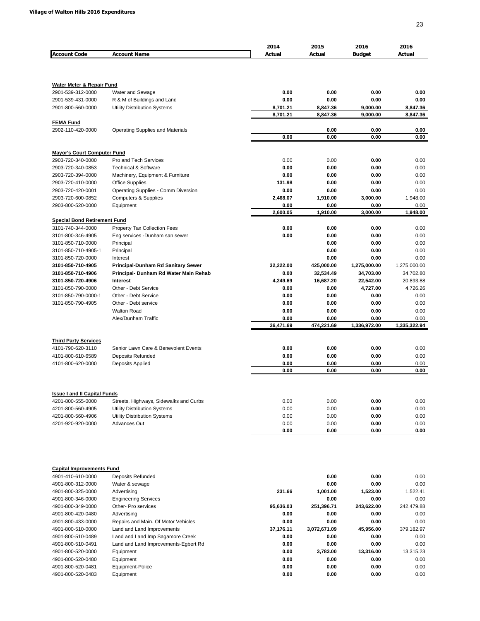| <b>Account Code</b>                 | <b>Account Name</b>                     | 2014<br>Actual | 2015<br>Actual | 2016<br><b>Budget</b> | 2016<br>Actual |
|-------------------------------------|-----------------------------------------|----------------|----------------|-----------------------|----------------|
|                                     |                                         |                |                |                       |                |
| Water Meter & Repair Fund           |                                         |                |                |                       |                |
| 2901-539-312-0000                   | Water and Sewage                        | 0.00           | 0.00           | 0.00                  | 0.00           |
| 2901-539-431-0000                   | R & M of Buildings and Land             | 0.00           | 0.00           | 0.00                  | 0.00           |
| 2901-800-560-0000                   | Utility Distribution Systems            | 8,701.21       | 8,847.36       | 9,000.00              | 8,847.36       |
| <b>FEMA Fund</b>                    |                                         | 8,701.21       | 8,847.36       | 9,000.00              | 8,847.36       |
| 2902-110-420-0000                   | <b>Operating Supplies and Materials</b> |                | 0.00           | 0.00                  | 0.00           |
|                                     |                                         | 0.00           | 0.00           | 0.00                  | 0.00           |
| <b>Mayor's Court Computer Fund</b>  |                                         |                |                |                       |                |
| 2903-720-340-0000                   | Pro and Tech Services                   | 0.00           | 0.00           | 0.00                  | 0.00           |
| 2903-720-340-0853                   | <b>Technical &amp; Software</b>         | 0.00           | 0.00           | 0.00                  | 0.00           |
| 2903-720-394-0000                   | Machinery, Equipment & Furniture        | 0.00           | 0.00           | 0.00                  | 0.00           |
| 2903-720-410-0000                   | <b>Office Supplies</b>                  | 131.98         | 0.00           | 0.00                  | 0.00           |
| 2903-720-420-0001                   | Operating Supplies - Comm Diversion     | 0.00           | 0.00           | 0.00                  | 0.00           |
| 2903-720-600-0852                   | <b>Computers &amp; Supplies</b>         | 2,468.07       | 1,910.00       | 3,000.00              | 1,948.00       |
| 2903-800-520-0000                   | Equipment                               | 0.00           | 0.00           | 0.00                  | 0.00           |
|                                     |                                         | 2,600.05       | 1,910.00       | 3,000.00              | 1,948.00       |
| <b>Special Bond Retirement Fund</b> |                                         |                |                |                       |                |
| 3101-740-344-0000                   | Property Tax Collection Fees            | 0.00           | 0.00           | 0.00                  | 0.00           |
| 3101-800-346-4905                   | Eng services -Dunham san sewer          | 0.00           | 0.00           | 0.00                  | 0.00           |
| 3101-850-710-0000                   | Principal                               |                | 0.00           | 0.00                  | 0.00           |
| 3101-850-710-4905-1                 | Principal                               |                | 0.00           | 0.00                  | 0.00           |
| 3101-850-720-0000                   | Interest                                |                | 0.00           | 0.00                  | 0.00           |
| 3101-850-710-4905                   | Principal-Dunham Rd Sanitary Sewer      | 32,222.00      | 425,000.00     | 1,275,000.00          | 1,275,000.00   |
| 3101-850-710-4906                   | Principal- Dunham Rd Water Main Rehab   | 0.00           | 32,534.49      | 34,703.00             | 34,702.80      |
| 3101-850-720-4906                   | <b>Interest</b>                         | 4,249.69       | 16,687.20      | 22,542.00             | 20,893.88      |
| 3101-850-790-0000                   | Other - Debt Service                    | 0.00           | 0.00           | 4,727.00              | 4,726.26       |
| 3101-850-790-0000-1                 | Other - Debt Service                    | 0.00           | 0.00           | 0.00                  | 0.00           |
| 3101-850-790-4905                   | Other - Debt service                    | 0.00           | 0.00           | 0.00                  | 0.00           |
|                                     | <b>Walton Road</b>                      | 0.00           | 0.00           | 0.00                  | 0.00           |
|                                     | Alex/Dunham Traffic                     | 0.00           | 0.00           | 0.00                  | 0.00           |
|                                     |                                         | 36,471.69      | 474,221.69     | 1,336,972.00          | 1,335,322.94   |
| <b>Third Party Services</b>         |                                         |                |                |                       |                |
| 4101-790-620-3110                   | Senior Lawn Care & Benevolent Events    | 0.00           | 0.00           | 0.00                  | 0.00           |
| 4101-800-610-6589                   | <b>Deposits Refunded</b>                | 0.00           | 0.00           | 0.00                  | 0.00           |
| 4101-800-620-0000                   | Deposits Applied                        | 0.00           | 0.00           | 0.00                  | 0.00           |
|                                     |                                         | 0.00           | 0.00           | 0.00                  | 0.00           |
|                                     |                                         |                |                |                       |                |
| <b>Issue I and II Capital Funds</b> |                                         |                |                |                       |                |
| 4201-800-555-0000                   | Streets, Highways, Sidewalks and Curbs  | 0.00           | 0.00           | 0.00                  | 0.00           |
| 4201-800-560-4905                   | Utility Distribution Systems            | 0.00           | 0.00           | 0.00                  | 0.00           |
| 4201-800-560-4906                   | <b>Utility Distribution Systems</b>     | 0.00           | 0.00           | 0.00                  | 0.00           |
| 4201-920-920-0000                   | <b>Advances Out</b>                     | 0.00           | 0.00           | 0.00                  | 0.00           |
|                                     |                                         | 0.00           | 0.00           | 0.00                  | 0.00           |
|                                     |                                         |                |                |                       |                |
| <b>Capital Improvements Fund</b>    |                                         |                |                |                       |                |
| 4901-410-610-0000                   | Deposits Refunded                       |                | 0.00           | 0.00                  | 0.00           |
| 4901-800-312-0000                   | Water & sewage                          |                | 0.00           | 0.00                  | 0.00           |
| 4901-800-325-0000                   | Advertising                             | 231.66         | 1,001.00       | 1,523.00              | 1,522.41       |
| 4901-800-346-0000                   | <b>Engineering Services</b>             |                | 0.00           | 0.00                  | 0.00           |
| 4901-800-349-0000                   | Other- Pro services                     | 95,636.03      | 251,396.71     | 243,622.00            | 242,479.88     |
| 4901-800-420-0480                   | Advertising                             | 0.00           | 0.00           | 0.00                  | 0.00           |
| 4901-800-433-0000                   | Repairs and Main. Of Motor Vehicles     | 0.00           | 0.00           | 0.00                  | 0.00           |
| 4901-800-510-0000                   | Land and Land Improvements              | 37,176.11      | 3,072,671.09   | 45,956.00             | 379,182.97     |
| 4901-800-510-0489                   | Land and Land Imp Sagamore Creek        | 0.00           | 0.00           | 0.00                  | 0.00           |
| 4901-800-510-0491                   | Land and Land Improvements-Egbert Rd    | 0.00           | 0.00           | 0.00                  | 0.00           |
| 4901-800-520-0000                   | Equipment                               | 0.00           | 3,783.00       | 13,316.00             | 13,315.23      |
| 4901-800-520-0480                   | Equipment                               | 0.00           | 0.00           | 0.00                  | 0.00           |
| 4901-800-520-0481                   | Equipment-Police                        | 0.00           | 0.00           | 0.00                  | 0.00           |
| 4901-800-520-0483                   | Equipment                               | 0.00           | 0.00           | 0.00                  | 0.00           |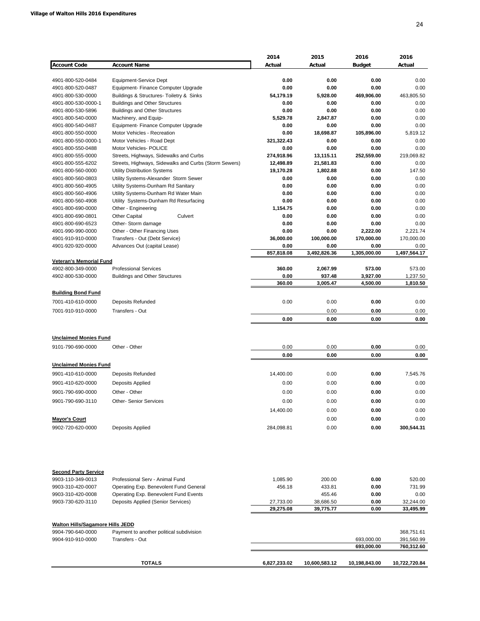|                                         |                                                                                 | 2014                   | 2015                | 2016               | 2016                   |
|-----------------------------------------|---------------------------------------------------------------------------------|------------------------|---------------------|--------------------|------------------------|
| <b>Account Code</b>                     | <b>Account Name</b>                                                             | Actual                 | Actual              | <b>Budget</b>      | Actual                 |
|                                         |                                                                                 |                        |                     |                    |                        |
| 4901-800-520-0484<br>4901-800-520-0487  | Equipment-Service Dept                                                          | 0.00<br>0.00           | 0.00<br>0.00        | 0.00<br>0.00       | 0.00<br>0.00           |
| 4901-800-530-0000                       | Equipment- Finance Computer Upgrade<br>Buildings & Structures- Toiletry & Sinks | 54,179.19              | 5,928.00            | 469,906.00         | 463,805.50             |
| 4901-800-530-0000-1                     | <b>Buildings and Other Structures</b>                                           | 0.00                   | 0.00                | 0.00               | 0.00                   |
| 4901-800-530-5896                       | <b>Buildings and Other Structures</b>                                           | 0.00                   | 0.00                | 0.00               | 0.00                   |
| 4901-800-540-0000                       | Machinery, and Equip-                                                           | 5,529.78               | 2,847.87            | 0.00               | 0.00                   |
| 4901-800-540-0487                       | Equipment- Finance Computer Upgrade                                             | 0.00                   | 0.00                | 0.00               | 0.00                   |
| 4901-800-550-0000                       | Motor Vehicles - Recreation                                                     | 0.00                   | 18,698.87           | 105,896.00         | 5,819.12               |
| 4901-800-550-0000-1                     | Motor Vehicles - Road Dept                                                      | 321,322.43             | 0.00                | 0.00               | 0.00                   |
| 4901-800-550-0488<br>4901-800-555-0000  | Motor Vehicles- POLICE<br>Streets, Highways, Sidewalks and Curbs                | 0.00<br>274,918.96     | 0.00<br>13,115.11   | 0.00<br>252,559.00 | 0.00<br>219,069.82     |
| 4901-800-555-6202                       | Streets, Highways, Sidewalks and Curbs (Storm Sewers)                           | 12,498.89              | 21,581.83           | 0.00               | 0.00                   |
| 4901-800-560-0000                       | Utility Distribution Systems                                                    | 19,170.28              | 1,802.88            | 0.00               | 147.50                 |
| 4901-800-560-0803                       | Utility Systems-Alexander Storm Sewer                                           | 0.00                   | 0.00                | 0.00               | 0.00                   |
| 4901-800-560-4905                       | Utility Systems-Dunham Rd Sanitary                                              | 0.00                   | 0.00                | 0.00               | 0.00                   |
| 4901-800-560-4906                       | Utility Systems-Dunham Rd Water Main                                            | 0.00                   | 0.00                | 0.00               | 0.00                   |
| 4901-800-560-4908                       | Utility Systems-Dunham Rd Resurfacing                                           | 0.00                   | 0.00                | 0.00               | 0.00                   |
| 4901-800-690-0000                       | Other - Engineering                                                             | 1,154.75               | 0.00                | 0.00               | 0.00                   |
| 4901-800-690-0801                       | <b>Other Capital</b><br>Culvert                                                 | 0.00                   | 0.00                | 0.00               | 0.00                   |
| 4901-800-690-6523<br>4901-990-990-0000  | Other-Storm damage<br>Other - Other Financing Uses                              | 0.00<br>0.00           | 0.00<br>0.00        | 0.00<br>2,222.00   | 0.00<br>2,221.74       |
| 4901-910-910-0000                       | Transfers - Out (Debt Service)                                                  | 36,000.00              | 100,000.00          | 170,000.00         | 170,000.00             |
| 4901-920-920-0000                       | Advances Out (capital Lease)                                                    | 0.00                   | 0.00                | 0.00               | 0.00                   |
|                                         |                                                                                 | 857,818.08             | 3,492,826.36        | 1,305,000.00       | 1,497,564.17           |
| <b>Veteran's Memorial Fund</b>          |                                                                                 |                        |                     |                    |                        |
| 4902-800-349-0000                       | <b>Professional Services</b>                                                    | 360.00                 | 2,067.99            | 573.00             | 573.00                 |
| 4902-800-530-0000                       | <b>Buildings and Other Structures</b>                                           | 0.00<br>360.00         | 937.48              | 3,927.00           | 1,237.50               |
|                                         |                                                                                 |                        | 3,005.47            | 4,500.00           | 1,810.50               |
| <u>Building Bond Fund</u>               |                                                                                 |                        |                     |                    |                        |
| 7001-410-610-0000                       | Deposits Refunded                                                               | 0.00                   | 0.00                | 0.00               | 0.00                   |
| 7001-910-910-0000                       | Transfers - Out                                                                 |                        | 0.00                | 0.00               | 0.00                   |
|                                         |                                                                                 | 0.00                   | 0.00                | 0.00               | 0.00                   |
|                                         |                                                                                 |                        |                     |                    |                        |
| <b>Unclaimed Monies Fund</b>            |                                                                                 |                        |                     |                    |                        |
| 9101-790-690-0000                       | Other - Other                                                                   | 0.00                   | 0.00                | 0.00               | 0.00                   |
|                                         |                                                                                 | 0.00                   | 0.00                | 0.00               | 0.00                   |
| <b>Unclaimed Monies Fund</b>            |                                                                                 |                        |                     |                    |                        |
| 9901-410-610-0000                       | Deposits Refunded                                                               | 14,400.00              | 0.00                | 0.00               | 7,545.76               |
| 9901-410-620-0000                       | Deposits Applied                                                                | 0.00                   | 0.00                | 0.00               | 0.00                   |
| 9901-790-690-0000                       | Other - Other                                                                   | 0.00                   | 0.00                | 0.00               | 0.00                   |
| 9901-790-690-3110                       | <b>Other- Senior Services</b>                                                   | 0.00                   | 0.00                | 0.00               | $0.00\,$               |
|                                         |                                                                                 | 14,400.00              | 0.00                | 0.00               | 0.00                   |
| <b>Mayor's Court</b>                    |                                                                                 |                        | 0.00                | 0.00               | 0.00                   |
| 9902-720-620-0000                       | Deposits Applied                                                                | 284,098.81             | 0.00                | 0.00               | 300,544.31             |
|                                         |                                                                                 |                        |                     |                    |                        |
| <b>Second Party Service</b>             |                                                                                 |                        |                     |                    |                        |
| 9903-110-349-0013                       | Professional Serv - Animal Fund                                                 | 1,085.90               | 200.00              | 0.00               | 520.00                 |
| 9903-310-420-0007                       | Operating Exp. Benevolent Fund General                                          | 456.18                 | 433.81              | 0.00               | 731.99                 |
| 9903-310-420-0008<br>9903-730-620-3110  | Operating Exp. Benevolent Fund Events<br>Deposits Applied (Senior Services)     |                        | 455.46<br>38,686.50 | 0.00<br>0.00       | 0.00                   |
|                                         |                                                                                 | 27,733.00<br>29,275.08 | 39,775.77           | 0.00               | 32,244.00<br>33,495.99 |
|                                         |                                                                                 |                        |                     |                    |                        |
| <b>Walton Hills/Sagamore Hills JEDD</b> |                                                                                 |                        |                     |                    |                        |
| 9904-790-640-0000                       | Payment to another political subdivision                                        |                        |                     |                    | 368,751.61             |
| 9904-910-910-0000                       | Transfers - Out                                                                 |                        |                     | 693,000.00         | 391,560.99             |
|                                         |                                                                                 |                        |                     | 693,000.00         | 760,312.60             |
|                                         | <b>TOTALS</b>                                                                   | 6,827,233.02           | 10,600,583.12       | 10,198,843.00      | 10,722,720.84          |
|                                         |                                                                                 |                        |                     |                    |                        |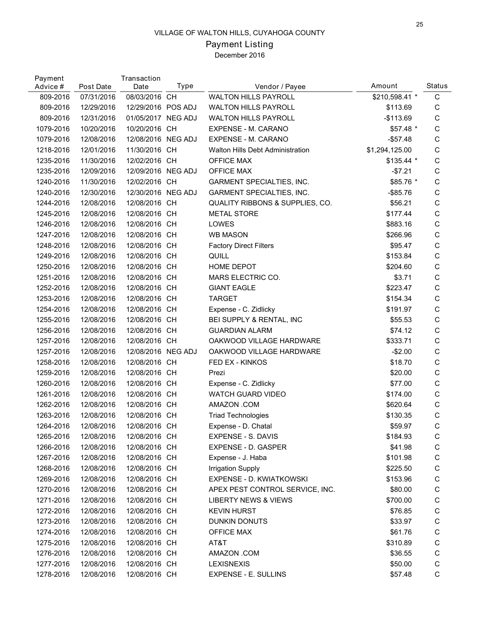# Payment Listing

| Payment<br>Advice # | Post Date  | Transaction<br>Date | Type | Vendor / Payee                          | Amount         | <b>Status</b> |
|---------------------|------------|---------------------|------|-----------------------------------------|----------------|---------------|
| 809-2016            | 07/31/2016 | 08/03/2016 CH       |      | <b>WALTON HILLS PAYROLL</b>             | \$210,598.41 * | C             |
| 809-2016            | 12/29/2016 | 12/29/2016 POS ADJ  |      | <b>WALTON HILLS PAYROLL</b>             | \$113.69       | C             |
| 809-2016            | 12/31/2016 | 01/05/2017 NEG ADJ  |      | <b>WALTON HILLS PAYROLL</b>             | $-$113.69$     | $\mathsf C$   |
| 1079-2016           | 10/20/2016 | 10/20/2016 CH       |      | EXPENSE - M. CARANO                     | \$57.48 *      | $\mathsf C$   |
| 1079-2016           | 12/08/2016 | 12/08/2016 NEG ADJ  |      | EXPENSE - M. CARANO                     | $-$57.48$      | $\mathsf C$   |
| 1218-2016           | 12/01/2016 | 11/30/2016 CH       |      | <b>Walton Hills Debt Administration</b> | \$1,294,125.00 | $\mathsf C$   |
| 1235-2016           | 11/30/2016 | 12/02/2016 CH       |      | <b>OFFICE MAX</b>                       | \$135.44 *     | $\mathsf C$   |
| 1235-2016           | 12/09/2016 | 12/09/2016 NEG ADJ  |      | <b>OFFICE MAX</b>                       | $-$7.21$       | $\mathsf C$   |
| 1240-2016           | 11/30/2016 | 12/02/2016 CH       |      | <b>GARMENT SPECIALTIES, INC.</b>        | \$85.76 *      | $\mathsf C$   |
| 1240-2016           | 12/30/2016 | 12/30/2016 NEG ADJ  |      | <b>GARMENT SPECIALTIES, INC.</b>        | $-$ \$85.76    | $\mathsf C$   |
| 1244-2016           | 12/08/2016 | 12/08/2016 CH       |      | QUALITY RIBBONS & SUPPLIES, CO.         | \$56.21        | $\mathsf C$   |
| 1245-2016           | 12/08/2016 | 12/08/2016 CH       |      | <b>METAL STORE</b>                      | \$177.44       | $\mathsf C$   |
| 1246-2016           | 12/08/2016 | 12/08/2016 CH       |      | LOWES                                   | \$883.16       | $\mathsf C$   |
| 1247-2016           | 12/08/2016 | 12/08/2016 CH       |      | <b>WB MASON</b>                         | \$266.96       | $\mathsf C$   |
| 1248-2016           | 12/08/2016 | 12/08/2016 CH       |      | <b>Factory Direct Filters</b>           | \$95.47        | $\mathsf C$   |
| 1249-2016           | 12/08/2016 | 12/08/2016 CH       |      | QUILL                                   | \$153.84       | $\mathsf C$   |
| 1250-2016           | 12/08/2016 | 12/08/2016 CH       |      | HOME DEPOT                              | \$204.60       | C             |
| 1251-2016           | 12/08/2016 | 12/08/2016 CH       |      | MARS ELECTRIC CO.                       | \$3.71         | $\mathsf C$   |
| 1252-2016           | 12/08/2016 | 12/08/2016 CH       |      | <b>GIANT EAGLE</b>                      | \$223.47       | $\mathsf C$   |
| 1253-2016           | 12/08/2016 | 12/08/2016 CH       |      | <b>TARGET</b>                           | \$154.34       | $\mathsf C$   |
| 1254-2016           | 12/08/2016 | 12/08/2016 CH       |      | Expense - C. Zidlicky                   | \$191.97       | $\mathsf C$   |
| 1255-2016           | 12/08/2016 | 12/08/2016 CH       |      | BEI SUPPLY & RENTAL, INC                | \$55.53        | $\mathsf C$   |
| 1256-2016           | 12/08/2016 | 12/08/2016 CH       |      | <b>GUARDIAN ALARM</b>                   | \$74.12        | $\mathsf C$   |
| 1257-2016           | 12/08/2016 | 12/08/2016 CH       |      | OAKWOOD VILLAGE HARDWARE                | \$333.71       | $\mathsf C$   |
| 1257-2016           | 12/08/2016 | 12/08/2016 NEG ADJ  |      | OAKWOOD VILLAGE HARDWARE                | $-$2.00$       | $\mathsf C$   |
| 1258-2016           | 12/08/2016 | 12/08/2016 CH       |      | FED EX - KINKOS                         | \$18.70        | $\mathsf C$   |
| 1259-2016           | 12/08/2016 | 12/08/2016 CH       |      | Prezi                                   | \$20.00        | $\mathsf C$   |
| 1260-2016           | 12/08/2016 | 12/08/2016 CH       |      | Expense - C. Zidlicky                   | \$77.00        | $\mathsf C$   |
| 1261-2016           | 12/08/2016 | 12/08/2016 CH       |      | <b>WATCH GUARD VIDEO</b>                | \$174.00       | $\mathsf C$   |
| 1262-2016           | 12/08/2016 | 12/08/2016 CH       |      | AMAZON .COM                             | \$620.64       | $\mathsf C$   |
| 1263-2016           | 12/08/2016 | 12/08/2016 CH       |      | <b>Triad Technologies</b>               | \$130.35       | $\mathsf C$   |
| 1264-2016           | 12/08/2016 | 12/08/2016 CH       |      | Expense - D. Chatal                     | \$59.97        | C             |
| 1265-2016           | 12/08/2016 | 12/08/2016 CH       |      | <b>EXPENSE - S. DAVIS</b>               | \$184.93       | C             |
| 1266-2016           | 12/08/2016 | 12/08/2016 CH       |      | EXPENSE - D. GASPER                     | \$41.98        | C             |
| 1267-2016           | 12/08/2016 | 12/08/2016 CH       |      | Expense - J. Haba                       | \$101.98       | $\mathsf C$   |
| 1268-2016           | 12/08/2016 | 12/08/2016 CH       |      | <b>Irrigation Supply</b>                | \$225.50       | C             |
| 1269-2016           | 12/08/2016 | 12/08/2016 CH       |      | EXPENSE - D. KWIATKOWSKI                | \$153.96       | C             |
| 1270-2016           | 12/08/2016 | 12/08/2016 CH       |      | APEX PEST CONTROL SERVICE, INC.         | \$80.00        | C             |
| 1271-2016           | 12/08/2016 | 12/08/2016 CH       |      | <b>LIBERTY NEWS &amp; VIEWS</b>         | \$700.00       | C             |
| 1272-2016           | 12/08/2016 | 12/08/2016 CH       |      | <b>KEVIN HURST</b>                      | \$76.85        | C             |
| 1273-2016           | 12/08/2016 | 12/08/2016 CH       |      | DUNKIN DONUTS                           | \$33.97        | C             |
| 1274-2016           | 12/08/2016 | 12/08/2016 CH       |      | <b>OFFICE MAX</b>                       | \$61.76        | C             |
| 1275-2016           | 12/08/2016 | 12/08/2016 CH       |      | AT&T                                    | \$310.89       | C             |
| 1276-2016           | 12/08/2016 | 12/08/2016 CH       |      | AMAZON .COM                             | \$36.55        | C             |
| 1277-2016           | 12/08/2016 | 12/08/2016 CH       |      | <b>LEXISNEXIS</b>                       | \$50.00        | C             |
| 1278-2016           | 12/08/2016 | 12/08/2016 CH       |      | <b>EXPENSE - E. SULLINS</b>             | \$57.48        | $\mathsf C$   |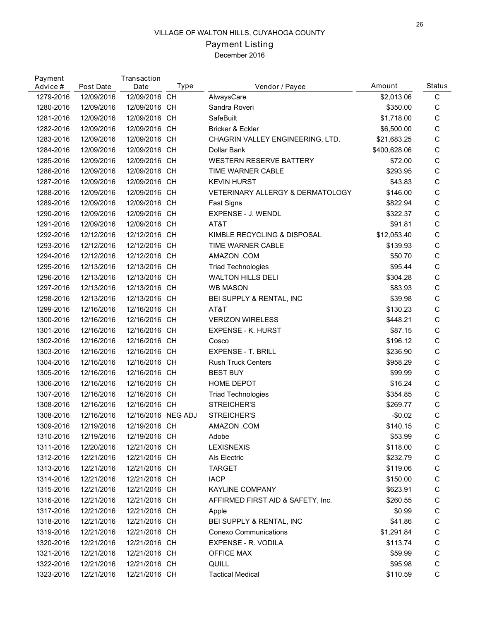# Payment Listing

| Payment<br>Advice # | Post Date  | Transaction<br>Date | Type | Vendor / Payee                    | Amount       | Status      |
|---------------------|------------|---------------------|------|-----------------------------------|--------------|-------------|
| 1279-2016           | 12/09/2016 | 12/09/2016 CH       |      | AlwaysCare                        | \$2,013.06   | $\mathsf C$ |
| 1280-2016           | 12/09/2016 | 12/09/2016 CH       |      | Sandra Roveri                     | \$350.00     | $\mathsf C$ |
| 1281-2016           | 12/09/2016 | 12/09/2016 CH       |      | SafeBuilt                         | \$1,718.00   | $\mathsf C$ |
| 1282-2016           | 12/09/2016 | 12/09/2016 CH       |      | Bricker & Eckler                  | \$6,500.00   | $\mathsf C$ |
| 1283-2016           | 12/09/2016 | 12/09/2016 CH       |      | CHAGRIN VALLEY ENGINEERING, LTD.  | \$21,683.25  | $\mathsf C$ |
| 1284-2016           | 12/09/2016 | 12/09/2016 CH       |      | Dollar Bank                       | \$400,628.06 | $\mathsf C$ |
| 1285-2016           | 12/09/2016 | 12/09/2016 CH       |      | <b>WESTERN RESERVE BATTERY</b>    | \$72.00      | $\mathsf C$ |
| 1286-2016           | 12/09/2016 | 12/09/2016 CH       |      | TIME WARNER CABLE                 | \$293.95     | $\mathsf C$ |
| 1287-2016           | 12/09/2016 | 12/09/2016 CH       |      | <b>KEVIN HURST</b>                | \$43.83      | $\mathsf C$ |
| 1288-2016           | 12/09/2016 | 12/09/2016 CH       |      | VETERINARY ALLERGY & DERMATOLOGY  | \$146.00     | $\mathsf C$ |
| 1289-2016           | 12/09/2016 | 12/09/2016 CH       |      | Fast Signs                        | \$822.94     | $\mathsf C$ |
| 1290-2016           | 12/09/2016 | 12/09/2016 CH       |      | EXPENSE - J. WENDL                | \$322.37     | $\mathsf C$ |
| 1291-2016           | 12/09/2016 | 12/09/2016 CH       |      | AT&T                              | \$91.81      | $\mathsf C$ |
| 1292-2016           | 12/12/2016 | 12/12/2016 CH       |      | KIMBLE RECYCLING & DISPOSAL       | \$12,053.40  | $\mathsf C$ |
| 1293-2016           | 12/12/2016 | 12/12/2016 CH       |      | TIME WARNER CABLE                 | \$139.93     | $\mathsf C$ |
| 1294-2016           | 12/12/2016 | 12/12/2016 CH       |      | AMAZON .COM                       | \$50.70      | $\mathsf C$ |
| 1295-2016           | 12/13/2016 | 12/13/2016 CH       |      | <b>Triad Technologies</b>         | \$95.44      | $\mathsf C$ |
| 1296-2016           | 12/13/2016 | 12/13/2016 CH       |      | <b>WALTON HILLS DELI</b>          | \$304.28     | $\mathsf C$ |
| 1297-2016           | 12/13/2016 | 12/13/2016 CH       |      | <b>WB MASON</b>                   | \$83.93      | $\mathsf C$ |
| 1298-2016           | 12/13/2016 | 12/13/2016 CH       |      | BEI SUPPLY & RENTAL, INC          | \$39.98      | $\mathsf C$ |
| 1299-2016           | 12/16/2016 | 12/16/2016 CH       |      | AT&T                              | \$130.23     | $\mathsf C$ |
| 1300-2016           | 12/16/2016 | 12/16/2016 CH       |      | <b>VERIZON WIRELESS</b>           | \$448.21     | $\mathsf C$ |
| 1301-2016           | 12/16/2016 | 12/16/2016 CH       |      | <b>EXPENSE - K. HURST</b>         | \$87.15      | $\mathsf C$ |
| 1302-2016           | 12/16/2016 | 12/16/2016 CH       |      | Cosco                             | \$196.12     | $\mathsf C$ |
| 1303-2016           | 12/16/2016 | 12/16/2016 CH       |      | <b>EXPENSE - T. BRILL</b>         | \$236.90     | $\mathsf C$ |
| 1304-2016           | 12/16/2016 | 12/16/2016 CH       |      | <b>Rush Truck Centers</b>         | \$958.29     | $\mathsf C$ |
| 1305-2016           | 12/16/2016 | 12/16/2016 CH       |      | <b>BEST BUY</b>                   | \$99.99      | $\mathsf C$ |
| 1306-2016           | 12/16/2016 | 12/16/2016 CH       |      | HOME DEPOT                        | \$16.24      | $\mathsf C$ |
| 1307-2016           | 12/16/2016 | 12/16/2016 CH       |      | <b>Triad Technologies</b>         | \$354.85     | $\mathsf C$ |
| 1308-2016           | 12/16/2016 | 12/16/2016 CH       |      | STREICHER'S                       | \$269.77     | $\mathsf C$ |
| 1308-2016           | 12/16/2016 | 12/16/2016 NEG ADJ  |      | STREICHER'S                       | $-$0.02$     | $\mathsf C$ |
| 1309-2016           | 12/19/2016 | 12/19/2016 CH       |      | AMAZON .COM                       | \$140.15     | $\mathsf C$ |
| 1310-2016           | 12/19/2016 | 12/19/2016 CH       |      | Adobe                             | \$53.99      | C           |
| 1311-2016           | 12/20/2016 | 12/21/2016 CH       |      | <b>LEXISNEXIS</b>                 | \$118.00     | C           |
| 1312-2016           | 12/21/2016 | 12/21/2016 CH       |      | Als Electric                      | \$232.79     | C           |
| 1313-2016           | 12/21/2016 | 12/21/2016 CH       |      | <b>TARGET</b>                     | \$119.06     | C           |
| 1314-2016           | 12/21/2016 | 12/21/2016 CH       |      | <b>IACP</b>                       | \$150.00     | $\mathsf C$ |
| 1315-2016           | 12/21/2016 | 12/21/2016 CH       |      | <b>KAYLINE COMPANY</b>            | \$623.91     | $\mathsf C$ |
| 1316-2016           | 12/21/2016 | 12/21/2016 CH       |      | AFFIRMED FIRST AID & SAFETY, Inc. | \$260.55     | $\mathsf C$ |
| 1317-2016           | 12/21/2016 | 12/21/2016 CH       |      | Apple                             | \$0.99       | $\mathsf C$ |
| 1318-2016           | 12/21/2016 | 12/21/2016 CH       |      | BEI SUPPLY & RENTAL, INC          | \$41.86      | $\mathsf C$ |
| 1319-2016           | 12/21/2016 | 12/21/2016 CH       |      | <b>Conexo Communications</b>      | \$1,291.84   | $\mathsf C$ |
| 1320-2016           | 12/21/2016 | 12/21/2016 CH       |      | EXPENSE - R. VODILA               | \$113.74     | C           |
| 1321-2016           | 12/21/2016 | 12/21/2016 CH       |      | <b>OFFICE MAX</b>                 | \$59.99      | C           |
| 1322-2016           | 12/21/2016 | 12/21/2016 CH       |      | QUILL                             | \$95.98      | $\mathsf C$ |
| 1323-2016           | 12/21/2016 | 12/21/2016 CH       |      | <b>Tactical Medical</b>           | \$110.59     | C           |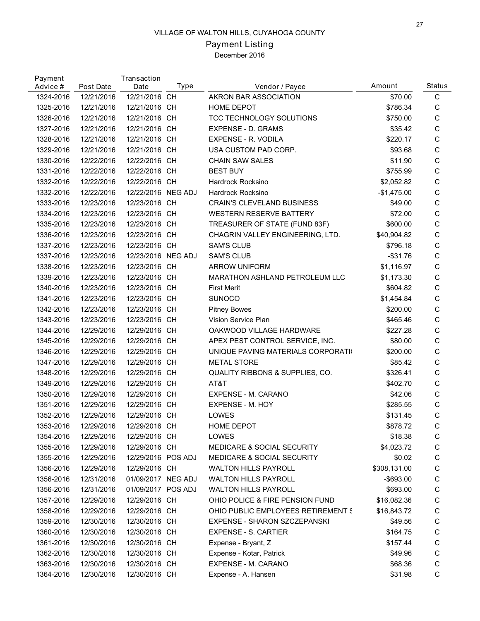# Payment Listing

| Payment<br>Advice # | Post Date  | Transaction<br>Date | Type      | Vendor / Payee                        | Amount       | <b>Status</b> |
|---------------------|------------|---------------------|-----------|---------------------------------------|--------------|---------------|
| 1324-2016           | 12/21/2016 | 12/21/2016 CH       |           | AKRON BAR ASSOCIATION                 | \$70.00      | C             |
| 1325-2016           | 12/21/2016 | 12/21/2016 CH       |           | HOME DEPOT                            | \$786.34     | C             |
| 1326-2016           | 12/21/2016 | 12/21/2016          | <b>CH</b> | TCC TECHNOLOGY SOLUTIONS              | \$750.00     | C             |
| 1327-2016           | 12/21/2016 | 12/21/2016 CH       |           | <b>EXPENSE - D. GRAMS</b>             | \$35.42      | C             |
| 1328-2016           | 12/21/2016 | 12/21/2016 CH       |           | EXPENSE - R. VODILA                   | \$220.17     | C             |
| 1329-2016           | 12/21/2016 | 12/21/2016 CH       |           | USA CUSTOM PAD CORP.                  | \$93.68      | C             |
| 1330-2016           | 12/22/2016 | 12/22/2016 CH       |           | <b>CHAIN SAW SALES</b>                | \$11.90      | $\mathsf C$   |
| 1331-2016           | 12/22/2016 | 12/22/2016 CH       |           | <b>BEST BUY</b>                       | \$755.99     | C             |
| 1332-2016           | 12/22/2016 | 12/22/2016 CH       |           | Hardrock Rocksino                     | \$2,052.82   | C             |
| 1332-2016           | 12/22/2016 | 12/22/2016 NEG ADJ  |           | Hardrock Rocksino                     | $-$1,475.00$ | $\mathsf C$   |
| 1333-2016           | 12/23/2016 | 12/23/2016 CH       |           | <b>CRAIN'S CLEVELAND BUSINESS</b>     | \$49.00      | $\mathsf C$   |
| 1334-2016           | 12/23/2016 | 12/23/2016 CH       |           | <b>WESTERN RESERVE BATTERY</b>        | \$72.00      | C             |
| 1335-2016           | 12/23/2016 | 12/23/2016 CH       |           | TREASURER OF STATE (FUND 83F)         | \$600.00     | C             |
| 1336-2016           | 12/23/2016 | 12/23/2016 CH       |           | CHAGRIN VALLEY ENGINEERING, LTD.      | \$40,904.82  | $\mathsf C$   |
| 1337-2016           | 12/23/2016 | 12/23/2016 CH       |           | <b>SAM'S CLUB</b>                     | \$796.18     | C             |
| 1337-2016           | 12/23/2016 | 12/23/2016 NEG ADJ  |           | <b>SAM'S CLUB</b>                     | $-$ \$31.76  | C             |
| 1338-2016           | 12/23/2016 | 12/23/2016 CH       |           | ARROW UNIFORM                         | \$1,116.97   | C             |
| 1339-2016           | 12/23/2016 | 12/23/2016 CH       |           | MARATHON ASHLAND PETROLEUM LLC        | \$1,173.30   | $\mathsf C$   |
| 1340-2016           | 12/23/2016 | 12/23/2016          | <b>CH</b> | <b>First Merit</b>                    | \$604.82     | C             |
| 1341-2016           | 12/23/2016 | 12/23/2016 CH       |           | <b>SUNOCO</b>                         | \$1,454.84   | C             |
| 1342-2016           | 12/23/2016 | 12/23/2016 CH       |           | <b>Pitney Bowes</b>                   | \$200.00     | C             |
| 1343-2016           | 12/23/2016 | 12/23/2016 CH       |           | Vision Service Plan                   | \$465.46     | $\mathsf C$   |
| 1344-2016           | 12/29/2016 | 12/29/2016          | <b>CH</b> | OAKWOOD VILLAGE HARDWARE              | \$227.28     | C             |
| 1345-2016           | 12/29/2016 | 12/29/2016 CH       |           | APEX PEST CONTROL SERVICE, INC.       | \$80.00      | C             |
| 1346-2016           | 12/29/2016 | 12/29/2016          | <b>CH</b> | UNIQUE PAVING MATERIALS CORPORATION   | \$200.00     | C             |
| 1347-2016           | 12/29/2016 | 12/29/2016          | <b>CH</b> | <b>METAL STORE</b>                    | \$85.42      | C             |
| 1348-2016           | 12/29/2016 | 12/29/2016          | <b>CH</b> | QUALITY RIBBONS & SUPPLIES, CO.       | \$326.41     | C             |
| 1349-2016           | 12/29/2016 | 12/29/2016          | <b>CH</b> | AT&T                                  | \$402.70     | С             |
| 1350-2016           | 12/29/2016 | 12/29/2016          | <b>CH</b> | EXPENSE - M. CARANO                   | \$42.06      | С             |
| 1351-2016           | 12/29/2016 | 12/29/2016          | <b>CH</b> | EXPENSE - M. HOY                      | \$285.55     | С             |
| 1352-2016           | 12/29/2016 | 12/29/2016 CH       |           | LOWES                                 | \$131.45     | $\mathsf C$   |
| 1353-2016           | 12/29/2016 | 12/29/2016 CH       |           | <b>HOME DEPOT</b>                     | \$878.72     | С             |
| 1354-2016           | 12/29/2016 | 12/29/2016 CH       |           | LOWES                                 | \$18.38      | C             |
| 1355-2016           | 12/29/2016 | 12/29/2016 CH       |           | <b>MEDICARE &amp; SOCIAL SECURITY</b> | \$4,023.72   | С             |
| 1355-2016           | 12/29/2016 | 12/29/2016 POS ADJ  |           | <b>MEDICARE &amp; SOCIAL SECURITY</b> | \$0.02       | C             |
| 1356-2016           | 12/29/2016 | 12/29/2016 CH       |           | <b>WALTON HILLS PAYROLL</b>           | \$308,131.00 | С             |
| 1356-2016           | 12/31/2016 | 01/09/2017 NEG ADJ  |           | <b>WALTON HILLS PAYROLL</b>           | -\$693.00    | C             |
| 1356-2016           | 12/31/2016 | 01/09/2017 POS ADJ  |           | <b>WALTON HILLS PAYROLL</b>           | \$693.00     | C             |
| 1357-2016           | 12/29/2016 | 12/29/2016 CH       |           | OHIO POLICE & FIRE PENSION FUND       | \$16,082.36  | С             |
| 1358-2016           | 12/29/2016 | 12/29/2016 CH       |           | OHIO PUBLIC EMPLOYEES RETIREMENT S    | \$16,843.72  | С             |
| 1359-2016           | 12/30/2016 | 12/30/2016 CH       |           | EXPENSE - SHARON SZCZEPANSKI          | \$49.56      | C             |
| 1360-2016           | 12/30/2016 | 12/30/2016 CH       |           | EXPENSE - S. CARTIER                  | \$164.75     | C             |
| 1361-2016           | 12/30/2016 | 12/30/2016 CH       |           | Expense - Bryant, Z                   | \$157.44     | C             |
| 1362-2016           | 12/30/2016 | 12/30/2016 CH       |           | Expense - Kotar, Patrick              | \$49.96      | C             |
| 1363-2016           | 12/30/2016 | 12/30/2016 CH       |           | EXPENSE - M. CARANO                   | \$68.36      | $\mathsf C$   |
| 1364-2016           | 12/30/2016 | 12/30/2016 CH       |           | Expense - A. Hansen                   | \$31.98      | C             |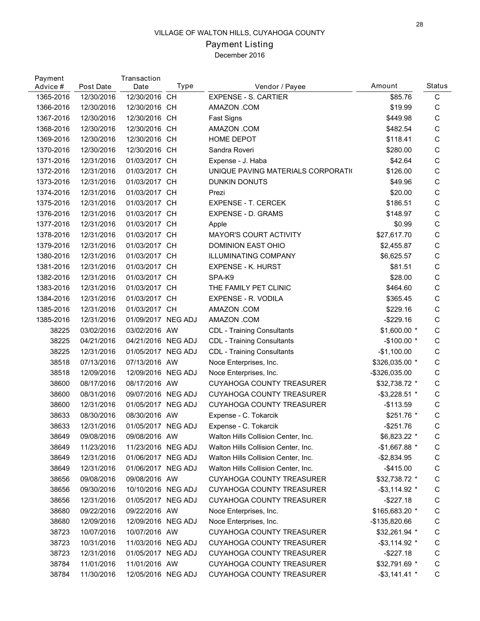# Payment Listing

| Payment<br>Advice # | Post Date  | Transaction<br>Date | Type      | Vendor / Payee                      | Amount             | <b>Status</b> |
|---------------------|------------|---------------------|-----------|-------------------------------------|--------------------|---------------|
| 1365-2016           | 12/30/2016 | 12/30/2016 CH       |           | <b>EXPENSE - S. CARTIER</b>         | \$85.76            | C             |
| 1366-2016           | 12/30/2016 | 12/30/2016 CH       |           | AMAZON .COM                         | \$19.99            | C             |
| 1367-2016           | 12/30/2016 | 12/30/2016          | <b>CH</b> | Fast Signs                          | \$449.98           | C             |
| 1368-2016           | 12/30/2016 | 12/30/2016 CH       |           | AMAZON .COM                         | \$482.54           | C             |
| 1369-2016           | 12/30/2016 | 12/30/2016 CH       |           | HOME DEPOT                          | \$118.41           | C             |
| 1370-2016           | 12/30/2016 | 12/30/2016          | <b>CH</b> | Sandra Roveri                       | \$280.00           | C             |
| 1371-2016           | 12/31/2016 | 01/03/2017          | <b>CH</b> | Expense - J. Haba                   | \$42.64            | C             |
| 1372-2016           | 12/31/2016 | 01/03/2017          | <b>CH</b> | UNIQUE PAVING MATERIALS CORPORATION | \$126.00           | C             |
| 1373-2016           | 12/31/2016 | 01/03/2017 CH       |           | DUNKIN DONUTS                       | \$49.96            | C             |
| 1374-2016           | 12/31/2016 | 01/03/2017          | <b>CH</b> | Prezi                               | \$20.00            | C             |
| 1375-2016           | 12/31/2016 | 01/03/2017          | <b>CH</b> | <b>EXPENSE - T. CERCEK</b>          | \$186.51           | C             |
| 1376-2016           | 12/31/2016 | 01/03/2017          | <b>CH</b> | <b>EXPENSE - D. GRAMS</b>           | \$148.97           | C             |
| 1377-2016           | 12/31/2016 | 01/03/2017          | <b>CH</b> | Apple                               | \$0.99             | C             |
| 1378-2016           | 12/31/2016 | 01/03/2017          | <b>CH</b> | <b>MAYOR'S COURT ACTIVITY</b>       | \$27,617.70        | C             |
| 1379-2016           | 12/31/2016 | 01/03/2017          | <b>CH</b> | DOMINION EAST OHIO                  | \$2,455.87         | C             |
| 1380-2016           | 12/31/2016 | 01/03/2017 CH       |           | <b>ILLUMINATING COMPANY</b>         | \$6,625.57         | C             |
| 1381-2016           | 12/31/2016 | 01/03/2017          | <b>CH</b> | <b>EXPENSE - K. HURST</b>           | \$81.51            | C             |
| 1382-2016           | 12/31/2016 | 01/03/2017          | <b>CH</b> | SPA-K9                              | \$28.00            | C             |
| 1383-2016           | 12/31/2016 | 01/03/2017          | <b>CH</b> | THE FAMILY PET CLINIC               | \$464.60           | C             |
| 1384-2016           | 12/31/2016 | 01/03/2017 CH       |           | EXPENSE - R. VODILA                 | \$365.45           | C             |
| 1385-2016           | 12/31/2016 | 01/03/2017 CH       |           | AMAZON .COM                         | \$229.16           | C             |
| 1385-2016           | 12/31/2016 | 01/09/2017 NEG ADJ  |           | AMAZON .COM                         | $-$229.16$         | C             |
| 38225               | 03/02/2016 | 03/02/2016 AW       |           | <b>CDL - Training Consultants</b>   | \$1,600.00 *       | C             |
| 38225               | 04/21/2016 | 04/21/2016 NEG ADJ  |           | <b>CDL - Training Consultants</b>   | $-$100.00*$        | C             |
| 38225               | 12/31/2016 | 01/05/2017 NEG ADJ  |           | <b>CDL - Training Consultants</b>   | $-$1,100.00$       | C             |
| 38518               | 07/13/2016 | 07/13/2016 AW       |           | Noce Enterprises, Inc.              | \$326,035.00 *     | C             |
| 38518               | 12/09/2016 | 12/09/2016 NEG ADJ  |           | Noce Enterprises, Inc.              | -\$326,035.00      | C             |
| 38600               | 08/17/2016 | 08/17/2016 AW       |           | <b>CUYAHOGA COUNTY TREASURER</b>    | \$32,738.72 *      | C             |
| 38600               | 08/31/2016 | 09/07/2016 NEG ADJ  |           | <b>CUYAHOGA COUNTY TREASURER</b>    | $-$ \$3,228.51 $*$ | C             |
| 38600               | 12/31/2016 | 01/05/2017 NEG ADJ  |           | <b>CUYAHOGA COUNTY TREASURER</b>    | $-$113.59$         | $\mathsf C$   |
| 38633               | 08/30/2016 | 08/30/2016 AW       |           | Expense - C. Tokarcik               | \$251.76 *         | C             |
| 38633               | 12/31/2016 | 01/05/2017 NEG ADJ  |           | Expense - C. Tokarcik               | -\$251.76          | С             |
| 38649               | 09/08/2016 | 09/08/2016 AW       |           | Walton Hills Collision Center, Inc. | \$6,823.22 *       | C             |
| 38649               | 11/23/2016 | 11/23/2016 NEG ADJ  |           | Walton Hills Collision Center, Inc. | $-$1,667.88$ *     | C             |
| 38649               | 12/31/2016 | 01/06/2017 NEG ADJ  |           | Walton Hills Collision Center, Inc. | -\$2,834.95        | C             |
| 38649               | 12/31/2016 | 01/06/2017 NEG ADJ  |           | Walton Hills Collision Center, Inc. | $-$415.00$         | C             |
| 38656               | 09/08/2016 | 09/08/2016 AW       |           | CUYAHOGA COUNTY TREASURER           | \$32,738.72 *      | C             |
| 38656               | 09/30/2016 | 10/10/2016 NEG ADJ  |           | CUYAHOGA COUNTY TREASURER           | $-$ \$3,114.92 $*$ | C             |
| 38656               | 12/31/2016 | 01/05/2017 NEG ADJ  |           | CUYAHOGA COUNTY TREASURER           | $-$227.18$         | C             |
| 38680               | 09/22/2016 | 09/22/2016 AW       |           | Noce Enterprises, Inc.              | \$165,683.20 *     | C             |
| 38680               | 12/09/2016 | 12/09/2016 NEG ADJ  |           | Noce Enterprises, Inc.              | $-$135,820.66$     | C             |
| 38723               | 10/07/2016 | 10/07/2016 AW       |           | CUYAHOGA COUNTY TREASURER           | \$32,261.94 *      | C             |
| 38723               | 10/31/2016 | 11/03/2016 NEG ADJ  |           | CUYAHOGA COUNTY TREASURER           | $-$ \$3,114.92 $*$ | C             |
| 38723               | 12/31/2016 | 01/05/2017 NEG ADJ  |           | CUYAHOGA COUNTY TREASURER           | $-$ \$227.18       | C             |
| 38784               | 11/01/2016 | 11/01/2016 AW       |           | <b>CUYAHOGA COUNTY TREASURER</b>    | \$32,791.69 *      | C             |
| 38784               | 11/30/2016 | 12/05/2016 NEG ADJ  |           | CUYAHOGA COUNTY TREASURER           | $-$ \$3,141.41 $*$ | C             |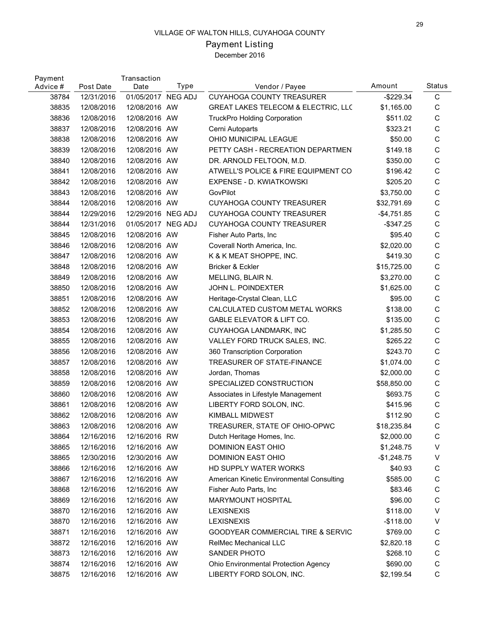# Payment Listing

| Payment<br>Advice # | Post Date  | Transaction<br>Date | Type | Vendor / Payee                               | Amount       | <b>Status</b> |
|---------------------|------------|---------------------|------|----------------------------------------------|--------------|---------------|
| 38784               | 12/31/2016 | 01/05/2017 NEG ADJ  |      | <b>CUYAHOGA COUNTY TREASURER</b>             | $-$229.34$   | C             |
| 38835               | 12/08/2016 | 12/08/2016 AW       |      | GREAT LAKES TELECOM & ELECTRIC, LLC          | \$1,165.00   | C             |
| 38836               | 12/08/2016 | 12/08/2016 AW       |      | <b>TruckPro Holding Corporation</b>          | \$511.02     | C             |
| 38837               | 12/08/2016 | 12/08/2016 AW       |      | Cerni Autoparts                              | \$323.21     | $\mathsf C$   |
| 38838               | 12/08/2016 | 12/08/2016 AW       |      | OHIO MUNICIPAL LEAGUE                        | \$50.00      | $\mathsf C$   |
| 38839               | 12/08/2016 | 12/08/2016 AW       |      | PETTY CASH - RECREATION DEPARTMEN            | \$149.18     | $\mathsf C$   |
| 38840               | 12/08/2016 | 12/08/2016 AW       |      | DR. ARNOLD FELTOON, M.D.                     | \$350.00     | $\mathbf C$   |
| 38841               | 12/08/2016 | 12/08/2016 AW       |      | ATWELL'S POLICE & FIRE EQUIPMENT CO          | \$196.42     | $\mathsf C$   |
| 38842               | 12/08/2016 | 12/08/2016 AW       |      | EXPENSE - D. KWIATKOWSKI                     | \$205.20     | $\mathsf C$   |
| 38843               | 12/08/2016 | 12/08/2016 AW       |      | GovPilot                                     | \$3,750.00   | $\mathsf C$   |
| 38844               | 12/08/2016 | 12/08/2016 AW       |      | CUYAHOGA COUNTY TREASURER                    | \$32,791.69  | $\mathbf C$   |
| 38844               | 12/29/2016 | 12/29/2016 NEG ADJ  |      | <b>CUYAHOGA COUNTY TREASURER</b>             | $-$4,751.85$ | $\mathsf C$   |
| 38844               | 12/31/2016 | 01/05/2017 NEG ADJ  |      | <b>CUYAHOGA COUNTY TREASURER</b>             | $-$ \$347.25 | $\mathsf C$   |
| 38845               | 12/08/2016 | 12/08/2016 AW       |      | Fisher Auto Parts, Inc.                      | \$95.40      | $\mathsf{C}$  |
| 38846               | 12/08/2016 | 12/08/2016 AW       |      | Coverall North America, Inc.                 | \$2,020.00   | $\mathbf C$   |
| 38847               | 12/08/2016 | 12/08/2016 AW       |      | K & K MEAT SHOPPE, INC.                      | \$419.30     | $\mathsf C$   |
| 38848               | 12/08/2016 | 12/08/2016 AW       |      | Bricker & Eckler                             | \$15,725.00  | $\mathsf C$   |
| 38849               | 12/08/2016 | 12/08/2016 AW       |      | MELLING, BLAIR N.                            | \$3,270.00   | $\mathsf C$   |
| 38850               | 12/08/2016 | 12/08/2016 AW       |      | JOHN L. POINDEXTER                           | \$1,625.00   | $\mathbf C$   |
| 38851               | 12/08/2016 | 12/08/2016 AW       |      | Heritage-Crystal Clean, LLC                  | \$95.00      | $\mathsf C$   |
| 38852               | 12/08/2016 | 12/08/2016 AW       |      | CALCULATED CUSTOM METAL WORKS                | \$138.00     | $\mathsf C$   |
| 38853               | 12/08/2016 | 12/08/2016 AW       |      | <b>GABLE ELEVATOR &amp; LIFT CO.</b>         | \$135.00     | $\mathsf C$   |
| 38854               | 12/08/2016 | 12/08/2016 AW       |      | CUYAHOGA LANDMARK, INC                       | \$1,285.50   | $\mathbf C$   |
| 38855               | 12/08/2016 | 12/08/2016 AW       |      | VALLEY FORD TRUCK SALES, INC.                | \$265.22     | C             |
| 38856               | 12/08/2016 | 12/08/2016 AW       |      | 360 Transcription Corporation                | \$243.70     | $\mathsf C$   |
| 38857               | 12/08/2016 | 12/08/2016 AW       |      | TREASURER OF STATE-FINANCE                   | \$1,074.00   | $\mathsf C$   |
| 38858               | 12/08/2016 | 12/08/2016 AW       |      | Jordan, Thomas                               | \$2,000.00   | $\mathbf C$   |
| 38859               | 12/08/2016 | 12/08/2016 AW       |      | SPECIALIZED CONSTRUCTION                     | \$58,850.00  | C             |
| 38860               | 12/08/2016 | 12/08/2016 AW       |      | Associates in Lifestyle Management           | \$693.75     | $\mathsf C$   |
| 38861               | 12/08/2016 | 12/08/2016 AW       |      | LIBERTY FORD SOLON, INC.                     | \$415.96     | $\mathsf C$   |
| 38862               | 12/08/2016 | 12/08/2016 AW       |      | <b>KIMBALL MIDWEST</b>                       | \$112.90     | $\mathsf{C}$  |
| 38863               | 12/08/2016 | 12/08/2016 AW       |      | TREASURER, STATE OF OHIO-OPWC                | \$18,235.84  | C             |
| 38864               | 12/16/2016 | 12/16/2016 RW       |      | Dutch Heritage Homes, Inc.                   | \$2,000.00   | C             |
| 38865               | 12/16/2016 | 12/16/2016 AW       |      | DOMINION EAST OHIO                           | \$1,248.75   | V             |
| 38865               | 12/30/2016 | 12/30/2016 AW       |      | DOMINION EAST OHIO                           | $-$1,248.75$ | V             |
| 38866               | 12/16/2016 | 12/16/2016 AW       |      | HD SUPPLY WATER WORKS                        | \$40.93      | C             |
| 38867               | 12/16/2016 | 12/16/2016 AW       |      | American Kinetic Environmental Consulting    | \$585.00     | C             |
| 38868               | 12/16/2016 | 12/16/2016 AW       |      | Fisher Auto Parts, Inc.                      | \$83.46      | C             |
| 38869               | 12/16/2016 | 12/16/2016 AW       |      | MARYMOUNT HOSPITAL                           | \$96.00      | C             |
| 38870               | 12/16/2016 | 12/16/2016 AW       |      | <b>LEXISNEXIS</b>                            | \$118.00     | V             |
| 38870               | 12/16/2016 | 12/16/2016 AW       |      | <b>LEXISNEXIS</b>                            | $-$118.00$   | V             |
| 38871               | 12/16/2016 | 12/16/2016 AW       |      | <b>GOODYEAR COMMERCIAL TIRE &amp; SERVIC</b> | \$769.00     | C             |
| 38872               | 12/16/2016 | 12/16/2016 AW       |      | RelMec Mechanical LLC                        | \$2,820.18   | C             |
| 38873               | 12/16/2016 | 12/16/2016 AW       |      | SANDER PHOTO                                 | \$268.10     | С             |
| 38874               | 12/16/2016 | 12/16/2016 AW       |      | Ohio Environmental Protection Agency         | \$690.00     | $\mathsf C$   |
| 38875               | 12/16/2016 | 12/16/2016 AW       |      | LIBERTY FORD SOLON, INC.                     | \$2,199.54   | C             |
|                     |            |                     |      |                                              |              |               |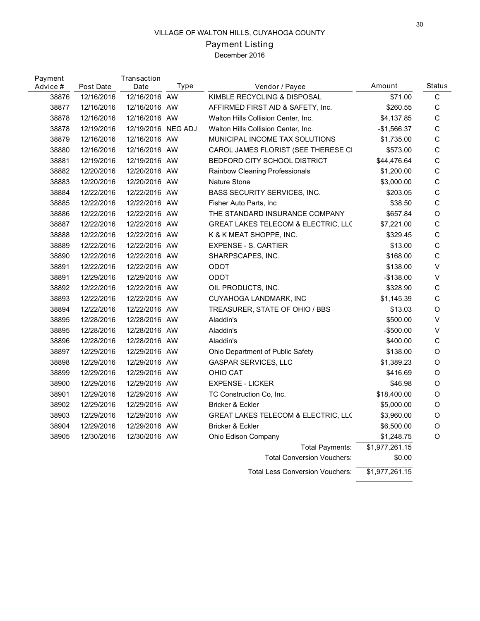# Payment Listing

| Payment<br>Advice # | Post Date  | Transaction<br>Date | Type | Vendor / Payee                                 | Amount         | Status       |
|---------------------|------------|---------------------|------|------------------------------------------------|----------------|--------------|
| 38876               | 12/16/2016 | 12/16/2016 AW       |      | KIMBLE RECYCLING & DISPOSAL                    | \$71.00        | C            |
| 38877               | 12/16/2016 | 12/16/2016 AW       |      | AFFIRMED FIRST AID & SAFETY, Inc.              | \$260.55       | C            |
| 38878               | 12/16/2016 | 12/16/2016 AW       |      | Walton Hills Collision Center, Inc.            | \$4,137.85     | $\mathsf C$  |
| 38878               | 12/19/2016 | 12/19/2016 NEG ADJ  |      | Walton Hills Collision Center, Inc.            | $-$1,566.37$   | $\mathsf C$  |
| 38879               | 12/16/2016 | 12/16/2016 AW       |      | MUNICIPAL INCOME TAX SOLUTIONS                 | \$1,735.00     | $\mathsf{C}$ |
| 38880               | 12/16/2016 | 12/16/2016 AW       |      | CAROL JAMES FLORIST (SEE THERESE CI            | \$573.00       | $\mathsf C$  |
| 38881               | 12/19/2016 | 12/19/2016 AW       |      | BEDFORD CITY SCHOOL DISTRICT                   | \$44,476.64    | $\mathsf C$  |
| 38882               | 12/20/2016 | 12/20/2016 AW       |      | Rainbow Cleaning Professionals                 | \$1,200.00     | $\mathsf C$  |
| 38883               | 12/20/2016 | 12/20/2016 AW       |      | <b>Nature Stone</b>                            | \$3,000.00     | $\mathsf C$  |
| 38884               | 12/22/2016 | 12/22/2016 AW       |      | BASS SECURITY SERVICES, INC.                   | \$203.05       | $\mathsf C$  |
| 38885               | 12/22/2016 | 12/22/2016 AW       |      | Fisher Auto Parts, Inc.                        | \$38.50        | $\mathsf C$  |
| 38886               | 12/22/2016 | 12/22/2016 AW       |      | THE STANDARD INSURANCE COMPANY                 | \$657.84       | O            |
| 38887               | 12/22/2016 | 12/22/2016 AW       |      | <b>GREAT LAKES TELECOM &amp; ELECTRIC, LLC</b> | \$7,221.00     | $\mathsf C$  |
| 38888               | 12/22/2016 | 12/22/2016 AW       |      | K & K MEAT SHOPPE, INC.                        | \$329.45       | $\mathsf{C}$ |
| 38889               | 12/22/2016 | 12/22/2016 AW       |      | <b>EXPENSE - S. CARTIER</b>                    | \$13.00        | $\mathsf C$  |
| 38890               | 12/22/2016 | 12/22/2016 AW       |      | SHARPSCAPES, INC.                              | \$168.00       | $\mathsf C$  |
| 38891               | 12/22/2016 | 12/22/2016 AW       |      | <b>ODOT</b>                                    | \$138.00       | V            |
| 38891               | 12/29/2016 | 12/29/2016 AW       |      | ODOT                                           | $-$138.00$     | V            |
| 38892               | 12/22/2016 | 12/22/2016 AW       |      | OIL PRODUCTS, INC.                             | \$328.90       | $\mathsf C$  |
| 38893               | 12/22/2016 | 12/22/2016 AW       |      | CUYAHOGA LANDMARK, INC                         | \$1,145.39     | C            |
| 38894               | 12/22/2016 | 12/22/2016 AW       |      | TREASURER, STATE OF OHIO / BBS                 | \$13.03        | O            |
| 38895               | 12/28/2016 | 12/28/2016 AW       |      | Aladdin's                                      | \$500.00       | V            |
| 38895               | 12/28/2016 | 12/28/2016 AW       |      | Aladdin's                                      | $-$500.00$     | V            |
| 38896               | 12/28/2016 | 12/28/2016 AW       |      | Aladdin's                                      | \$400.00       | C            |
| 38897               | 12/29/2016 | 12/29/2016 AW       |      | Ohio Department of Public Safety               | \$138.00       | O            |
| 38898               | 12/29/2016 | 12/29/2016 AW       |      | <b>GASPAR SERVICES, LLC</b>                    | \$1,389.23     | O            |
| 38899               | 12/29/2016 | 12/29/2016 AW       |      | OHIO CAT                                       | \$416.69       | O            |
| 38900               | 12/29/2016 | 12/29/2016 AW       |      | <b>EXPENSE - LICKER</b>                        | \$46.98        | O            |
| 38901               | 12/29/2016 | 12/29/2016 AW       |      | TC Construction Co, Inc.                       | \$18,400.00    | O            |
| 38902               | 12/29/2016 | 12/29/2016 AW       |      | Bricker & Eckler                               | \$5,000.00     | O            |
| 38903               | 12/29/2016 | 12/29/2016 AW       |      | GREAT LAKES TELECOM & ELECTRIC, LLC            | \$3,960.00     | O            |
| 38904               | 12/29/2016 | 12/29/2016 AW       |      | Bricker & Eckler                               | \$6,500.00     | O            |
| 38905               | 12/30/2016 | 12/30/2016 AW       |      | Ohio Edison Company                            | \$1,248.75     | O            |
|                     |            |                     |      | <b>Total Payments:</b>                         | \$1,977,261.15 |              |
|                     |            |                     |      | <b>Total Conversion Vouchers:</b>              | \$0.00         |              |
|                     |            |                     |      | <b>Total Less Conversion Vouchers:</b>         | \$1,977,261.15 |              |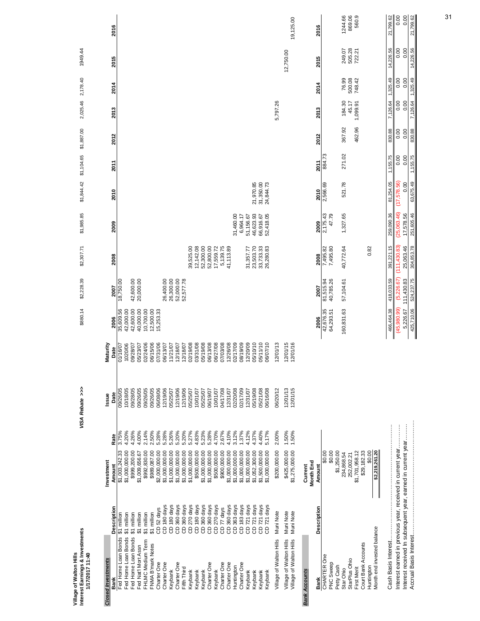| Interest Earnings & Investments<br>Village of Walton Hills |                            |                                                              | VISA Rebate >>>      |                     | \$880.14               | \$2,228.39             | \$2,307.71             | \$1,985.85             | \$1,844.42             | \$1,104.65  | \$1,887.00 | 2,025.46 | 2,178.40 | 1949.44   |           |
|------------------------------------------------------------|----------------------------|--------------------------------------------------------------|----------------------|---------------------|------------------------|------------------------|------------------------|------------------------|------------------------|-------------|------------|----------|----------|-----------|-----------|
| 1/17/2017 11:40                                            |                            |                                                              |                      |                     |                        |                        |                        |                        |                        |             |            |          |          |           |           |
| <b>Closed Investments</b>                                  |                            | Investment                                                   | Issue                | Maturity            |                        |                        |                        |                        |                        |             |            |          |          |           |           |
| Bank                                                       | Description                | Rate<br>Amount                                               | Date                 | Date                | 2006                   | 2007                   | 2008                   | 2009                   | 2010                   | <b>2011</b> | 2012       | 2013     | 2014     | 2015      | 2016      |
| Fed Home Loan Bonds<br>Fed Home Loan Bonds                 | \$1 million<br>\$1 million | 3.75%<br>4.20%<br>\$1,003,242.33<br>\$1,000,000.00           | 09/26/05<br>10/18/05 | 01/16/07<br>1020/06 | 35,609.56<br>42,000.00 | 18,750.00              |                        |                        |                        |             |            |          |          |           |           |
| Fed Home Loan Bonds                                        | million<br>ຈົ              | 4.26%<br>\$999,200.00                                        | 09/28/05             | 10/82/07            | 42,600.00              | 42,600.00              |                        |                        |                        |             |            |          |          |           |           |
| Fed Nat'l Mort Assn                                        | \$1 million                | 4.00%<br>\$1,009,656.67                                      | 09/26/05             | 15/23/07            | 40,000.00              | 20,000.00              |                        |                        |                        |             |            |          |          |           |           |
| FHLMC Medium Term                                          | \$1 million                | 2.14%<br>\$992,830.00                                        | 09/26/05             | 02/24/06            | 10,700.00              |                        |                        |                        |                        |             |            |          |          |           |           |
| FNMA B'mark Notes                                          | \$1 million                | 2.50%<br>\$989,087.00                                        | 09/26/05             | 06/15/06            | 12,500.00              |                        |                        |                        |                        |             |            |          |          |           |           |
| Charter One                                                | CD 52 days                 | 5.28%<br>\$2,000,000.00                                      | 06/08/06             | 17/31/06            | 15,253.33              |                        |                        |                        |                        |             |            |          |          |           |           |
| Charter One                                                | CD 180 days                | 5.28%<br>\$1,000,000.00                                      | 12/19/06             | 0/13/07             |                        | 26,400.00              |                        |                        |                        |             |            |          |          |           |           |
| Charter One<br>Keybank                                     | CD 180 days<br>CD 360 days | 5.26%<br>5.20%<br>\$1,000,000.00<br>\$1,000,000.00           | 12/19/06<br>05/25/07 | 1/21/07<br>2/18/07  |                        | 26,300.00<br>52,000.00 |                        |                        |                        |             |            |          |          |           |           |
| Fifth Third                                                | CD 360 days                | 5.20%<br>\$1,000,000.00                                      | 12/19/06             | 2/18/07             |                        | 52,577.78              |                        |                        |                        |             |            |          |          |           |           |
| Keybank                                                    | CD 270 days                | 5.27%<br>\$1,000,000.00                                      | 05/25/07             | 2/19/08             |                        |                        | 39,525.00              |                        |                        |             |            |          |          |           |           |
| Keybank                                                    | CD 180 days                | 4.83%<br>\$500,000.00                                        | 10/01/07             | 03/31/08            |                        |                        | 12, 142.08             |                        |                        |             |            |          |          |           |           |
| Keybank                                                    | CD 360 days                | 5.23%<br>\$1,000,000.00                                      | 05/25/07             | 5/19/08             |                        |                        | 52,300.00              |                        |                        |             |            |          |          |           |           |
| Charter One                                                | CD 360 days                | 5.28%<br>\$1,000,000.00                                      | 06/19/07             | 06/13/08            |                        |                        | 52,800.00              |                        |                        |             |            |          |          |           |           |
| Keybank                                                    | CD 270 days                | 4.70%<br>\$500,000.00                                        | 10/01/07             | 00/27/08            |                        |                        | 17,559.72              |                        |                        |             |            |          |          |           |           |
| Charter One                                                | CD 77 days                 | 2.67%<br>\$900,000.00                                        | 04/17/08             | 07/03/08            |                        |                        | 5,139.75               |                        |                        |             |            |          |          |           |           |
| Charter One                                                | CD 360 days                | 4.10%<br>\$1,000,000.00                                      | 12/31/07             | 2/26/08             |                        |                        | 41,113.89              |                        |                        |             |            |          |          |           |           |
| Huntington                                                 | CD 363 days                | 3.12%<br>\$1,000,000.00                                      | 02/20/08             | 07/17/09            |                        |                        |                        | 31,460.00              |                        |             |            |          |          |           |           |
| Charter One                                                | CD 183 days                | 1.37%<br>\$1,000,000.00                                      | 02/17/09             | 8/19/09             |                        |                        |                        | 6,964.17               |                        |             |            |          |          |           |           |
| Keybank                                                    | CD 721 days                | 4.12%<br>\$1,000,000.00                                      | 12/31/07             | 2/20/09             |                        |                        | 31,357.77              | 51,156.67              |                        |             |            |          |          |           |           |
| Keybank                                                    | CD 721 days                | 4.37%<br>\$1,052,300.00                                      | 05/19/08             | 5/10/10             |                        |                        | 23,503.70              | 46,623.93              | 21,970.85              |             |            |          |          |           |           |
| Keybank<br>Keybank                                         | CD 721 days<br>CD 721 days | 4.40%<br>5.17%<br>\$1,000,000.00<br>\$1,500,000.00           | 05/21/08<br>06/16/08 | 5/11/10<br>06/07/10 |                        |                        | 33,733.33<br>26,280.83 | 52,418.05<br>66,916.67 | 31,350.00<br>24,844.73 |             |            |          |          |           |           |
|                                                            |                            |                                                              |                      |                     |                        |                        |                        |                        |                        |             |            |          |          |           |           |
| Village of Walton Hills                                    | Muni Note                  | 2.00%<br>\$200,000.00                                        | 06/20/12             | 2/01/13             |                        |                        |                        |                        |                        |             |            | 5,797.26 |          |           |           |
| Village of Walton Hills                                    | Muni Note                  | 1.50%<br>\$425,000.00                                        | 12/01/13             | 2/01/15             |                        |                        |                        |                        |                        |             |            |          |          | 12,750.00 |           |
| Village of Walton Hills                                    | Muni Note                  | 1.50%<br>\$1,275,000.00                                      | 12/01/15             | 2/01/16             |                        |                        |                        |                        |                        |             |            |          |          |           | 19,125.00 |
| <b>Bank Accounts</b>                                       |                            | Current                                                      |                      |                     |                        |                        |                        |                        |                        |             |            |          |          |           |           |
|                                                            |                            | Month End                                                    |                      |                     |                        |                        |                        |                        |                        |             |            |          |          |           |           |
| Bank                                                       | Description                | Amount                                                       |                      |                     | 2006                   | 2007                   | 2008                   | 2009                   | 2010                   | 2011        | 2012       | 2013     | 2014     | 2015      | 2016      |
| <b>CHARTER One</b>                                         |                            | 00.0\$                                                       |                      |                     | 42,676.35              | 81,515.94              | 7,495.82               | 2,175.43               | 2,566.69               | 884.73      |            |          |          |           |           |
| PNC Sweep<br>Petty Cash                                    |                            | \$1,250.00<br>\$0.00                                         |                      |                     | 64,293.51              | 40,785.26              | 7,495.80               | 47.79                  |                        |             |            |          |          |           |           |
| Star Ohio                                                  |                            | 234,868.54                                                   |                      |                     | 160,831.63             | 57,104.61              | 40,772.64              | 1,327.65               | 521.78                 | 271.02      | 367.92     | 184.30   | 76.99    | 249.07    | 1244.66   |
| StarPlus Ohio                                              |                            | 252,002.21                                                   |                      |                     |                        |                        |                        |                        |                        |             |            | 45.17    | 500.08   |           | 869.06    |
| <b>First Merit</b>                                         |                            | \$1,701,958.12                                               |                      |                     |                        |                        |                        |                        |                        |             | 462.96     | 1,099.91 | 748.42   | 505.28    | 560.9     |
| Court Bank Accounts                                        |                            | \$29,182.33                                                  |                      |                     |                        |                        |                        |                        |                        |             |            |          |          |           |           |
| Huntington                                                 |                            | \$0.00                                                       |                      |                     |                        |                        | 0.82                   |                        |                        |             |            |          |          |           |           |
| Month end invested balance                                 |                            | \$2,219,261.20                                               |                      |                     |                        |                        |                        |                        |                        |             |            |          |          |           |           |
|                                                            |                            |                                                              |                      |                     | 466,464.38             | 418,033.59             | 391,221.15             | 259,090.36             | 81,254.05              | 1,155.75    | 830.88     | 7,126.64 | 1,325.49 | 14,226.56 | 21,799.62 |
|                                                            |                            | Interest earned in previous year, received in current year   |                      |                     | (45,980.99)            | (5,226.67)             | (111, 430.83)          | (25,063.46)            | (17,578.56)            | 0.00        | 0.00       | 0.00     | 0.00     | 0.00      | 0.00      |
|                                                            |                            | Interest received In subsequent year, earned in current year |                      |                     | 5,226.67               | 111,430.83             | 25,063.46              | 17,578.56              | 0.00                   | 0.00        | 0.00       | 0.00     | 0.00     | 0.00      | 0.00      |
|                                                            |                            |                                                              |                      |                     | 425,710.06             | 524,237.75             | 304,853.78             | 251,605.46             | 63,675.49              | 1,155.75    | 830.88     | 7,126.64 | 1,325.49 | 14,226.56 | 21,799.62 |
|                                                            |                            |                                                              |                      |                     |                        |                        |                        |                        |                        |             |            |          |          |           |           |

31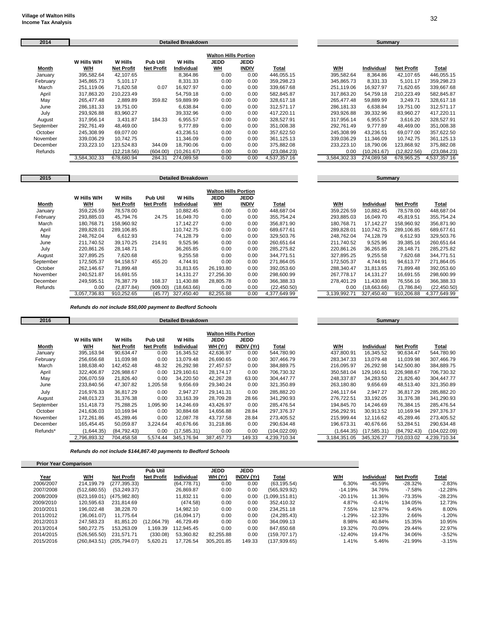| 2014      |              |                   |                   | <b>Detailed Breakdown</b> |                             |              |              |              | <b>Summary</b> |                   |              |
|-----------|--------------|-------------------|-------------------|---------------------------|-----------------------------|--------------|--------------|--------------|----------------|-------------------|--------------|
|           |              |                   |                   |                           | <b>Walton Hills Portion</b> |              |              |              |                |                   |              |
|           | W Hills W/H  | W Hills           | <b>Pub Util</b>   | <b>W</b> Hills            | <b>JEDD</b>                 | <b>JEDD</b>  |              |              |                |                   |              |
| Month     | W/H          | <b>Net Profit</b> | <b>Net Profit</b> | Individual                | <b>WH</b>                   | <b>INDIV</b> | Total        | W/H          | Individual     | <b>Net Profit</b> | Total        |
| January   | 395,582.64   | 42,107.65         |                   | 8,364.86                  | 0.00                        | 0.00         | 446.055.15   | 395,582.64   | 8,364.86       | 42,107.65         | 446,055.15   |
| February  | 345,865.73   | 5.101.17          |                   | 8,331.33                  | 0.00                        | 0.00         | 359,298.23   | 345,865.73   | 8,331.33       | 5,101.17          | 359,298.23   |
| March     | 251,119.06   | 71.620.58         | 0.07              | 16.927.97                 | 0.00                        | 0.00         | 339.667.68   | 251.119.06   | 16,927.97      | 71,620.65         | 339,667.68   |
| April     | 317,863.20   | 210,223.49        |                   | 54.759.18                 | 0.00                        | 0.00         | 582,845.87   | 317,863.20   | 54,759.18      | 210.223.49        | 582,845.87   |
| May       | 265.477.48   | 2,889.89          | 359.82            | 59.889.99                 | 0.00                        | 0.00         | 328,617.18   | 265.477.48   | 59,889.99      | 3.249.71          | 328,617.18   |
| June      | 286,181.33   | 19,751.00         |                   | 6,638.84                  | 0.00                        | 0.00         | 312,571.17   | 286,181.33   | 6,638.84       | 19,751.00         | 312,571.17   |
| July      | 293,926.88   | 83,960.27         |                   | 39,332.96                 | 0.00                        | 0.00         | 417,220.11   | 293,926.88   | 39,332.96      | 83,960.27         | 417,220.11   |
| August    | 317,956.14   | 3,431.87          | 184.33            | 6,955.57                  | 0.00                        | 0.00         | 328,527.91   | 317,956.14   | 6,955.57       | 3,616.20          | 328,527.91   |
| September | 292.761.49   | 48,469.00         |                   | 9.777.89                  | 0.00                        | 0.00         | 351,008.38   | 292.761.49   | 9.777.89       | 48,469.00         | 351,008.38   |
| October   | 245,308.99   | 69,077.00         |                   | 43,236.51                 | 0.00                        | 0.00         | 357,622.50   | 245,308.99   | 43,236.51      | 69,077.00         | 357,622.50   |
| November  | 339,036.29   | 10,742.75         |                   | 11.346.09                 | 0.00                        | 0.00         | 361,125.13   | 339,036.29   | 11,346.09      | 10,742.75         | 361,125.13   |
| December  | 233,223.10   | 123,524.83        | 344.09            | 18,790.06                 | 0.00                        | 0.00         | 375,882.08   | 233,223.10   | 18,790.06      | 123,868.92        | 375,882.08   |
| Refunds   |              | (12,218.56)       | (604.00)          | (10, 261.67)              | 0.00                        | 0.00         | (23,084.23)  | 0.00         | (10, 261.67)   | (12, 822.56)      | (23,084.23)  |
|           | 3.584.302.33 | 678,680.94        | 284.31            | 274,089.58                | 0.00                        | 0.00         | 4,537,357.16 | 3,584,302.33 | 274,089.58     | 678,965.25        | 4,537,357.16 |

| 2015      |              |                   |                   | <b>Detailed Breakdown</b> |                             |              | <b>Summary</b> |              |             |                   |              |  |
|-----------|--------------|-------------------|-------------------|---------------------------|-----------------------------|--------------|----------------|--------------|-------------|-------------------|--------------|--|
|           |              |                   |                   |                           | <b>Walton Hills Portion</b> |              |                |              |             |                   |              |  |
|           | W Hills W/H  | W Hills           | <b>Pub Util</b>   | <b>W</b> Hills            | JEDD                        | <b>JEDD</b>  |                |              |             |                   |              |  |
| Month     | W/H          | <b>Net Profit</b> | <b>Net Profit</b> | Individual                | <u>WН</u>                   | <b>INDIV</b> | Total          | W/H          | Individual  | <b>Net Profit</b> | Total        |  |
| January   | 359,226.59   | 78.578.00         |                   | 10.882.45                 | 0.00                        | 0.00         | 448.687.04     | 359,226.59   | 10,882.45   | 78,578.00         | 448,687.04   |  |
| February  | 293,885.03   | 45.794.76         | 24.75             | 16.049.70                 | 0.00                        | 0.00         | 355.754.24     | 293.885.03   | 16,049.70   | 45,819.51         | 355.754.24   |  |
| March     | 180,768.71   | 158.960.92        |                   | 17.142.27                 | 0.00                        | 0.00         | 356.871.90     | 180,768.71   | 17,142.27   | 158,960.92        | 356,871.90   |  |
| April     | 289,828.01   | 289.106.85        |                   | 110.742.75                | 0.00                        | 0.00         | 689.677.61     | 289,828.01   | 110.742.75  | 289,106.85        | 689,677.61   |  |
| May       | 248.762.04   | 6.612.93          |                   | 74.128.79                 | 0.00                        | 0.00         | 329,503.76     | 248.762.04   | 74.128.79   | 6,612.93          | 329,503.76   |  |
| June      | 211,740.52   | 39,170.25         | 214.91            | 9,525.96                  | 0.00                        | 0.00         | 260,651.64     | 211,740.52   | 9,525.96    | 39,385.16         | 260,651.64   |  |
| July      | 220,861.26   | 28,148.71         |                   | 36,265.85                 | 0.00                        | 0.00         | 285,275.82     | 220.861.26   | 36,265.85   | 28,148.71         | 285,275.82   |  |
| August    | 327,895.25   | 7,620.68          |                   | 9,255.58                  | 0.00                        | 0.00         | 344,771.51     | 327,895.25   | 9,255.58    | 7,620.68          | 344,771.51   |  |
| September | 172,505.37   | 94.158.57         | 455.20            | 4,744.91                  | 0.00                        | 0.00         | 271.864.05     | 172.505.37   | 4.744.91    | 94.613.77         | 271.864.05   |  |
| October   | 262,146.67   | 71,899.48         |                   | 31,813.65                 | 26,193.80                   | 0.00         | 392,053.60     | 288,340.47   | 31,813.65   | 71,899.48         | 392,053.60   |  |
| November  | 240,521.87   | 16,691.55         |                   | 14,131.27                 | 27,256.30                   | 0.00         | 298,600.99     | 267.778.17   | 14,131.27   | 16,691.55         | 298,600.99   |  |
| December  | 249,595.51   | 76,387.79         | 168.37            | 11,430.88                 | 28,805.78                   | 0.00         | 366,388.33     | 278,401.29   | 11,430.88   | 76,556.16         | 366,388.33   |  |
| Refunds   | 0.00         | (2,877.84)        | (909.00)          | (18,663.66)               | 0.00                        | 0.00         | (22, 450.50)   | 0.00         | (18,663.66) | (3,786.84)        | (22, 450.50) |  |
|           | 3.057.736.83 | 910.252.65        | (45.77)           | 327,450.40                | 82,255.88                   | 0.00         | 4,377,649.99   | 3,139,992.71 | 327.450.40  | 910,206.88        | 4,377,649.99 |  |

*Refunds do not include \$50,000 payment to Bedford Schools*

| 2016      |              |                   |                   | <b>Detailed Breakdown</b> |                                            |                   | <b>Summary</b> |              |              |                   |              |
|-----------|--------------|-------------------|-------------------|---------------------------|--------------------------------------------|-------------------|----------------|--------------|--------------|-------------------|--------------|
|           | W Hills W/H  | W Hills           | <b>Pub Util</b>   | W Hills                   | <b>Walton Hills Portion</b><br><b>JEDD</b> | <b>JEDD</b>       |                |              |              |                   |              |
| Month     | W/H          | <b>Net Profit</b> | <b>Net Profit</b> | Individual                | WH (Yr)                                    | <b>INDIV (Yr)</b> | Total          | W/H          | Individual   | <b>Net Profit</b> | Total        |
| January   | 395,163.94   | 90,634.47         | 0.00              | 16,345.52                 | 42,636.97                                  | 0.00              | 544.780.90     | 437.800.91   | 16.345.52    | 90,634.47         | 544,780.90   |
| February  | 256.656.68   | 11.039.98         | 0.00              | 13,079.48                 | 26.690.65                                  | 0.00              | 307.466.79     | 283.347.33   | 13,079.48    | 11.039.98         | 307,466.79   |
| March     | 188.638.40   | 142.452.48        | 48.32             | 26,292.98                 | 27.457.57                                  | 0.00              | 384.889.75     | 216.095.97   | 26,292.98    | 142,500.80        | 384,889.75   |
| April     | 322.406.87   | 226.988.67        | 0.00              | 129,160.61                | 28.174.17                                  | 0.00              | 706.730.32     | 350.581.04   | 129,160.61   | 226.988.67        | 706.730.32   |
| May       | 206,070.59   | 21,826.40         | 0.00              | 34,220.50                 | 42,267.28                                  | 63.00             | 304,447.77     | 248,337.87   | 34,283.50    | 21,826.40         | 304,447.77   |
| June      | 233,840.56   | 47,307.82         | 1,205.58          | 9,656.69                  | 29,340.24                                  | 0.00              | 321,350.89     | 263,180.80   | 9,656.69     | 48,513.40         | 321,350.89   |
| July      | 216.976.33   | 36.817.29         | 0.00              | 2,947.27                  | 29.141.31                                  | 0.00              | 285,882.20     | 246.117.64   | 2,947.27     | 36.817.29         | 285,882.20   |
| August    | 248,013.23   | 31,376.38         | 0.00              | 33,163.39                 | 28,709.28                                  | 28.66             | 341,290.93     | 276,722.51   | 33,192.05    | 31,376.38         | 341,290.93   |
| September | 151,418.73   | 75,288.25         | 1,095.90          | 14,246.69                 | 43,426.97                                  | 0.00              | 285,476.54     | 194.845.70   | 14,246.69    | 76,384.15         | 285,476.54   |
| October   | 241,636.03   | 10,169.94         | 0.00              | 30,884.68                 | 14,656.88                                  | 28.84             | 297,376.37     | 256,292.91   | 30,913.52    | 10,169.94         | 297,376.37   |
| November  | 172.261.86   | 45,289.46         | 0.00              | 12,087.78                 | 43.737.58                                  | 28.84             | 273,405.52     | 215.999.44   | 12,116.62    | 45,289.46         | 273,405.52   |
| December  | 165,454.45   | 50,059.87         | 3,224.64          | 40,676.66                 | 31,218.86                                  | 0.00              | 290,634.48     | 196,673.31   | 40,676.66    | 53,284.51         | 290,634.48   |
| Refunds*  | (1,644.35)   | (84,792.43)       | 0.00              | (17,585.31)               | 0.00                                       | 0.00              | (104, 022.09)  | (1,644.35)   | (17, 585.31) | (84, 792.43)      | (104,022.09) |
|           | 2.796.893.32 | 704.458.58        | 5,574.44          | 345.176.94                | 387.457.73                                 | 149.33            | 4,239,710.34   | 3,184,351.05 | 345.326.27   | 710,033.02        | 4,239,710.34 |

*Refunds do not include \$144,867.40 payments to Bedford Schools*

| <b>Prior Year Comparison</b> |               |                   |                   |                   |             |                   |                |           |                   |                   |              |
|------------------------------|---------------|-------------------|-------------------|-------------------|-------------|-------------------|----------------|-----------|-------------------|-------------------|--------------|
|                              |               |                   | Pub Util          |                   | <b>JEDD</b> | <b>JEDD</b>       |                |           |                   |                   |              |
| <u>Year</u>                  | W/H           | <b>Net Profit</b> | <b>Net Profit</b> | <b>Individual</b> | WH (Yr)     | <b>INDIV (Yr)</b> | <u>Total</u>   | W/H       | <b>Individual</b> | <b>Net Profit</b> | <u>Total</u> |
| 2006/2007                    | 214.199.79    | (277,395.33)      |                   | (64, 778.71)      | 0.00        | 0.00              | (63, 195.54)   | 6.30%     | -45.59%           | $-28.32%$         | $-2.83%$     |
| 2007/2008                    | (512,680.55)  | (53, 249.37)      |                   | 26.869.87         | 0.00        | 0.00              | (565, 929.92)  | $-14.19%$ | 34.76%            | $-7.58%$          | $-12.28%$    |
| 2008/2009                    | (623.169.01)  | (475, 982.80)     |                   | 11.832.11         | 0.00        | 0.00              | (1,099,151.81) | $-20.11%$ | 11.36%            | -73.35%           | $-28.23%$    |
| 2009/2010                    | 120.595.63    | 231.814.69        |                   | (474.58)          | 0.00        | 0.00              | 352.410.32     | 4.87%     | $-0.41%$          | 134.05%           | 12.73%       |
| 2010/2011                    | 196.022.48    | 38.228.70         |                   | 14.982.10         | 0.00        | 0.00              | 234.251.18     | 7.55%     | 12.97%            | 9.45%             | 8.00%        |
| 2011/2012                    | (36,061.07)   | 11.775.64         |                   | (16,094.17)       | 0.00        | 0.00              | (24, 285.43)   | $-1.29%$  | $-12.33%$         | 2.66%             | $-1.20%$     |
| 2012/2013                    | 247.583.23    | 81.851.20         | (12,064.79)       | 46.729.49         | 0.00        | 0.00              | 364.099.13     | 8.98%     | 40.84%            | 15.35%            | 10.95%       |
| 2013/2014                    | 580.272.75    | 153.263.09        | 1.169.39          | 12.945.45         | 0.00        | 0.00              | 847.650.68     | 19.32%    | 70.09%            | 29.44%            | 22.97%       |
| 2014/2015                    | (526, 565.50) | 231,571.71        | (330.08)          | 53.360.82         | 82,255.88   | 0.00              | (159, 707.17)  | $-12.40%$ | 19.47%            | 34.06%            | $-3.52%$     |
| 2015/2016                    | (260.843.51)  | (205.794.07)      | 5.620.21          | 17.726.54         | 305.201.85  | 149.33            | (137, 939.65)  | 1.41%     | 5.46%             | $-21.99%$         | $-3.15%$     |

| W/H          | <b>Individual</b> | <b>Net Profit</b> | Total        |
|--------------|-------------------|-------------------|--------------|
| 395.582.64   | 8,364.86          | 42.107.65         | 446.055.15   |
| 345.865.73   | 8.331.33          | 5.101.17          | 359.298.23   |
| 251.119.06   | 16.927.97         | 71.620.65         | 339.667.68   |
| 317.863.20   | 54.759.18         | 210.223.49        | 582.845.87   |
| 265.477.48   | 59.889.99         | 3.249.71          | 328.617.18   |
| 286.181.33   | 6.638.84          | 19.751.00         | 312.571.17   |
| 293.926.88   | 39.332.96         | 83.960.27         | 417,220.11   |
| 317.956.14   | 6.955.57          | 3.616.20          | 328.527.91   |
| 292.761.49   | 9.777.89          | 48.469.00         | 351.008.38   |
| 245.308.99   | 43.236.51         | 69,077.00         | 357.622.50   |
| 339.036.29   | 11,346.09         | 10.742.75         | 361.125.13   |
| 233.223.10   | 18.790.06         | 123.868.92        | 375.882.08   |
| 0.00         | (10.261.67)       | (12.822.56)       | (23,084.23)  |
| 3.584.302.33 | 274.089.58        | 678.965.25        | 4.537.357.16 |

| W/H          | Individual  | <b>Net Profit</b> | Total        |
|--------------|-------------|-------------------|--------------|
| 359.226.59   | 10.882.45   | 78.578.00         | 448.687.04   |
| 293.885.03   | 16.049.70   | 45,819.51         | 355,754.24   |
| 180.768.71   | 17.142.27   | 158.960.92        | 356.871.90   |
| 289.828.01   | 110,742.75  | 289.106.85        | 689.677.61   |
| 248.762.04   | 74.128.79   | 6.612.93          | 329.503.76   |
| 211,740.52   | 9.525.96    | 39.385.16         | 260.651.64   |
| 220.861.26   | 36.265.85   | 28.148.71         | 285.275.82   |
| 327.895.25   | 9.255.58    | 7.620.68          | 344,771.51   |
| 172.505.37   | 4.744.91    | 94.613.77         | 271.864.05   |
| 288,340.47   | 31,813.65   | 71,899.48         | 392,053.60   |
| 267.778.17   | 14.131.27   | 16.691.55         | 298.600.99   |
| 278.401.29   | 11.430.88   | 76.556.16         | 366.388.33   |
| 0.00         | (18.663.66) | (3,786.84)        | (22,450.50)  |
| 3,139,992.71 | 327.450.40  | 910.206.88        | 4.377.649.99 |

**Summary** 

| W/H          | Individual   | <b>Net Profit</b> | Total         |
|--------------|--------------|-------------------|---------------|
| 437,800.91   | 16,345.52    | 90.634.47         | 544,780.90    |
| 283.347.33   | 13.079.48    | 11.039.98         | 307.466.79    |
| 216.095.97   | 26.292.98    | 142.500.80        | 384.889.75    |
| 350.581.04   | 129,160.61   | 226.988.67        | 706,730.32    |
| 248.337.87   | 34.283.50    | 21.826.40         | 304,447.77    |
| 263.180.80   | 9.656.69     | 48.513.40         | 321.350.89    |
| 246.117.64   | 2.947.27     | 36.817.29         | 285.882.20    |
| 276.722.51   | 33.192.05    | 31.376.38         | 341,290.93    |
| 194.845.70   | 14.246.69    | 76.384.15         | 285.476.54    |
| 256.292.91   | 30.913.52    | 10.169.94         | 297.376.37    |
| 215.999.44   | 12,116.62    | 45.289.46         | 273.405.52    |
| 196,673.31   | 40,676.66    | 53.284.51         | 290.634.48    |
| (1,644.35)   | (17, 585.31) | (84, 792.43)      | (104, 022.09) |
| 3,184,351.05 | 345.326.27   | 710.033.02        | 4,239,710.34  |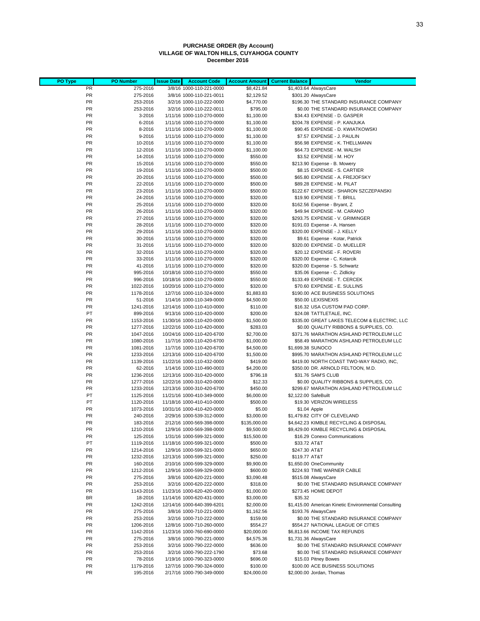#### **PURCHASE ORDER (By Account) VILLAGE OF WALTON HILLS, CUYAHOGA COUNTY December 2016**

| PO Type   | <b>PO Number</b> | <b>Issue Date</b> | <b>Account Code</b>        | <b>Account Amount</b> | <b>Current Balance</b> | <b>Vendor</b>                                        |
|-----------|------------------|-------------------|----------------------------|-----------------------|------------------------|------------------------------------------------------|
| <b>PR</b> | 275-2016         |                   | 3/8/16 1000-110-221-0000   | \$8,421.84            |                        | \$1,403.64 AlwaysCare                                |
| <b>PR</b> | 275-2016         |                   | 3/8/16 1000-110-221-0011   | \$2,129.52            |                        | \$301.20 AlwaysCare                                  |
| PR        | 253-2016         |                   | 3/2/16 1000-110-222-0000   | \$4,770.00            |                        | \$196.30 THE STANDARD INSURANCE COMPANY              |
| <b>PR</b> | 253-2016         |                   | 3/2/16 1000-110-222-0011   | \$795.00              |                        | \$0.00 THE STANDARD INSURANCE COMPANY                |
| <b>PR</b> | 3-2016           |                   | 1/11/16 1000-110-270-0000  | \$1,100.00            |                        | \$34.43 EXPENSE - D. GASPER                          |
| <b>PR</b> | 6-2016           |                   | 1/11/16 1000-110-270-0000  | \$1,100.00            |                        | \$204.78 EXPENSE - P. KANJUKA                        |
| PR        | 8-2016           |                   | 1/11/16 1000-110-270-0000  | \$1,100.00            |                        | \$90.45 EXPENSE - D. KWIATKOWSKI                     |
| PR        | 9-2016           |                   | 1/11/16 1000-110-270-0000  | \$1,100.00            |                        | \$7.57 EXPENSE - J. PAULIN                           |
| <b>PR</b> | 10-2016          |                   | 1/11/16 1000-110-270-0000  | \$1,100.00            |                        | \$56.98 EXPENSE - K. THELLMANN                       |
| <b>PR</b> | 12-2016          |                   | 1/11/16 1000-110-270-0000  | \$1,100.00            |                        | \$64.73 EXPENSE - M. WALSH                           |
| <b>PR</b> | 14-2016          |                   | 1/11/16 1000-110-270-0000  | \$550.00              |                        | \$3.52 EXPENSE - M. HOY                              |
| <b>PR</b> | 15-2016          |                   | 1/11/16 1000-110-270-0000  | \$550.00              |                        | \$213.90 Expense - B. Mowery                         |
| PR        | 19-2016          |                   | 1/11/16 1000-110-270-0000  | \$500.00              |                        | \$8.15 EXPENSE - S. CARTIER                          |
| PR        | 20-2016          |                   | 1/11/16 1000-110-270-0000  | \$500.00              |                        | \$65.80 EXPENSE - A. FREJOFSKY                       |
| PR        | 22-2016          |                   | 1/11/16 1000-110-270-0000  | \$500.00              |                        | \$89.28 EXPENSE - M. PILAT                           |
| <b>PR</b> | 23-2016          |                   | 1/11/16 1000-110-270-0000  | \$500.00              |                        | \$122.67 EXPENSE - SHARON SZCZEPANSKI                |
| PR        | 24-2016          |                   | 1/11/16 1000-110-270-0000  | \$320.00              |                        | \$19.90 EXPENSE - T. BRILL                           |
| PR        | 25-2016          |                   | 1/11/16 1000-110-270-0000  | \$320.00              |                        | \$162.56 Expense - Bryant, Z                         |
| <b>PR</b> | 26-2016          |                   | 1/11/16 1000-110-270-0000  | \$320.00              |                        | \$49.94 EXPENSE - M. CARANO                          |
| <b>PR</b> | 27-2016          |                   | 1/11/16 1000-110-270-0000  | \$320.00              |                        | \$293.75 EXPENSE - V. GRIMINGER                      |
| PR        | 28-2016          |                   | 1/11/16 1000-110-270-0000  | \$320.00              |                        | \$191.03 Expense - A. Hansen                         |
| <b>PR</b> | 29-2016          |                   | 1/11/16 1000-110-270-0000  | \$320.00              |                        | \$320.00 EXPENSE - J. KELLY                          |
| PR        | 30-2016          |                   | 1/11/16 1000-110-270-0000  | \$320.00              |                        | \$9.61 Expense - Kotar, Patrick                      |
| <b>PR</b> | 31-2016          |                   | 1/11/16 1000-110-270-0000  | \$320.00              |                        | \$320.00 EXPENSE - D. MUELLER                        |
| PR        | 32-2016          |                   | 1/11/16 1000-110-270-0000  | \$320.00              |                        | \$20.12 EXPENSE - F. ROVERI                          |
| <b>PR</b> | 33-2016          |                   | 1/11/16 1000-110-270-0000  | \$320.00              |                        | \$320.00 Expense - C. Kotarcik                       |
| <b>PR</b> | 41-2016          |                   | 1/11/16 1000-110-270-0000  | \$320.00              |                        | \$320.00 Expense - S. Schwartz                       |
| PR        | 995-2016         |                   | 10/18/16 1000-110-270-0000 | \$550.00              |                        | \$35.06 Expense - C. Zidlicky                        |
| <b>PR</b> | 996-2016         |                   | 10/18/16 1000-110-270-0000 | \$550.00              |                        | \$133.49 EXPENSE - T. CERCEK                         |
| <b>PR</b> | 1022-2016        |                   | 10/20/16 1000-110-270-0000 | \$320.00              |                        | \$70.60 EXPENSE - E. SULLINS                         |
| <b>PR</b> | 1178-2016        |                   | 12/7/16 1000-110-324-0000  | \$1,883.83            |                        | \$190.00 ACE BUSINESS SOLUTIONS                      |
| PR        | 51-2016          |                   | 1/14/16 1000-110-349-0000  | \$4,500.00            |                        | \$50.00 LEXISNEXIS                                   |
| PR        | 1241-2016        |                   | 12/14/16 1000-110-410-0000 | \$110.00              |                        | \$16.32 USA CUSTOM PAD CORP.                         |
| PT        | 899-2016         |                   | 9/13/16 1000-110-420-0000  | \$200.00              |                        | \$24.08 TATTLETALE, INC.                             |
| <b>PR</b> | 1153-2016        |                   | 11/30/16 1000-110-420-0000 | \$1,500.00            |                        | \$335.00 GREAT LAKES TELECOM & ELECTRIC, LLC         |
| PR        | 1277-2016        |                   | 12/22/16 1000-110-420-0000 | \$283.03              |                        | \$0.00 QUALITY RIBBONS & SUPPLIES, CO.               |
| PR        | 1047-2016        |                   | 10/24/16 1000-110-420-6700 | \$2,700.00            |                        | \$371.76 MARATHON ASHLAND PETROLEUM LLC              |
| PR        | 1080-2016        |                   | 11/7/16 1000-110-420-6700  | \$1,000.00            |                        | \$58.49 MARATHON ASHLAND PETROLEUM LLC               |
| PR        | 1081-2016        |                   | 11/7/16 1000-110-420-6700  | \$4,500.00            | \$1,699.38 SUNOCO      |                                                      |
| PR        | 1233-2016        |                   | 12/13/16 1000-110-420-6700 | \$1,500.00            |                        | \$995.70 MARATHON ASHLAND PETROLEUM LLC              |
| PR        | 1139-2016        |                   | 11/22/16 1000-110-432-0000 | \$419.00              |                        | \$419.00 NORTH COAST TWO-WAY RADIO, INC,             |
| PR        | 62-2016          |                   | 1/14/16 1000-110-490-0003  | \$4,200.00            |                        | \$350.00 DR. ARNOLD FELTOON, M.D.                    |
| PR        | 1236-2016        |                   | 12/13/16 1000-310-420-0000 | \$796.18              |                        | \$31.76 SAM'S CLUB                                   |
| <b>PR</b> | 1277-2016        |                   | 12/22/16 1000-310-420-0000 | \$12.33               |                        | \$0.00 QUALITY RIBBONS & SUPPLIES, CO.               |
| <b>PR</b> | 1233-2016        |                   | 12/13/16 1000-310-420-6700 | \$450.00              |                        | \$299.67 MARATHON ASHLAND PETROLEUM LLC              |
| PT        | 1125-2016        |                   | 11/21/16 1000-410-349-0000 | \$6,000.00            | \$2,122.00 SafeBuilt   |                                                      |
| PT        | 1120-2016        |                   | 11/18/16 1000-410-410-0000 | \$500.00              |                        | \$19.30 VERIZON WIRELESS                             |
| PR        | 1073-2016        |                   | 10/31/16 1000-410-420-0000 | \$5.00                |                        | \$1.04 Apple                                         |
| PR        | 240-2016         |                   | 2/29/16 1000-539-312-0000  | \$3,000.00            |                        | \$1,479.82 CITY OF CLEVELAND                         |
| <b>PR</b> | 183-2016         |                   | 2/12/16 1000-569-398-0000  | \$135,000.00          |                        | \$4,642.23 KIMBLE RECYCLING & DISPOSAL               |
| <b>PR</b> | 1210-2016        |                   | 12/9/16 1000-569-398-0000  | \$9,500.00            |                        | \$9,429.00 KIMBLE RECYCLING & DISPOSAL               |
| PR        | 125-2016         |                   | 1/31/16 1000-599-321-0000  | \$15,500.00           |                        | \$16.29 Conexo Communications                        |
| PT        | 1119-2016        |                   | 11/18/16 1000-599-321-0000 | \$500.00              | \$33.72 AT&T           |                                                      |
| PR        | 1214-2016        |                   | 12/9/16 1000-599-321-0000  | \$650.00              | \$247.30 AT&T          |                                                      |
| PR        | 1232-2016        |                   | 12/13/16 1000-599-321-0000 | \$250.00              | \$119.77 AT&T          |                                                      |
| PR        | 160-2016         |                   | 2/10/16 1000-599-329-0000  | \$9,900.00            |                        | \$1,650.00 OneCommunity                              |
| PR        | 1212-2016        |                   | 12/9/16 1000-599-329-0000  | \$600.00              |                        | \$224.93 TIME WARNER CABLE                           |
| PR        | 275-2016         |                   | 3/8/16 1000-620-221-0000   | \$3,090.48            |                        | \$515.08 AlwaysCare                                  |
| PR        | 253-2016         |                   | 3/2/16 1000-620-222-0000   | \$318.00              |                        | \$0.00 THE STANDARD INSURANCE COMPANY                |
| PR        | 1143-2016        |                   | 11/23/16 1000-620-420-0000 | \$1,000.00            |                        | \$273.45 HOME DEPOT                                  |
| BR        | 18-2016          |                   | 11/14/16 1000-620-431-0000 | \$3,000.00            | \$35.32                |                                                      |
| PR        | 1242-2016        |                   | 12/14/16 1000-640-399-6201 | \$2,000.00            |                        | \$1,415.00 American Kinetic Environmental Consulting |
| PR        | 275-2016         |                   | 3/8/16 1000-710-221-0000   | \$1,162.56            |                        | \$193.76 AlwaysCare                                  |
| PR        | 253-2016         |                   | 3/2/16 1000-710-222-0000   | \$159.00              |                        | \$0.00 THE STANDARD INSURANCE COMPANY                |
| PR        | 1206-2016        |                   | 12/8/16 1000-710-260-0000  | \$554.27              |                        | \$554.27 NATIONAL LEAGUE OF CITIES                   |
| PR        | 1142-2016        |                   | 11/23/16 1000-760-690-0000 | \$20,000.00           |                        | \$6,813.66 INCOME TAX REFUNDS                        |
| PR        | 275-2016         |                   | 3/8/16 1000-790-221-0000   | \$4,575.36            |                        | \$1,731.36 AlwaysCare                                |
| PR        | 253-2016         |                   | 3/2/16 1000-790-222-0000   | \$636.00              |                        | \$0.00 THE STANDARD INSURANCE COMPANY                |
| PR        | 253-2016         |                   | 3/2/16 1000-790-222-1790   | \$73.68               |                        | \$0.00 THE STANDARD INSURANCE COMPANY                |
| PR        | 78-2016          |                   | 1/19/16 1000-790-323-0000  | \$696.00              |                        | \$15.03 Pitney Bowes                                 |
| PR        | 1179-2016        |                   | 12/7/16 1000-790-324-0000  | \$100.00              |                        | \$100.00 ACE BUSINESS SOLUTIONS                      |
| PR        | 195-2016         |                   | 2/17/16 1000-790-349-0000  | \$24,000.00           |                        | \$2,000.00 Jordan, Thomas                            |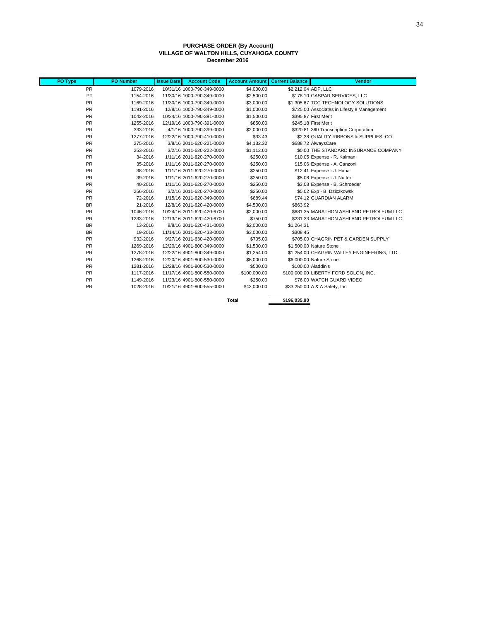#### **PURCHASE ORDER (By Account) VILLAGE OF WALTON HILLS, CUYAHOGA COUNTY December 2016**

| PO Type   | <b>PO Number</b> | <b>Issue Date</b> | <b>Account Code</b>        | <b>Account Amount</b> | <b>Current Balance</b> | <b>Vendor</b>                               |
|-----------|------------------|-------------------|----------------------------|-----------------------|------------------------|---------------------------------------------|
| <b>PR</b> | 1079-2016        |                   | 10/31/16 1000-790-349-0000 | \$4,000.00            |                        | \$2,212.04 ADP, LLC                         |
| PT        | 1154-2016        |                   | 11/30/16 1000-790-349-0000 | \$2,500.00            |                        | \$178.10 GASPAR SERVICES, LLC               |
| <b>PR</b> | 1169-2016        |                   | 11/30/16 1000-790-349-0000 | \$3,000.00            |                        | \$1,305.67 TCC TECHNOLOGY SOLUTIONS         |
| <b>PR</b> | 1191-2016        |                   | 12/8/16 1000-790-349-0000  | \$1,000.00            |                        | \$725.00 Associates in Lifestyle Management |
| <b>PR</b> | 1042-2016        |                   | 10/24/16 1000-790-391-0000 | \$1,500.00            |                        | \$395.87 First Merit                        |
| <b>PR</b> | 1255-2016        |                   | 12/19/16 1000-790-391-0000 | \$850.00              |                        | \$245.18 First Merit                        |
| <b>PR</b> | 333-2016         |                   | 4/1/16 1000-790-399-0000   | \$2,000.00            |                        | \$320.81 360 Transcription Corporation      |
| <b>PR</b> | 1277-2016        |                   | 12/22/16 1000-790-410-0000 | \$33.43               |                        | \$2.38 QUALITY RIBBONS & SUPPLIES, CO.      |
| <b>PR</b> | 275-2016         |                   | 3/8/16 2011-620-221-0000   | \$4,132.32            |                        | \$688.72 AlwaysCare                         |
| <b>PR</b> | 253-2016         |                   | 3/2/16 2011-620-222-0000   | \$1,113.00            |                        | \$0.00 THE STANDARD INSURANCE COMPANY       |
| <b>PR</b> | 34-2016          |                   | 1/11/16 2011-620-270-0000  | \$250.00              |                        | \$10.05 Expense - R. Kalman                 |
| <b>PR</b> | 35-2016          |                   | 1/11/16 2011-620-270-0000  | \$250.00              |                        | \$15.06 Expense - A. Canzoni                |
| <b>PR</b> | 38-2016          |                   | 1/11/16 2011-620-270-0000  | \$250.00              |                        | \$12.41 Expense - J. Haba                   |
| <b>PR</b> | 39-2016          |                   | 1/11/16 2011-620-270-0000  | \$250.00              |                        | \$5.08 Expense - J. Nutter                  |
| <b>PR</b> | 40-2016          |                   | 1/11/16 2011-620-270-0000  | \$250.00              |                        | \$3.08 Expense - B. Schroeder               |
| <b>PR</b> | 256-2016         |                   | 3/2/16 2011-620-270-0000   | \$250.00              |                        | \$5.02 Exp - B. Dziczkowski                 |
| <b>PR</b> | 72-2016          |                   | 1/15/16 2011-620-349-0000  | \$889.44              |                        | \$74.12 GUARDIAN ALARM                      |
| <b>BR</b> | 21-2016          |                   | 12/8/16 2011-620-420-0000  | \$4,500.00            | \$863.92               |                                             |
| <b>PR</b> | 1046-2016        |                   | 10/24/16 2011-620-420-6700 | \$2,000.00            |                        | \$681.35 MARATHON ASHLAND PETROLEUM LLC     |
| <b>PR</b> | 1233-2016        |                   | 12/13/16 2011-620-420-6700 | \$750.00              |                        | \$231.33 MARATHON ASHLAND PETROLEUM LLC     |
| <b>BR</b> | 13-2016          |                   | 8/8/16 2011-620-431-0000   | \$2,000.00            | \$1,264.31             |                                             |
| <b>BR</b> | 19-2016          |                   | 11/14/16 2011-620-433-0000 | \$3,000.00            | \$308.45               |                                             |
| <b>PR</b> | 932-2016         |                   | 9/27/16 2011-630-420-0000  | \$705.00              |                        | \$705.00 CHAGRIN PET & GARDEN SUPPLY        |
| <b>PR</b> | 1269-2016        |                   | 12/20/16 4901-800-349-0000 | \$1,500.00            |                        | \$1,500.00 Nature Stone                     |
| <b>PR</b> | 1278-2016        |                   | 12/22/16 4901-800-349-0000 | \$1,254.00            |                        | \$1,254.00 CHAGRIN VALLEY ENGINEERING, LTD. |
| <b>PR</b> | 1268-2016        |                   | 12/20/16 4901-800-530-0000 | \$6,000.00            |                        | \$6,000,00 Nature Stone                     |
| <b>PR</b> | 1281-2016        |                   | 12/28/16 4901-800-530-0000 | \$500.00              |                        | \$100.00 Aladdin's                          |
| <b>PR</b> | 1117-2016        |                   | 11/17/16 4901-800-550-0000 | \$100,000.00          |                        | \$100,000.00 LIBERTY FORD SOLON, INC.       |
| <b>PR</b> | 1149-2016        |                   | 11/23/16 4901-800-550-0000 | \$250.00              |                        | \$76.00 WATCH GUARD VIDEO                   |
| <b>PR</b> | 1028-2016        |                   | 10/21/16 4901-800-555-0000 | \$43,000.00           |                        | \$33,250.00 A & A Safety, Inc.              |
|           |                  |                   |                            |                       |                        |                                             |
|           |                  |                   |                            | <b>Total</b>          | \$196,035.90           |                                             |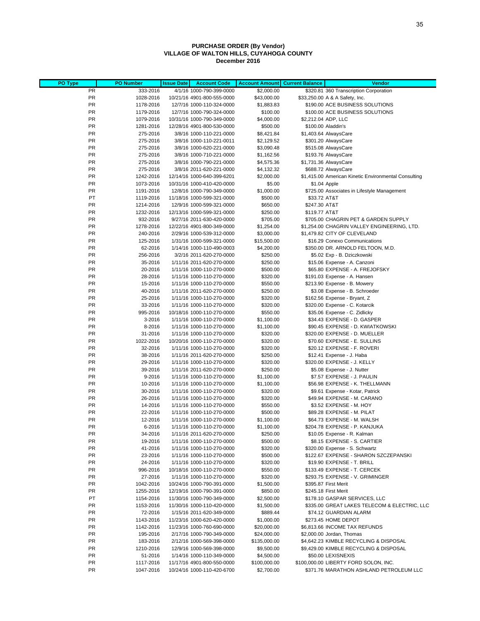#### **PURCHASE ORDER (By Vendor) VILLAGE OF WALTON HILLS, CUYAHOGA COUNTY December 2016**

| PO Type         | <b>PO Number</b>       | <b>Issue Date</b> | <b>Account Code</b>                                      | <b>Account Amount</b>      | <b>Current Balance</b> | Vendor                                                              |
|-----------------|------------------------|-------------------|----------------------------------------------------------|----------------------------|------------------------|---------------------------------------------------------------------|
| PR              | 333-2016               |                   | 4/1/16 1000-790-399-0000                                 | \$2,000.00                 |                        | \$320.81 360 Transcription Corporation                              |
| <b>PR</b>       | 1028-2016              |                   | 10/21/16 4901-800-555-0000                               | \$43,000.00                |                        | \$33,250.00 A & A Safety, Inc.                                      |
| <b>PR</b>       | 1178-2016              |                   | 12/7/16 1000-110-324-0000                                | \$1,883.83                 |                        | \$190.00 ACE BUSINESS SOLUTIONS                                     |
| <b>PR</b>       | 1179-2016              |                   | 12/7/16 1000-790-324-0000                                | \$100.00                   |                        | \$100.00 ACE BUSINESS SOLUTIONS                                     |
| PR<br><b>PR</b> | 1079-2016<br>1281-2016 |                   | 10/31/16 1000-790-349-0000<br>12/28/16 4901-800-530-0000 | \$4,000.00<br>\$500.00     |                        | \$2,212.04 ADP, LLC<br>\$100.00 Aladdin's                           |
| <b>PR</b>       | 275-2016               |                   | 3/8/16 1000-110-221-0000                                 | \$8,421.84                 |                        | \$1,403.64 AlwaysCare                                               |
| <b>PR</b>       | 275-2016               |                   | 3/8/16 1000-110-221-0011                                 | \$2,129.52                 |                        | \$301.20 AlwaysCare                                                 |
| PR              | 275-2016               |                   | 3/8/16 1000-620-221-0000                                 | \$3,090.48                 |                        | \$515.08 AlwaysCare                                                 |
| <b>PR</b>       | 275-2016               |                   | 3/8/16 1000-710-221-0000                                 | \$1,162.56                 |                        | \$193.76 AlwaysCare                                                 |
| PR              | 275-2016               |                   | 3/8/16 1000-790-221-0000                                 | \$4,575.36                 |                        | \$1,731.36 AlwaysCare                                               |
| <b>PR</b>       | 275-2016               |                   | 3/8/16 2011-620-221-0000                                 | \$4,132.32                 |                        | \$688.72 AlwaysCare                                                 |
| PR              | 1242-2016              |                   | 12/14/16 1000-640-399-6201                               | \$2,000.00                 |                        | \$1,415.00 American Kinetic Environmental Consulting                |
| PR              | 1073-2016              |                   | 10/31/16 1000-410-420-0000                               | \$5.00                     |                        | \$1.04 Apple                                                        |
| PR<br>PT        | 1191-2016<br>1119-2016 |                   | 12/8/16 1000-790-349-0000<br>11/18/16 1000-599-321-0000  | \$1,000.00<br>\$500.00     | \$33.72 AT&T           | \$725.00 Associates in Lifestyle Management                         |
| PR              | 1214-2016              |                   | 12/9/16 1000-599-321-0000                                | \$650.00                   | \$247.30 AT&T          |                                                                     |
| PR              | 1232-2016              |                   | 12/13/16 1000-599-321-0000                               | \$250.00                   | \$119.77 AT&T          |                                                                     |
| <b>PR</b>       | 932-2016               |                   | 9/27/16 2011-630-420-0000                                | \$705.00                   |                        | \$705.00 CHAGRIN PET & GARDEN SUPPLY                                |
| PR              | 1278-2016              |                   | 12/22/16 4901-800-349-0000                               | \$1,254.00                 |                        | \$1,254.00 CHAGRIN VALLEY ENGINEERING, LTD.                         |
| <b>PR</b>       | 240-2016               |                   | 2/29/16 1000-539-312-0000                                | \$3,000.00                 |                        | \$1,479.82 CITY OF CLEVELAND                                        |
| PR              | 125-2016               |                   | 1/31/16 1000-599-321-0000                                | \$15,500.00                |                        | \$16.29 Conexo Communications                                       |
| PR              | 62-2016                |                   | 1/14/16 1000-110-490-0003                                | \$4,200.00                 |                        | \$350.00 DR. ARNOLD FELTOON, M.D.                                   |
| PR              | 256-2016               |                   | 3/2/16 2011-620-270-0000                                 | \$250.00                   |                        | \$5.02 Exp - B. Dziczkowski                                         |
| PR<br>PR        | 35-2016<br>20-2016     |                   | 1/11/16 2011-620-270-0000<br>1/11/16 1000-110-270-0000   | \$250.00<br>\$500.00       |                        | \$15.06 Expense - A. Canzoni<br>\$65.80 EXPENSE - A. FREJOFSKY      |
| PR              | 28-2016                |                   | 1/11/16 1000-110-270-0000                                | \$320.00                   |                        | \$191.03 Expense - A. Hansen                                        |
| PR              | 15-2016                |                   | 1/11/16 1000-110-270-0000                                | \$550.00                   |                        | \$213.90 Expense - B. Mowery                                        |
| <b>PR</b>       | 40-2016                |                   | 1/11/16 2011-620-270-0000                                | \$250.00                   |                        | \$3.08 Expense - B. Schroeder                                       |
| PR              | 25-2016                |                   | 1/11/16 1000-110-270-0000                                | \$320.00                   |                        | \$162.56 Expense - Bryant, Z                                        |
| <b>PR</b>       | 33-2016                |                   | 1/11/16 1000-110-270-0000                                | \$320.00                   |                        | \$320.00 Expense - C. Kotarcik                                      |
| PR              | 995-2016               |                   | 10/18/16 1000-110-270-0000                               | \$550.00                   |                        | \$35.06 Expense - C. Zidlicky                                       |
| <b>PR</b>       | 3-2016                 |                   | 1/11/16 1000-110-270-0000                                | \$1,100.00                 |                        | \$34.43 EXPENSE - D. GASPER                                         |
| PR              | 8-2016                 |                   | 1/11/16 1000-110-270-0000                                | \$1,100.00                 |                        | \$90.45 EXPENSE - D. KWIATKOWSKI                                    |
| <b>PR</b><br>PR | 31-2016<br>1022-2016   |                   | 1/11/16 1000-110-270-0000<br>10/20/16 1000-110-270-0000  | \$320.00<br>\$320.00       |                        | \$320.00 EXPENSE - D. MUELLER<br>\$70.60 EXPENSE - E. SULLINS       |
| <b>PR</b>       | 32-2016                |                   | 1/11/16 1000-110-270-0000                                | \$320.00                   |                        | \$20.12 EXPENSE - F. ROVERI                                         |
| PR              | 38-2016                |                   | 1/11/16 2011-620-270-0000                                | \$250.00                   |                        | \$12.41 Expense - J. Haba                                           |
| PR              | 29-2016                |                   | 1/11/16 1000-110-270-0000                                | \$320.00                   |                        | \$320.00 EXPENSE - J. KELLY                                         |
| PR              | 39-2016                |                   | 1/11/16 2011-620-270-0000                                | \$250.00                   |                        | \$5.08 Expense - J. Nutter                                          |
| PR              | 9-2016                 |                   | 1/11/16 1000-110-270-0000                                | \$1,100.00                 |                        | \$7.57 EXPENSE - J. PAULIN                                          |
| <b>PR</b>       | 10-2016                |                   | 1/11/16 1000-110-270-0000                                | \$1,100.00                 |                        | \$56.98 EXPENSE - K. THELLMANN                                      |
| PR<br><b>PR</b> | 30-2016<br>26-2016     |                   | 1/11/16 1000-110-270-0000<br>1/11/16 1000-110-270-0000   | \$320.00<br>\$320.00       |                        | \$9.61 Expense - Kotar, Patrick<br>\$49.94 EXPENSE - M. CARANO      |
| PR              | 14-2016                |                   | 1/11/16 1000-110-270-0000                                | \$550.00                   |                        | \$3.52 EXPENSE - M. HOY                                             |
| PR              | 22-2016                |                   | 1/11/16 1000-110-270-0000                                | \$500.00                   |                        | \$89.28 EXPENSE - M. PILAT                                          |
| PR              | 12-2016                |                   | 1/11/16 1000-110-270-0000                                | \$1,100.00                 |                        | \$64.73 EXPENSE - M. WALSH                                          |
| <b>PR</b>       | 6-2016                 |                   | 1/11/16 1000-110-270-0000                                | \$1,100.00                 |                        | \$204.78 EXPENSE - P. KANJUKA                                       |
| PR              | 34-2016                |                   | 1/11/16 2011-620-270-0000                                | \$250.00                   |                        | \$10.05 Expense - R. Kalman                                         |
| PR              | 19-2016                |                   | 1/11/16 1000-110-270-0000                                | \$500.00                   |                        | \$8.15 EXPENSE - S. CARTIER                                         |
| PR              | 41-2016                |                   | 1/11/16 1000-110-270-0000                                | \$320.00                   |                        | \$320.00 Expense - S. Schwartz                                      |
| PR<br><b>PR</b> | 23-2016<br>24-2016     |                   | 1/11/16 1000-110-270-0000<br>1/11/16 1000-110-270-0000   | \$500.00<br>\$320.00       |                        | \$122.67 EXPENSE - SHARON SZCZEPANSKI<br>\$19.90 EXPENSE - T. BRILL |
| <b>PR</b>       | 996-2016               |                   | 10/18/16 1000-110-270-0000                               | \$550.00                   |                        | \$133.49 EXPENSE - T. CERCEK                                        |
| <b>PR</b>       | 27-2016                |                   | 1/11/16 1000-110-270-0000                                | \$320.00                   |                        | \$293.75 EXPENSE - V. GRIMINGER                                     |
| <b>PR</b>       | 1042-2016              |                   | 10/24/16 1000-790-391-0000                               | \$1,500.00                 |                        | \$395.87 First Merit                                                |
| <b>PR</b>       | 1255-2016              |                   | 12/19/16 1000-790-391-0000                               | \$850.00                   |                        | \$245.18 First Merit                                                |
| PT              | 1154-2016              |                   | 11/30/16 1000-790-349-0000                               | \$2,500.00                 |                        | \$178.10 GASPAR SERVICES, LLC                                       |
| <b>PR</b>       | 1153-2016              |                   | 11/30/16 1000-110-420-0000                               | \$1,500.00                 |                        | \$335.00 GREAT LAKES TELECOM & ELECTRIC, LLC                        |
| <b>PR</b>       | 72-2016                |                   | 1/15/16 2011-620-349-0000                                | \$889.44                   |                        | \$74.12 GUARDIAN ALARM                                              |
| <b>PR</b>       | 1143-2016              |                   | 11/23/16 1000-620-420-0000                               | \$1,000.00                 |                        | \$273.45 HOME DEPOT                                                 |
| <b>PR</b><br>PR | 1142-2016<br>195-2016  |                   | 11/23/16 1000-760-690-0000<br>2/17/16 1000-790-349-0000  | \$20,000.00<br>\$24,000.00 |                        | \$6,813.66 INCOME TAX REFUNDS<br>\$2,000.00 Jordan, Thomas          |
| <b>PR</b>       | 183-2016               |                   | 2/12/16 1000-569-398-0000                                | \$135,000.00               |                        | \$4,642.23 KIMBLE RECYCLING & DISPOSAL                              |
| <b>PR</b>       | 1210-2016              |                   | 12/9/16 1000-569-398-0000                                | \$9,500.00                 |                        | \$9,429.00 KIMBLE RECYCLING & DISPOSAL                              |
| <b>PR</b>       | 51-2016                |                   | 1/14/16 1000-110-349-0000                                | \$4,500.00                 |                        | \$50.00 LEXISNEXIS                                                  |
| <b>PR</b>       | 1117-2016              |                   | 11/17/16 4901-800-550-0000                               | \$100,000.00               |                        | \$100,000.00 LIBERTY FORD SOLON, INC.                               |
| PR              | 1047-2016              |                   | 10/24/16 1000-110-420-6700                               | \$2,700.00                 |                        | \$371.76 MARATHON ASHLAND PETROLEUM LLC                             |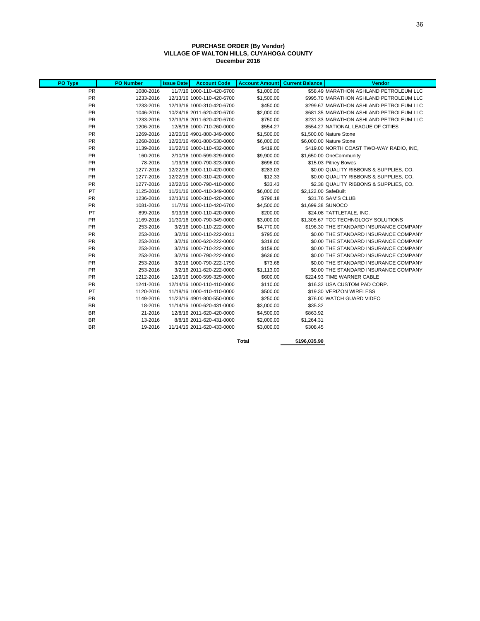#### **PURCHASE ORDER (By Vendor) VILLAGE OF WALTON HILLS, CUYAHOGA COUNTY December 2016**

| PO Type   | <b>PO Number</b> | <b>Issue Date</b> | <b>Account Code</b>        | <b>Account Amount</b> | <b>Current Balance</b> | <b>Vendor</b>                            |
|-----------|------------------|-------------------|----------------------------|-----------------------|------------------------|------------------------------------------|
| <b>PR</b> | 1080-2016        |                   | 11/7/16 1000-110-420-6700  | \$1,000.00            |                        | \$58.49 MARATHON ASHLAND PETROLEUM LLC   |
| PR        | 1233-2016        |                   | 12/13/16 1000-110-420-6700 | \$1,500.00            |                        | \$995.70 MARATHON ASHLAND PETROLEUM LLC  |
| PR        | 1233-2016        |                   | 12/13/16 1000-310-420-6700 | \$450.00              |                        | \$299.67 MARATHON ASHLAND PETROLEUM LLC  |
| PR        | 1046-2016        |                   | 10/24/16 2011-620-420-6700 | \$2,000.00            |                        | \$681.35 MARATHON ASHLAND PETROLEUM LLC  |
| PR        | 1233-2016        |                   | 12/13/16 2011-620-420-6700 | \$750.00              |                        | \$231.33 MARATHON ASHLAND PETROLEUM LLC  |
| PR        | 1206-2016        |                   | 12/8/16 1000-710-260-0000  | \$554.27              |                        | \$554.27 NATIONAL LEAGUE OF CITIES       |
| PR        | 1269-2016        |                   | 12/20/16 4901-800-349-0000 | \$1,500.00            |                        | \$1,500.00 Nature Stone                  |
| PR        | 1268-2016        |                   | 12/20/16 4901-800-530-0000 | \$6,000.00            |                        | \$6,000.00 Nature Stone                  |
| PR        | 1139-2016        |                   | 11/22/16 1000-110-432-0000 | \$419.00              |                        | \$419.00 NORTH COAST TWO-WAY RADIO, INC. |
| PR        | 160-2016         |                   | 2/10/16 1000-599-329-0000  | \$9,900.00            |                        | \$1,650.00 OneCommunity                  |
| PR        | 78-2016          |                   | 1/19/16 1000-790-323-0000  | \$696.00              |                        | \$15.03 Pitney Bowes                     |
| PR        | 1277-2016        |                   | 12/22/16 1000-110-420-0000 | \$283.03              |                        | \$0.00 QUALITY RIBBONS & SUPPLIES, CO.   |
| PR        | 1277-2016        |                   | 12/22/16 1000-310-420-0000 | \$12.33               |                        | \$0.00 QUALITY RIBBONS & SUPPLIES, CO.   |
| PR        | 1277-2016        |                   | 12/22/16 1000-790-410-0000 | \$33.43               |                        | \$2.38 QUALITY RIBBONS & SUPPLIES, CO.   |
| PT        | 1125-2016        |                   | 11/21/16 1000-410-349-0000 | \$6,000.00            | \$2.122.00 SafeBuilt   |                                          |
| PR        | 1236-2016        |                   | 12/13/16 1000-310-420-0000 | \$796.18              |                        | \$31.76 SAM'S CLUB                       |
| PR        | 1081-2016        |                   | 11/7/16 1000-110-420-6700  | \$4,500.00            |                        | \$1,699.38 SUNOCO                        |
| PT        | 899-2016         |                   | 9/13/16 1000-110-420-0000  | \$200.00              |                        | \$24.08 TATTLETALE, INC.                 |
| PR        | 1169-2016        |                   | 11/30/16 1000-790-349-0000 | \$3,000.00            |                        | \$1.305.67 TCC TECHNOLOGY SOLUTIONS      |
| PR        | 253-2016         |                   | 3/2/16 1000-110-222-0000   | \$4,770.00            |                        | \$196.30 THE STANDARD INSURANCE COMPANY  |
| PR        | 253-2016         |                   | 3/2/16 1000-110-222-0011   | \$795.00              |                        | \$0.00 THE STANDARD INSURANCE COMPANY    |
| PR        | 253-2016         |                   | 3/2/16 1000-620-222-0000   | \$318.00              |                        | \$0.00 THE STANDARD INSURANCE COMPANY    |
| PR        | 253-2016         |                   | 3/2/16 1000-710-222-0000   | \$159.00              |                        | \$0.00 THE STANDARD INSURANCE COMPANY    |
| PR        | 253-2016         |                   | 3/2/16 1000-790-222-0000   | \$636.00              |                        | \$0.00 THE STANDARD INSURANCE COMPANY    |
| PR        | 253-2016         |                   | 3/2/16 1000-790-222-1790   | \$73.68               |                        | \$0.00 THE STANDARD INSURANCE COMPANY    |
| PR        | 253-2016         |                   | 3/2/16 2011-620-222-0000   | \$1,113.00            |                        | \$0.00 THE STANDARD INSURANCE COMPANY    |
| PR        | 1212-2016        |                   | 12/9/16 1000-599-329-0000  | \$600.00              |                        | \$224.93 TIME WARNER CABLE               |
| PR        | 1241-2016        |                   | 12/14/16 1000-110-410-0000 | \$110.00              |                        | \$16.32 USA CUSTOM PAD CORP.             |
| PT        | 1120-2016        |                   | 11/18/16 1000-410-410-0000 | \$500.00              |                        | \$19.30 VERIZON WIRELESS                 |
| PR        | 1149-2016        |                   | 11/23/16 4901-800-550-0000 | \$250.00              |                        | \$76.00 WATCH GUARD VIDEO                |
| <b>BR</b> | 18-2016          |                   | 11/14/16 1000-620-431-0000 | \$3,000.00            | \$35.32                |                                          |
| <b>BR</b> | 21-2016          |                   | 12/8/16 2011-620-420-0000  | \$4,500.00            | \$863.92               |                                          |
| <b>BR</b> | 13-2016          |                   | 8/8/16 2011-620-431-0000   | \$2,000.00            | \$1,264.31             |                                          |
| <b>BR</b> | 19-2016          |                   | 11/14/16 2011-620-433-0000 | \$3,000.00            | \$308.45               |                                          |
|           |                  |                   |                            | <b>Total</b>          | \$196,035.90           |                                          |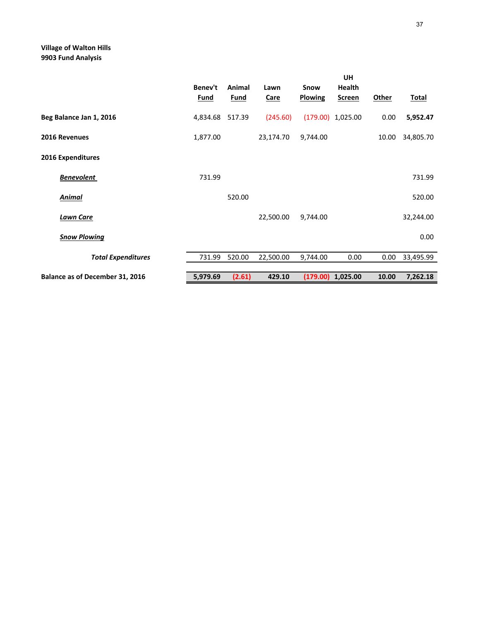## **Village of Walton Hills 9903 Fund Analysis**

|                                        | Benev't<br><b>Fund</b> | Animal<br><b>Fund</b> | Lawn<br>Care | Snow<br><b>Plowing</b> | UH<br><b>Health</b><br><b>Screen</b> | <b>Other</b> | <b>Total</b> |
|----------------------------------------|------------------------|-----------------------|--------------|------------------------|--------------------------------------|--------------|--------------|
| Beg Balance Jan 1, 2016                | 4,834.68               | 517.39                | (245.60)     |                        | $(179.00)$ 1,025.00                  | 0.00         | 5,952.47     |
| 2016 Revenues                          | 1,877.00               |                       | 23,174.70    | 9,744.00               |                                      | 10.00        | 34,805.70    |
| 2016 Expenditures                      |                        |                       |              |                        |                                      |              |              |
| <b>Benevolent</b>                      | 731.99                 |                       |              |                        |                                      |              | 731.99       |
| <u>Animal</u>                          |                        | 520.00                |              |                        |                                      |              | 520.00       |
| <b>Lawn Care</b>                       |                        |                       | 22,500.00    | 9,744.00               |                                      |              | 32,244.00    |
| <b>Snow Plowing</b>                    |                        |                       |              |                        |                                      |              | 0.00         |
| <b>Total Expenditures</b>              | 731.99                 | 520.00                | 22,500.00    | 9,744.00               | 0.00                                 | 0.00         | 33,495.99    |
| <b>Balance as of December 31, 2016</b> | 5,979.69               | (2.61)                | 429.10       |                        | $(179.00)$ 1,025.00                  | 10.00        | 7,262.18     |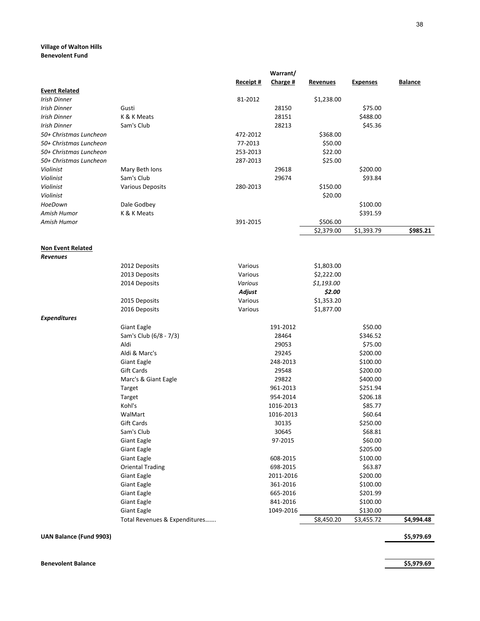### **Village of Walton Hills Benevolent Fund**

|                                                  |                               |                     | Warrant/  |                        |                 |                |
|--------------------------------------------------|-------------------------------|---------------------|-----------|------------------------|-----------------|----------------|
|                                                  |                               | Receipt #           | Charge #  | <u>Revenues</u>        | <b>Expenses</b> | <b>Balance</b> |
| <b>Event Related</b>                             |                               |                     |           |                        |                 |                |
| Irish Dinner<br>Irish Dinner                     | Gusti                         | 81-2012             | 28150     | \$1,238.00             | \$75.00         |                |
| Irish Dinner                                     | K & K Meats                   |                     | 28151     |                        | \$488.00        |                |
|                                                  | Sam's Club                    |                     | 28213     |                        | \$45.36         |                |
| Irish Dinner                                     |                               |                     |           |                        |                 |                |
| 50+ Christmas Luncheon                           |                               | 472-2012            |           | \$368.00               |                 |                |
| 50+ Christmas Luncheon<br>50+ Christmas Luncheon |                               | 77-2013<br>253-2013 |           | \$50.00                |                 |                |
| 50+ Christmas Luncheon                           |                               |                     |           | \$22.00<br>\$25.00     |                 |                |
| Violinist                                        | Mary Beth Ions                | 287-2013            | 29618     |                        | \$200.00        |                |
| Violinist                                        | Sam's Club                    |                     | 29674     |                        | \$93.84         |                |
| Violinist                                        |                               |                     |           | \$150.00               |                 |                |
|                                                  | <b>Various Deposits</b>       | 280-2013            |           | \$20.00                |                 |                |
| Violinist                                        |                               |                     |           |                        |                 |                |
| HoeDown<br>Amish Humor                           | Dale Godbey<br>K & K Meats    |                     |           |                        | \$100.00        |                |
| Amish Humor                                      |                               | 391-2015            |           |                        | \$391.59        |                |
|                                                  |                               |                     |           | \$506.00<br>\$2,379.00 | \$1,393.79      | \$985.21       |
|                                                  |                               |                     |           |                        |                 |                |
| <b>Non Event Related</b>                         |                               |                     |           |                        |                 |                |
| <b>Revenues</b>                                  |                               |                     |           |                        |                 |                |
|                                                  | 2012 Deposits                 | Various             |           | \$1,803.00             |                 |                |
|                                                  | 2013 Deposits                 | Various             |           | \$2,222.00             |                 |                |
|                                                  | 2014 Deposits                 | Various             |           | \$1,193.00             |                 |                |
|                                                  |                               | Adjust              |           | \$2.00                 |                 |                |
|                                                  | 2015 Deposits                 | Various             |           | \$1,353.20             |                 |                |
|                                                  | 2016 Deposits                 | Various             |           | \$1,877.00             |                 |                |
| <b>Expenditures</b>                              |                               |                     |           |                        |                 |                |
|                                                  | Giant Eagle                   |                     | 191-2012  |                        | \$50.00         |                |
|                                                  | Sam's Club (6/8 - 7/3)        |                     | 28464     |                        | \$346.52        |                |
|                                                  | Aldi                          |                     | 29053     |                        | \$75.00         |                |
|                                                  | Aldi & Marc's                 |                     | 29245     |                        | \$200.00        |                |
|                                                  | <b>Giant Eagle</b>            |                     | 248-2013  |                        | \$100.00        |                |
|                                                  | Gift Cards                    |                     | 29548     |                        | \$200.00        |                |
|                                                  | Marc's & Giant Eagle          |                     | 29822     |                        | \$400.00        |                |
|                                                  | Target                        |                     | 961-2013  |                        | \$251.94        |                |
|                                                  | Target                        |                     | 954-2014  |                        | \$206.18        |                |
|                                                  | Kohl's                        |                     | 1016-2013 |                        | \$85.77         |                |
|                                                  | WalMart                       |                     | 1016-2013 |                        | \$60.64         |                |
|                                                  | Gift Cards                    |                     | 30135     |                        | \$250.00        |                |
|                                                  | Sam's Club                    |                     | 30645     |                        | \$68.81         |                |
|                                                  | <b>Giant Eagle</b>            |                     | 97-2015   |                        | \$60.00         |                |
|                                                  | <b>Giant Eagle</b>            |                     |           |                        | \$205.00        |                |
|                                                  | <b>Giant Eagle</b>            |                     | 608-2015  |                        | \$100.00        |                |
|                                                  | <b>Oriental Trading</b>       |                     | 698-2015  |                        | \$63.87         |                |
|                                                  | Giant Eagle                   |                     | 2011-2016 |                        | \$200.00        |                |
|                                                  | <b>Giant Eagle</b>            |                     | 361-2016  |                        | \$100.00        |                |
|                                                  | <b>Giant Eagle</b>            |                     | 665-2016  |                        | \$201.99        |                |
|                                                  | <b>Giant Eagle</b>            |                     | 841-2016  |                        | \$100.00        |                |
|                                                  | <b>Giant Eagle</b>            |                     | 1049-2016 |                        | \$130.00        |                |
|                                                  | Total Revenues & Expenditures |                     |           | \$8,450.20             | \$3,455.72      | \$4,994.48     |

**UAN Balance (Fund 9903) \$5,979.69**

**Benevolent Balance \$5,979.69**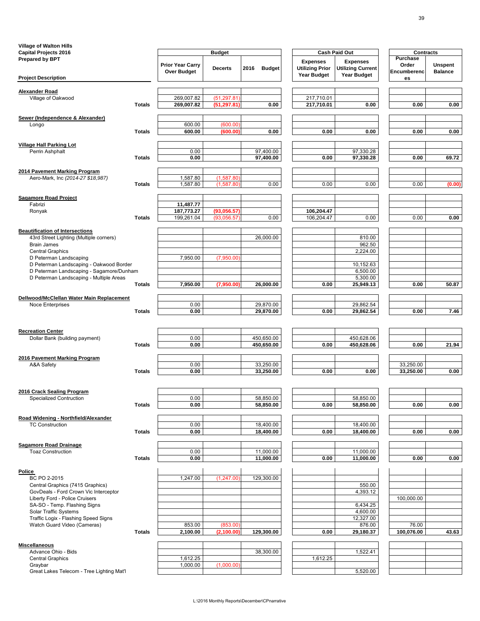| <b>Village of Walton Hills</b>                             |               |                                               |                |                       |                                                                 |                                                                   |                                                |                                  |
|------------------------------------------------------------|---------------|-----------------------------------------------|----------------|-----------------------|-----------------------------------------------------------------|-------------------------------------------------------------------|------------------------------------------------|----------------------------------|
| <b>Capital Projects 2016</b>                               |               |                                               | <b>Budget</b>  |                       |                                                                 | <b>Cash Paid Out</b>                                              | <b>Contracts</b>                               |                                  |
| <b>Prepared by BPT</b>                                     |               | <b>Prior Year Carry</b><br><b>Over Budget</b> | <b>Decerts</b> | 2016<br><b>Budget</b> | <b>Expenses</b><br><b>Utilizing Prior</b><br><b>Year Budget</b> | <b>Expenses</b><br><b>Utilizing Current</b><br><b>Year Budget</b> | <b>Purchase</b><br>Order<br><b>Encumberenc</b> | <b>Unspent</b><br><b>Balance</b> |
| <b>Project Description</b>                                 |               |                                               |                |                       |                                                                 |                                                                   | es                                             |                                  |
| <b>Alexander Road</b>                                      |               |                                               |                |                       |                                                                 |                                                                   |                                                |                                  |
| Village of Oakwood                                         |               | 269,007.82                                    | (51, 297.81)   |                       | 217,710.01                                                      |                                                                   |                                                |                                  |
|                                                            | <b>Totals</b> | 269,007.82                                    | (51, 297.81)   | 0.00                  | 217,710.01                                                      | 0.00                                                              | 0.00                                           | 0.00                             |
| Sewer (Independence & Alexander)                           |               |                                               |                |                       |                                                                 |                                                                   |                                                |                                  |
| Longo                                                      |               | 600.00                                        | (600.00)       |                       |                                                                 |                                                                   |                                                |                                  |
|                                                            | <b>Totals</b> | 600.00                                        | (600.00)       | 0.00                  | 0.00                                                            | 0.00                                                              | 0.00                                           | 0.00                             |
| <b>Village Hall Parking Lot</b>                            |               |                                               |                |                       |                                                                 |                                                                   |                                                |                                  |
| Perrin Ashphalt                                            |               | 0.00                                          |                | 97,400.00             |                                                                 | 97,330.28                                                         |                                                |                                  |
|                                                            | <b>Totals</b> | 0.00                                          |                | 97,400.00             | 0.00                                                            | 97,330.28                                                         | 0.00                                           | 69.72                            |
| 2014 Pavement Marking Program                              |               |                                               |                |                       |                                                                 |                                                                   |                                                |                                  |
| Aero-Mark, Inc (2014-27 \$18,987)                          |               | ,587.80                                       | (1,587.80)     |                       |                                                                 |                                                                   |                                                |                                  |
|                                                            | <b>Totals</b> | 1,587.80                                      | (1, 587.80)    | 0.00                  | 0.00                                                            | 0.00                                                              | 0.00                                           | (0.00)                           |
| <b>Sagamore Road Project</b>                               |               |                                               |                |                       |                                                                 |                                                                   |                                                |                                  |
| Fabrizi                                                    |               | 11,487.77                                     |                |                       |                                                                 |                                                                   |                                                |                                  |
| Ronyak                                                     |               | 187,773.27                                    | (93,056.57)    |                       | 106,204.47                                                      |                                                                   |                                                |                                  |
|                                                            | <b>Totals</b> | 199,261.04                                    | (93,056.57)    | 0.00                  | 106,204.47                                                      | 0.00                                                              | 0.00                                           | 0.00                             |
| <b>Beautification of Intersections</b>                     |               |                                               |                |                       |                                                                 |                                                                   |                                                |                                  |
| 43rd Street Lighting (Multiple corners)                    |               |                                               |                | 26,000.00             |                                                                 | 810.00                                                            |                                                |                                  |
| <b>Brain James</b>                                         |               |                                               |                |                       |                                                                 | 962.50                                                            |                                                |                                  |
| <b>Central Graphics</b>                                    |               |                                               |                |                       |                                                                 | 2,224.00                                                          |                                                |                                  |
| D Peterman Landscaping                                     |               | 7,950.00                                      | (7,950.00)     |                       |                                                                 |                                                                   |                                                |                                  |
| D Peterman Landscaping - Oakwood Border                    |               |                                               |                |                       |                                                                 | 10,152.63                                                         |                                                |                                  |
| D Peterman Landscaping - Sagamore/Dunham                   |               |                                               |                |                       |                                                                 | 6,500.00                                                          |                                                |                                  |
| D Peterman Landscaping - Multiple Areas                    | <b>Totals</b> | 7,950.00                                      | (7,950.00)     | 26,000.00             | 0.00                                                            | 5,300.00<br>25,949.13                                             | 0.00                                           | 50.87                            |
|                                                            |               |                                               |                |                       |                                                                 |                                                                   |                                                |                                  |
| Dellwood/McClellan Water Main Replacement                  |               |                                               |                |                       |                                                                 |                                                                   |                                                |                                  |
| <b>Noce Enterprises</b>                                    |               | 0.00                                          |                | 29,870.00             |                                                                 | 29,862.54                                                         |                                                |                                  |
|                                                            | <b>Totals</b> | 0.00                                          |                | 29,870.00             | 0.00                                                            | 29,862.54                                                         | 0.00                                           | 7.46                             |
|                                                            |               |                                               |                |                       |                                                                 |                                                                   |                                                |                                  |
| <b>Recreation Center</b><br>Dollar Bank (building payment) |               | 0.00                                          |                | 450,650.00            |                                                                 | 450,628.06                                                        |                                                |                                  |
|                                                            | <b>Totals</b> | 0.00                                          |                | 450,650.00            | 0.00                                                            | 450,628.06                                                        | 0.00                                           | 21.94                            |
|                                                            |               |                                               |                |                       |                                                                 |                                                                   |                                                |                                  |
| 2016 Pavement Marking Program                              |               |                                               |                |                       |                                                                 |                                                                   |                                                |                                  |
| A&A Safety                                                 |               | 0.00                                          |                | 33,250.00             |                                                                 |                                                                   | 33,250.00                                      |                                  |
|                                                            | <b>Totals</b> | 0.00                                          |                | 33,250.00             | 0.00                                                            | 0.00                                                              | 33,250.00                                      | 0.00                             |

| 2016 Crack Sealing Program                  |               |          |            |            |          |           |            |       |
|---------------------------------------------|---------------|----------|------------|------------|----------|-----------|------------|-------|
| <b>Specialized Contruction</b>              |               | 0.00     |            | 58,850.00  |          | 58,850.00 |            |       |
|                                             | <b>Totals</b> | 0.00     |            | 58,850.00  | 0.00     | 58,850.00 | 0.00       | 0.00  |
|                                             |               |          |            |            |          |           |            |       |
| <b>Road Widening - Northfield/Alexander</b> |               |          |            |            |          |           |            |       |
| <b>TC Construction</b>                      |               | 0.00     |            | 18,400.00  |          | 18,400.00 |            |       |
|                                             | <b>Totals</b> | 0.00     |            | 18,400.00  | 0.00     | 18,400.00 | 0.00       | 0.00  |
| <b>Sagamore Road Drainage</b>               |               |          |            |            |          |           |            |       |
| <b>Toaz Construction</b>                    |               | 0.00     |            | 11,000.00  |          | 11,000.00 |            |       |
|                                             | <b>Totals</b> | 0.00     |            | 11,000.00  | 0.00     | 11,000.00 | 0.00       | 0.00  |
|                                             |               |          |            |            |          |           |            |       |
| <b>Police</b>                               |               |          |            |            |          |           |            |       |
| BC PO 2-2015                                |               | 1,247.00 | (1,247.00) | 129,300.00 |          |           |            |       |
| Central Graphics (7415 Graphics)            |               |          |            |            |          | 550.00    |            |       |
| GovDeals - Ford Crown Vic Interceptor       |               |          |            |            |          | 4,393.12  |            |       |
| <b>Liberty Ford - Police Cruisers</b>       |               |          |            |            |          |           | 100,000.00 |       |
| SA-SO - Temp. Flashing Signs                |               |          |            |            |          | 6,434.25  |            |       |
| <b>Solar Traffic Systems</b>                |               |          |            |            |          | 4,600.00  |            |       |
| Traffic Logix - Flashing Speed Signs        |               |          |            |            |          | 12,327.00 |            |       |
| Watch Guard Video (Cameras)                 |               | 853.00   | (853.00)   |            |          | 876.00    | 76.00      |       |
|                                             | <b>Totals</b> | 2,100.00 | (2,100.00) | 129,300.00 | 0.00     | 29,180.37 | 100,076.00 | 43.63 |
| <b>Miscellaneous</b>                        |               |          |            |            |          |           |            |       |
| Advance Ohio - Bids                         |               |          |            | 38,300.00  |          | 1,522.41  |            |       |
| <b>Central Graphics</b>                     |               | 1,612.25 |            |            | 1,612.25 |           |            |       |
| Graybar                                     |               | 1,000.00 | (1,000.00) |            |          |           |            |       |
| Great Lakes Telecom - Tree Lighting Mat'l   |               |          |            |            |          | 5,520.00  |            |       |